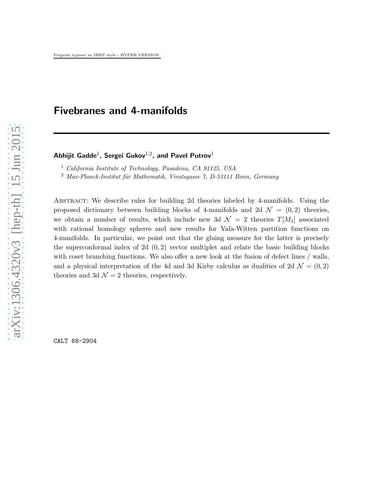# Fivebranes and 4-manifolds

### Abhijit Gadde $^1$ , Sergei Gukov $^{1,2}$ , and Pavel Putrov $^1$

<sup>1</sup> California Institute of Technology, Pasadena, CA 91125, USA

 $2$  Max-Planck-Institut für Mathematik, Vivatsgasse 7, D-53111 Bonn, Germany

ABSTRACT: We describe rules for building 2d theories labeled by 4-manifolds. Using the proposed dictionary between building blocks of 4-manifolds and 2d  $\mathcal{N} = (0, 2)$  theories, we obtain a number of results, which include new 3d  $\mathcal{N} = 2$  theories  $T[M_3]$  associated with rational homology spheres and new results for Vafa-Witten partition functions on 4-manifolds. In particular, we point out that the gluing measure for the latter is precisely the superconformal index of 2d  $(0, 2)$  vector multiplet and relate the basic building blocks with coset branching functions. We also offer a new look at the fusion of defect lines / walls, and a physical interpretation of the 4d and 3d Kirby calculus as dualities of 2d  $\mathcal{N} = (0, 2)$ theories and 3d  $\mathcal{N}=2$  theories, respectively.

CALT 68-2904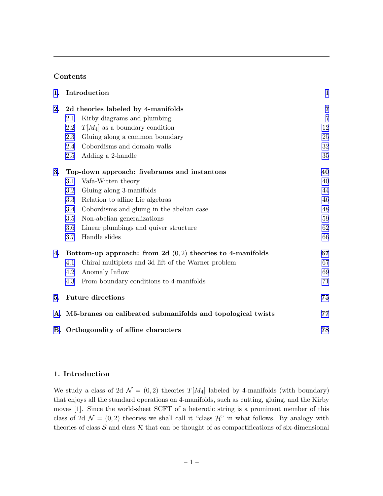## Contents

| Introduction<br>1.                                             |                                                     |                |
|----------------------------------------------------------------|-----------------------------------------------------|----------------|
| 2d theories labeled by 4-manifolds                             |                                                     | $\overline{7}$ |
| 2.1                                                            | Kirby diagrams and plumbing                         | $\overline{7}$ |
| 2.2                                                            | $T[M_4]$ as a boundary condition                    | 12             |
| 2.3                                                            | Gluing along a common boundary                      | 25             |
| 2.4                                                            | Cobordisms and domain walls                         | 32             |
| 2.5                                                            | Adding a 2-handle                                   | 35             |
| Top-down approach: fivebranes and instantons                   |                                                     | 40             |
| $3.1\,$                                                        | Vafa-Witten theory                                  | 40             |
| 3.2                                                            | Gluing along 3-manifolds                            | 44             |
| 3.3                                                            | Relation to affine Lie algebras                     | 46             |
| 3.4                                                            | Cobordisms and gluing in the abelian case           | 48             |
| 3.5                                                            | Non-abelian generalizations                         | 59             |
| 3.6                                                            | Linear plumbings and quiver structure               | 62             |
|                                                                | Handle slides                                       | 66             |
| Bottom-up approach: from 2d $(0,2)$ theories to 4-manifolds    |                                                     | 67             |
| 4.1                                                            | Chiral multiplets and 3d lift of the Warner problem | 67             |
| 4.2                                                            | Anomaly Inflow                                      | 69             |
| 4.3                                                            | From boundary conditions to 4-manifolds             | 71             |
| <b>Future directions</b><br>5.                                 |                                                     | 75             |
| A. M5-branes on calibrated submanifolds and topological twists |                                                     | 77             |
| B. Orthogonality of affine characters<br>78                    |                                                     |                |
|                                                                |                                                     | 3.7            |

# 1. Introduction

We study a class of 2d  $\mathcal{N} = (0, 2)$  theories  $T[M_4]$  labeled by 4-manifolds (with boundary) that enjoys all the standard operations on 4-manifolds, such as cutting, gluing, and the Kirby moves [1]. Since the world-sheet SCFT of a heterotic string is a prominent member of this class of 2d  $\mathcal{N} = (0, 2)$  theories we shall call it "class  $\mathcal{H}$ " in what follows. By analogy with theories of class  $S$  and class  $R$  that can be thought of as compactifications of six-dimensional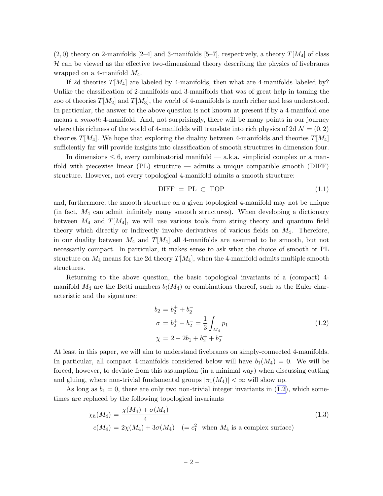<span id="page-2-0"></span> $(2,0)$  theory on 2-manifolds [2–4] and 3-manifolds [5–7], respectively, a theory  $T[M_4]$  of class  $H$  can be viewed as the effective two-dimensional theory describing the physics of fivebranes wrapped on a 4-manifold  $M_4$ .

If 2d theories  $T[M_4]$  are labeled by 4-manifolds, then what are 4-manifolds labeled by? Unlike the classification of 2-manifolds and 3-manifolds that was of great help in taming the zoo of theories  $T[M_2]$  and  $T[M_3]$ , the world of 4-manifolds is much richer and less understood. In particular, the answer to the above question is not known at present if by a 4-manifold one means a *smooth* 4-manifold. And, not surprisingly, there will be many points in our journey where this richness of the world of 4-manifolds will translate into rich physics of  $2d \mathcal{N} = (0, 2)$ theories  $T[M_4]$ . We hope that exploring the duality between 4-manifolds and theories  $T[M_4]$ sufficiently far will provide insights into classification of smooth structures in dimension four.

In dimensions  $\leq 6$ , every combinatorial manifold — a.k.a. simplicial complex or a manifold with piecewise linear (PL) structure — admits a unique compatible smooth (DIFF) structure. However, not every topological 4-manifold admits a smooth structure:

$$
DIFF = PL \subset TOP \tag{1.1}
$$

and, furthermore, the smooth structure on a given topological 4-manifold may not be unique (in fact,  $M_4$  can admit infinitely many smooth structures). When developing a dictionary between  $M_4$  and  $T[M_4]$ , we will use various tools from string theory and quantum field theory which directly or indirectly involve derivatives of various fields on  $M_4$ . Therefore, in our duality between  $M_4$  and  $T[M_4]$  all 4-manifolds are assumed to be smooth, but not necessarily compact. In particular, it makes sense to ask what the choice of smooth or PL structure on  $M_4$  means for the 2d theory  $T[M_4]$ , when the 4-manifold admits multiple smooth structures.

Returning to the above question, the basic topological invariants of a (compact) 4 manifold  $M_4$  are the Betti numbers  $b_i(M_4)$  or combinations thereof, such as the Euler characteristic and the signature:

$$
b_2 = b_2^+ + b_2^-
$$
  
\n
$$
\sigma = b_2^+ - b_2^- = \frac{1}{3} \int_{M_4} p_1
$$
  
\n
$$
\chi = 2 - 2b_1 + b_2^+ + b_2^-
$$
\n(1.2)

At least in this paper, we will aim to understand fivebranes on simply-connected 4-manifolds. In particular, all compact 4-manifolds considered below will have  $b_1(M_4) = 0$ . We will be forced, however, to deviate from this assumption (in a minimal way) when discussing cutting and gluing, where non-trivial fundamental groups  $|\pi_1(M_4)| < \infty$  will show up.

As long as  $b_1 = 0$ , there are only two non-trivial integer invariants in (1.2), which sometimes are replaced by the following topological invariants

$$
\chi_h(M_4) = \frac{\chi(M_4) + \sigma(M_4)}{4}
$$
\n
$$
c(M_4) = 2\chi(M_4) + 3\sigma(M_4) \quad (= c_1^2 \quad \text{when } M_4 \text{ is a complex surface})
$$
\n
$$
(1.3)
$$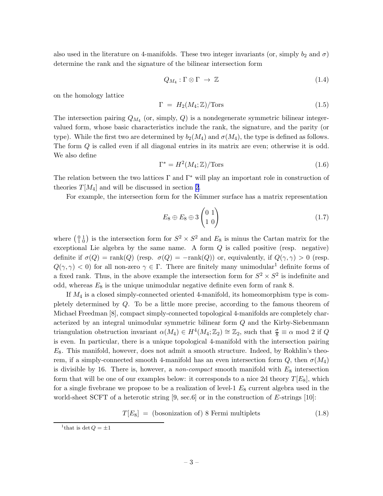<span id="page-3-0"></span>also used in the literature on 4-manifolds. These two integer invariants (or, simply  $b_2$  and  $\sigma$ ) determine the rank and the signature of the bilinear intersection form

$$
Q_{M_4} : \Gamma \otimes \Gamma \to \mathbb{Z} \tag{1.4}
$$

on the homology lattice

$$
\Gamma = H_2(M_4; \mathbb{Z})/\text{Tors} \tag{1.5}
$$

The intersection pairing  $Q_{M_4}$  (or, simply, Q) is a nondegenerate symmetric bilinear integervalued form, whose basic characteristics include the rank, the signature, and the parity (or type). While the first two are determined by  $b_2(M_4)$  and  $\sigma(M_4)$ , the type is defined as follows. The form Q is called even if all diagonal entries in its matrix are even; otherwise it is odd. We also define

$$
\Gamma^* = H^2(M_4; \mathbb{Z})/\text{Tors}
$$
\n<sup>(1.6)</sup>

The relation between the two lattices  $\Gamma$  and  $\Gamma^*$  will play an important role in construction of theories  $T[M_4]$  and will be discussed in section [2.](#page-7-0)

For example, the intersection form for the Kümmer surface has a matrix representation

$$
E_8 \oplus E_8 \oplus 3 \begin{pmatrix} 0 & 1 \\ 1 & 0 \end{pmatrix} \tag{1.7}
$$

where  $\binom{0}{1}$  is the intersection form for  $S^2 \times S^2$  and  $E_8$  is minus the Cartan matrix for the exceptional Lie algebra by the same name. A form  $Q$  is called positive (resp. negative) definite if  $\sigma(Q) = \text{rank}(Q)$  (resp.  $\sigma(Q) = -\text{rank}(Q)$ ) or, equivalently, if  $Q(\gamma, \gamma) > 0$  (resp.  $Q(\gamma, \gamma) < 0$  for all non-zero  $\gamma \in \Gamma$ . There are finitely many unimodular<sup>1</sup> definite forms of a fixed rank. Thus, in the above example the intersection form for  $S^2 \times S^2$  is indefinite and odd, whereas  $E_8$  is the unique unimodular negative definite even form of rank 8.

If  $M_4$  is a closed simply-connected oriented 4-manifold, its homeomorphism type is completely determined by Q. To be a little more precise, according to the famous theorem of Michael Freedman [8], compact simply-connected topological 4-manifolds are completely characterized by an integral unimodular symmetric bilinear form Q and the Kirby-Siebenmann triangulation obstruction invariant  $\alpha(M_4) \in H^4(M_4; \mathbb{Z}_2) \cong \mathbb{Z}_2$ , such that  $\frac{\sigma}{8} \equiv \alpha \mod 2$  if Q is even. In particular, there is a unique topological 4-manifold with the intersection pairing  $E_8$ . This manifold, however, does not admit a smooth structure. Indeed, by Rokhlin's theorem, if a simply-connected smooth 4-manifold has an even intersection form  $Q$ , then  $\sigma(M_4)$ is divisible by 16. There is, however, a non-compact smooth manifold with  $E_8$  intersection form that will be one of our examples below: it corresponds to a nice 2d theory  $T[E_8]$ , which for a single fivebrane we propose to be a realization of level-1  $E_8$  current algebra used in the world-sheet SCFT of a heterotic string  $[9, \sec 6]$  or in the construction of E-strings  $[10]$ :

$$
T[E_8] = (bosonization of) 8 Fermi multiplets
$$
\n(1.8)

<sup>&</sup>lt;sup>1</sup>that is det  $Q = \pm 1$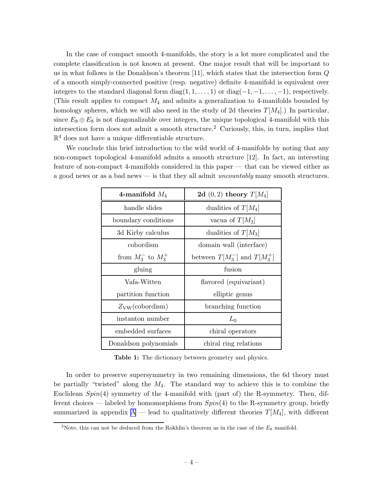<span id="page-4-0"></span>In the case of compact smooth 4-manifolds, the story is a lot more complicated and the complete classification is not known at present. One major result that will be important to us in what follows is the Donaldson's theorem [11], which states that the intersection form  $Q$ of a smooth simply-connected positive (resp. negative) definite 4-manifold is equivalent over integers to the standard diagonal form diag $(1, 1, \ldots, 1)$  or diag $(-1, -1, \ldots, -1)$ , respectively. (This result applies to compact  $M_4$  and admits a generalization to 4-manifolds bounded by homology spheres, which we will also need in the study of 2d theories  $T[M_4]$ .) In particular, since  $E_8 \oplus E_8$  is not diagonalizable over integers, the unique topological 4-manifold with this intersection form does not admit a smooth structure.<sup>2</sup> Curiously, this, in turn, implies that  $\mathbb{R}^4$  does not have a unique differentiable structure.

We conclude this brief introduction to the wild world of 4-manifolds by noting that any non-compact topological 4-manifold admits a smooth structure [12]. In fact, an interesting feature of non-compact 4-manifolds considered in this paper — that can be viewed either as a good news or as a bad news — is that they all admit uncountably many smooth structures.

| 4-manifold $M_4$            | 2d $(0, 2)$ theory $T[M_4]$       |  |
|-----------------------------|-----------------------------------|--|
| handle slides               | dualities of $T[M_4]$             |  |
| boundary conditions         | vacua of $T[M_3]$                 |  |
| 3d Kirby calculus           | dualities of $T[M_3]$             |  |
| cobordism                   | domain wall (interface)           |  |
| from $M_3^-$ to $M_3^+$     | between $T[M_3^-]$ and $T[M_3^+]$ |  |
| gluing                      | fusion                            |  |
| Vafa-Witten                 | flavored (equivariant)            |  |
| partition function          | elliptic genus                    |  |
| $Z_{\rm VW}(\rm cobordism)$ | branching function                |  |
| instanton number            | $L_0$                             |  |
| embedded surfaces           | chiral operators                  |  |
| Donaldson polynomials       | chiral ring relations             |  |

Table 1: The dictionary between geometry and physics.

In order to preserve supersymmetry in two remaining dimensions, the 6d theory must be partially "twisted" along the  $M_4$ . The standard way to achieve this is to combine the Euclidean  $Spin(4)$  symmetry of the 4-manifold with (part of) the R-symmetry. Then, different choices — labeled by homomorphisms from  $Spin(4)$  to the R-symmetry group, briefly summarized in appendix  $A$  — lead to qualitatively different theories  $T[M_4]$ , with different

<sup>&</sup>lt;sup>2</sup>Note, this can not be deduced from the Rokhlin's theorem as in the case of the  $E_8$  manifold.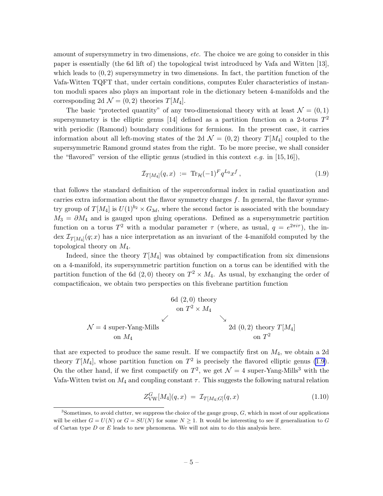<span id="page-5-0"></span>amount of supersymmetry in two dimensions, *etc*. The choice we are going to consider in this paper is essentially (the 6d lift of) the topological twist introduced by Vafa and Witten [13], which leads to  $(0, 2)$  supersymmetry in two dimensions. In fact, the partition function of the Vafa-Witten TQFT that, under certain conditions, computes Euler characteristics of instanton moduli spaces also plays an important role in the dictionary beteen 4-manifolds and the corresponding 2d  $\mathcal{N} = (0, 2)$  theories  $T[M_4]$ .

The basic "protected quantity" of any two-dimensional theory with at least  $\mathcal{N} = (0, 1)$ supersymmetry is the elliptic genus [14] defined as a partition function on a 2-torus  $T^2$ with periodic (Ramond) boundary conditions for fermions. In the present case, it carries information about all left-moving states of the 2d  $\mathcal{N} = (0, 2)$  theory  $T[M_4]$  coupled to the supersymmetric Ramond ground states from the right. To be more precise, we shall consider the "flavored" version of the elliptic genus (studied in this context e.g. in  $[15, 16]$ ),

$$
\mathcal{I}_{T[M_4]}(q,x) := \text{Tr}_{\mathcal{H}}(-1)^F q^{L_0} x^f , \qquad (1.9)
$$

that follows the standard definition of the superconformal index in radial quantization and carries extra information about the flavor symmetry charges  $f$ . In general, the flavor symmetry group of  $T[M_4]$  is  $U(1)^{b_2} \times G_{3d}$ , where the second factor is associated with the boundary  $M_3 = \partial M_4$  and is gauged upon gluing operations. Defined as a supersymmetric partition function on a torus  $T^2$  with a modular parameter  $\tau$  (where, as usual,  $q = e^{2\pi i \tau}$ ), the index  $\mathcal{I}_{T[M_4]}(q;x)$  has a nice interpretation as an invariant of the 4-manifold computed by the topological theory on  $M_4$ .

Indeed, since the theory  $T[M_4]$  was obtained by compactification from six dimensions on a 4-manifold, its supersymmetric partition function on a torus can be identified with the partition function of the 6d  $(2,0)$  theory on  $T^2 \times M_4$ . As usual, by exchanging the order of compactificaion, we obtain two perspecties on this fivebrane partition function

$$
\begin{array}{c}\n6d (2,0) \text{ theory} \\
\text{on } T^2 \times M_4\n\end{array}
$$
\n
$$
\begin{array}{c}\n\bigvee \\
\mathcal{N} = 4 \text{ super-Yang-Mills} \\
\text{on } M_4\n\end{array}
$$
\n
$$
\begin{array}{c}\n2d (0,2) \text{ theory } T[M_4] \\
\text{on } T^2\n\end{array}
$$

that are expected to produce the same result. If we compactify first on  $M_4$ , we obtain a 2d theory  $T[M_4]$ , whose partition function on  $T^2$  is precisely the flavored elliptic genus (1.9). On the other hand, if we first compactify on  $T^2$ , we get  $\mathcal{N}=4$  super-Yang-Mills<sup>3</sup> with the Vafa-Witten twist on  $M_4$  and coupling constant  $\tau$ . This suggests the following natural relation

$$
Z_{\text{VW}}^G[M_4](q,x) = \mathcal{I}_{T[M_4;G]}(q,x) \tag{1.10}
$$

 $3$ Sometimes, to avoid clutter, we suppress the choice of the gauge group,  $G$ , which in most of our applications will be either  $G = U(N)$  or  $G = SU(N)$  for some  $N \geq 1$ . It would be interesting to see if generalization to G of Cartan type  $D$  or  $E$  leads to new phenomena. We will not aim to do this analysis here.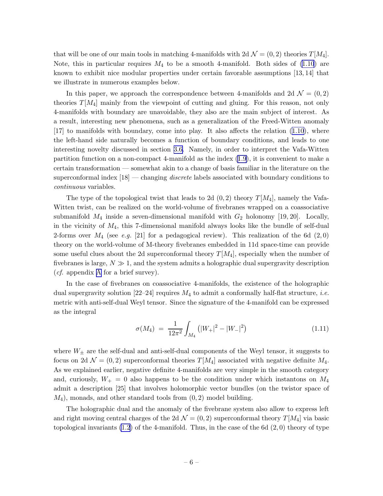that will be one of our main tools in matching 4-manifolds with  $2d \mathcal{N} = (0, 2)$  theories  $T[M_4]$ . Note, this in particular requires  $M_4$  to be a smooth 4-manifold. Both sides of  $(1.10)$  are known to exhibit nice modular properties under certain favorable assumptions [13, 14] that we illustrate in numerous examples below.

In this paper, we approach the correspondence between 4-manifolds and 2d  $\mathcal{N} = (0, 2)$ theories  $T[M_4]$  mainly from the viewpoint of cutting and gluing. For this reason, not only 4-manifolds with boundary are unavoidable, they also are the main subject of interest. As a result, interesting new phenomena, such as a generalization of the Freed-Witten anomaly [17] to manifolds with boundary, come into play. It also affects the relation([1.10](#page-5-0)), where the left-hand side naturally becomes a function of boundary conditions, and leads to one interesting novelty discussed in section [3.6.](#page-62-0) Namely, in order to interpret the Vafa-Witten partition function on a non-compact 4-manifold as the index [\(1.9\)](#page-5-0), it is convenient to make a certain transformation — somewhat akin to a change of basis familiar in the literature on the superconformal index  $[18]$  — changing *discrete* labels associated with boundary conditions to continuous variables.

The type of the topological twist that leads to 2d  $(0, 2)$  theory  $T[M_4]$ , namely the Vafa-Witten twist, can be realized on the world-volume of fivebranes wrapped on a coassociative submanifold  $M_4$  inside a seven-dimensional manifold with  $G_2$  holonomy [19, 20]. Locally, in the vicinity of  $M_4$ , this 7-dimensional manifold always looks like the bundle of self-dual 2-forms over  $M_4$  (see e.g. [21] for a pedagogical review). This realization of the 6d (2,0) theory on the world-volume of M-theory fivebranes embedded in 11d space-time can provide some useful clues about the 2d superconformal theory  $T[M_4]$ , especially when the number of fivebranes is large,  $N \gg 1$ , and the system admits a holographic dual supergravity description (*cf.* appendix [A](#page-77-0) for a brief survey).

In the case of fivebranes on coassociative 4-manifolds, the existence of the holographic dual supergravity solution  $[22-24]$  requires  $M_4$  to admit a conformally half-flat structure, *i.e.* metric with anti-self-dual Weyl tensor. Since the signature of the 4-manifold can be expressed as the integral

$$
\sigma(M_4) = \frac{1}{12\pi^2} \int_{M_4} (|W_+|^2 - |W_-|^2) \tag{1.11}
$$

where  $W_{\pm}$  are the self-dual and anti-self-dual components of the Weyl tensor, it suggests to focus on 2d  $\mathcal{N} = (0, 2)$  superconformal theories  $T[M_4]$  associated with negative definite  $M_4$ . As we explained earlier, negative definite 4-manifolds are very simple in the smooth category and, curiously,  $W_+ = 0$  also happens to be the condition under which instantons on  $M_4$ admit a description [25] that involves holomorphic vector bundles (on the twistor space of  $M_4$ , monads, and other standard tools from  $(0, 2)$  model building.

The holographic dual and the anomaly of the fivebrane system also allow to express left and right moving central charges of the 2d  $\mathcal{N} = (0, 2)$  superconformal theory  $T[M_4]$  via basic topological invariants  $(1.2)$  of the 4-manifold. Thus, in the case of the 6d  $(2,0)$  theory of type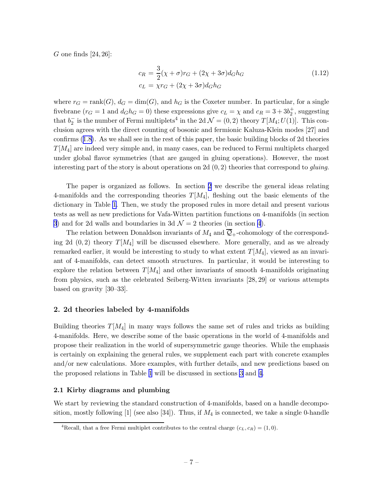<span id="page-7-0"></span>G one finds  $[24, 26]$ :

$$
c_R = \frac{3}{2}(\chi + \sigma)r_G + (2\chi + 3\sigma)d_Gh_G
$$
  
\n
$$
c_L = \chi r_G + (2\chi + 3\sigma)d_Gh_G
$$
\n(1.12)

where  $r_G = \text{rank}(G)$ ,  $d_G = \dim(G)$ , and  $h_G$  is the Coxeter number. In particular, for a single fivebrane  $(r_G = 1 \text{ and } d_G h_G = 0)$  these expressions give  $c_L = \chi$  and  $c_R = 3 + 3b_2^+$ , suggesting that  $b_2^-$  is the number of Fermi multiplets<sup>4</sup> in the 2d  $\mathcal{N} = (0, 2)$  theory  $T[M_4; U(1)]$ . This conclusion agrees with the direct counting of bosonic and fermionic Kaluza-Klein modes [27] and confirms([1.8\)](#page-3-0). As we shall see in the rest of this paper, the basic building blocks of 2d theories  $T[M_4]$  are indeed very simple and, in many cases, can be reduced to Fermi multiplets charged under global flavor symmetries (that are gauged in gluing operations). However, the most interesting part of the story is about operations on 2d  $(0, 2)$  theories that correspond to *gluing*.

The paper is organized as follows. In section 2 we describe the general ideas relating 4-manifolds and the corresponding theories  $T[M_4]$ , fleshing out the basic elements of the dictionary in Table [1.](#page-4-0) Then, we study the proposed rules in more detail and present various tests as well as new predictions for Vafa-Witten partition functions on 4-manifolds (in section [3](#page-40-0)) and for 2d walls and boundaries in 3d  $\mathcal{N}=2$  theories (in section [4](#page-67-0)).

The relation between Donaldson invariants of  $M_4$  and  $\overline{Q}_+$ -cohomology of the corresponding 2d  $(0, 2)$  theory  $T[M_4]$  will be discussed elsewhere. More generally, and as we already remarked earlier, it would be interesting to study to what extent  $T[M_4]$ , viewed as an invariant of 4-manifolds, can detect smooth structures. In particular, it would be interesting to explore the relation between  $T[M_4]$  and other invariants of smooth 4-manifolds originating from physics, such as the celebrated Seiberg-Witten invariants [28, 29] or various attempts based on gravity [30–33].

### 2. 2d theories labeled by 4-manifolds

Building theories  $T[M_4]$  in many ways follows the same set of rules and tricks as building 4-manifolds. Here, we describe some of the basic operations in the world of 4-manifolds and propose their realization in the world of supersymmetric gauge theories. While the emphasis is certainly on explaining the general rules, we supplement each part with concrete examples and/or new calculations. More examples, with further details, and new predictions based on the proposed relations in Table [1](#page-4-0) will be discussed in sections [3](#page-40-0) and [4](#page-67-0).

### 2.1 Kirby diagrams and plumbing

We start by reviewing the standard construction of 4-manifolds, based on a handle decomposition, mostly following  $[1]$  (see also  $[34]$ ). Thus, if  $M_4$  is connected, we take a single 0-handle

<sup>&</sup>lt;sup>4</sup>Recall, that a free Fermi multiplet contributes to the central charge  $(c_L, c_R) = (1, 0)$ .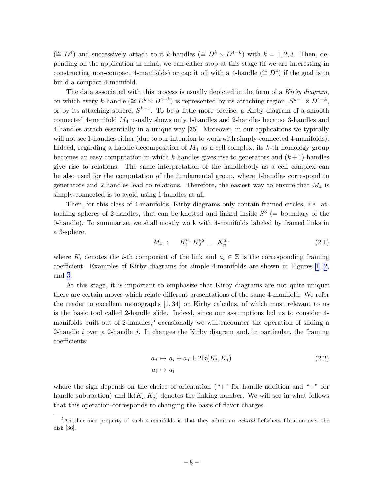<span id="page-8-0"></span>(≅  $D^4$ ) and successively attach to it k-handles (≅  $D^k \times D^{4-k}$ ) with  $k = 1, 2, 3$ . Then, depending on the application in mind, we can either stop at this stage (if we are interesting in constructing non-compact 4-manifolds) or cap it off with a 4-handle ( $\cong D<sup>4</sup>$ ) if the goal is to build a compact 4-manifold.

The data associated with this process is usually depicted in the form of a Kirby diagram, on which every k-handle ( $\cong D^k \times D^{4-k}$ ) is represented by its attaching region,  $S^{k-1} \times D^{4-k}$ , or by its attaching sphere,  $S^{k-1}$ . To be a little more precise, a Kirby diagram of a smooth connected 4-manifold M<sup>4</sup> usually shows only 1-handles and 2-handles because 3-handles and 4-handles attach essentially in a unique way [35]. Moreover, in our applications we typically will not see 1-handles either (due to our intention to work with simply-connected 4-manifolds). Indeed, regarding a handle decomposition of  $M_4$  as a cell complex, its k-th homology group becomes an easy computation in which k-handles gives rise to generators and  $(k+1)$ -handles give rise to relations. The same interpretation of the handlebody as a cell complex can be also used for the computation of the fundamental group, where 1-handles correspond to generators and 2-handles lead to relations. Therefore, the easiest way to ensure that  $M_4$  is simply-connected is to avoid using 1-handles at all.

Then, for this class of 4-manifolds, Kirby diagrams only contain framed circles, i.e. attaching spheres of 2-handles, that can be knotted and linked inside  $S^3$  (= boundary of the 0-handle). To summarize, we shall mostly work with 4-manifolds labeled by framed links in a 3-sphere,

$$
M_4: K_1^{a_1} K_2^{a_2} \dots K_n^{a_n}
$$
 (2.1)

where  $K_i$  denotes the *i*-th component of the link and  $a_i \in \mathbb{Z}$  is the corresponding framing coefficient. Examples of Kirby diagrams for simple 4-manifolds are shown in Figures [1,](#page-9-0) [2](#page-10-0), and [3](#page-11-0).

At this stage, it is important to emphasize that Kirby diagrams are not quite unique: there are certain moves which relate different presentations of the same 4-manifold. We refer the reader to excellent monographs [1, 34] on Kirby calculus, of which most relevant to us is the basic tool called 2-handle slide. Indeed, since our assumptions led us to consider 4 manifolds built out of 2-handles,<sup>5</sup> occasionally we will encounter the operation of sliding a 2-handle i over a 2-handle j. It changes the Kirby diagram and, in particular, the framing coefficients:

$$
a_j \mapsto a_i + a_j \pm 2\text{lk}(K_i, K_j)
$$
  
\n
$$
a_i \mapsto a_i
$$
\n(2.2)

where the sign depends on the choice of orientation ("+" for handle addition and "−" for handle subtraction) and  $lk(K_i, K_j)$  denotes the linking number. We will see in what follows that this operation corresponds to changing the basis of flavor charges.

<sup>5</sup>Another nice property of such 4-manifolds is that they admit an achiral Lefschetz fibration over the disk [36].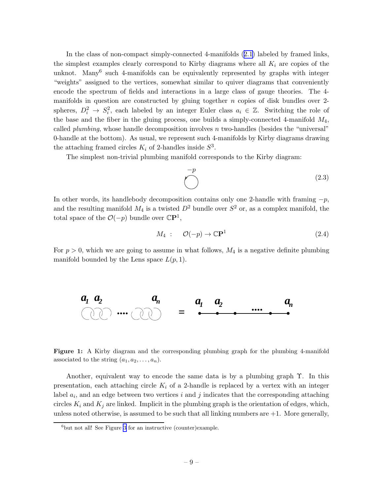<span id="page-9-0"></span>In the class of non-compact simply-connected 4-manifolds [\(2.1\)](#page-8-0) labeled by framed links, the simplest examples clearly correspond to Kirby diagrams where all  $K_i$  are copies of the unknot. Many<sup>6</sup> such 4-manifolds can be equivalently represented by graphs with integer "weights" assigned to the vertices, somewhat similar to quiver diagrams that conveniently encode the spectrum of fields and interactions in a large class of gauge theories. The 4 manifolds in question are constructed by gluing together  $n$  copies of disk bundles over 2spheres,  $D_i^2 \to S_i^2$ , each labeled by an integer Euler class  $a_i \in \mathbb{Z}$ . Switching the role of the base and the fiber in the gluing process, one builds a simply-connected 4-manifold  $M_4$ , called *plumbing*, whose handle decomposition involves  $n$  two-handles (besides the "universal" 0-handle at the bottom). As usual, we represent such 4-manifolds by Kirby diagrams drawing the attaching framed circles  $K_i$  of 2-handles inside  $S^3$ .

The simplest non-trivial plumbing manifold corresponds to the Kirby diagram:

$$
\bigodot \qquad (2.3)
$$

In other words, its handlebody decomposition contains only one 2-handle with framing  $-p$ , and the resulting manifold  $M_4$  is a twisted  $D^2$  bundle over  $S^2$  or, as a complex manifold, the total space of the  $O(-p)$  bundle over  $\mathbb{C}P^1$ ,

$$
M_4: \mathcal{O}(-p) \to \mathbb{C}\mathbf{P}^1 \tag{2.4}
$$

For  $p > 0$ , which we are going to assume in what follows,  $M_4$  is a negative definite plumbing manifold bounded by the Lens space  $L(p, 1)$ .



Figure 1: A Kirby diagram and the corresponding plumbing graph for the plumbing 4-manifold associated to the string  $(a_1, a_2, \ldots, a_n)$ .

Another, equivalent way to encode the same data is by a plumbing graph Υ. In this presentation, each attaching circle  $K_i$  of a 2-handle is replaced by a vertex with an integer label  $a_i$ , and an edge between two vertices i and j indicates that the corresponding attaching circles  $K_i$  and  $K_j$  are linked. Implicit in the plumbing graph is the orientation of edges, which, unless noted otherwise, is assumed to be such that all linking numbers are  $+1$ . More generally,

 $6$ but not all! See Figure [3](#page-11-0) for an instructive (counter)example.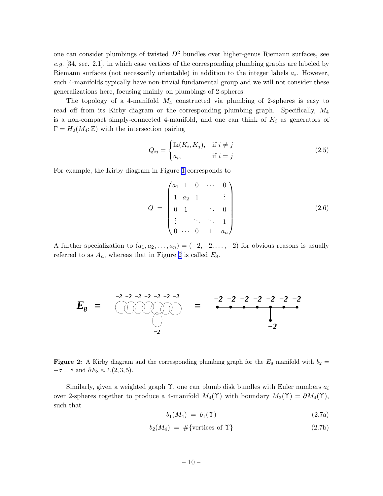<span id="page-10-0"></span>one can consider plumbings of twisted  $D^2$  bundles over higher-genus Riemann surfaces, see  $e.g.$  [34, sec. 2.1], in which case vertices of the corresponding plumbing graphs are labeled by Riemann surfaces (not necessarily orientable) in addition to the integer labels  $a_i$ . However, such 4-manifolds typically have non-trivial fundamental group and we will not consider these generalizations here, focusing mainly on plumbings of 2-spheres.

The topology of a 4-manifold  $M_4$  constructed via plumbing of 2-spheres is easy to read off from its Kirby diagram or the corresponding plumbing graph. Specifically, M<sup>4</sup> is a non-compact simply-connected 4-manifold, and one can think of  $K_i$  as generators of  $\Gamma = H_2(M_4; \mathbb{Z})$  with the intersection pairing

$$
Q_{ij} = \begin{cases} \text{lk}(K_i, K_j), & \text{if } i \neq j \\ a_i, & \text{if } i = j \end{cases}
$$
 (2.5)

For example, the Kirby diagram in Figure [1](#page-9-0) corresponds to

$$
Q = \begin{pmatrix} a_1 & 1 & 0 & \cdots & 0 \\ 1 & a_2 & 1 & & \vdots \\ 0 & 1 & & \ddots & 0 \\ \vdots & & \ddots & \ddots & 1 \\ 0 & \cdots & 0 & 1 & a_n \end{pmatrix}
$$
 (2.6)

A further specialization to  $(a_1, a_2, \ldots, a_n) = (-2, -2, \ldots, -2)$  for obvious reasons is usually referred to as  $A_n$ , whereas that in Figure 2 is called  $E_8$ .



Figure 2: A Kirby diagram and the corresponding plumbing graph for the  $E_8$  manifold with  $b_2 =$  $-\sigma = 8$  and  $\partial E_8 \approx \Sigma(2,3,5)$ .

Similarly, given a weighted graph  $\Upsilon$ , one can plumb disk bundles with Euler numbers  $a_i$ over 2-spheres together to produce a 4-manifold  $M_4(\Upsilon)$  with boundary  $M_3(\Upsilon) = \partial M_4(\Upsilon)$ , such that

$$
b_1(M_4) = b_1(\Upsilon) \tag{2.7a}
$$

$$
b_2(M_4) = #\{\text{vertices of }\Upsilon\}\tag{2.7b}
$$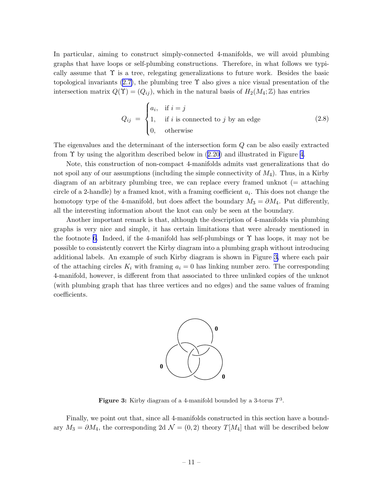<span id="page-11-0"></span>In particular, aiming to construct simply-connected 4-manifolds, we will avoid plumbing graphs that have loops or self-plumbing constructions. Therefore, in what follows we typically assume that  $\Upsilon$  is a tree, relegating generalizations to future work. Besides the basic topologicalinvariants  $(2.7)$  $(2.7)$ , the plumbing tree  $\Upsilon$  also gives a nice visual presentation of the intersection matrix  $Q(\Upsilon) = (Q_{ij})$ , which in the natural basis of  $H_2(M_4; \mathbb{Z})$  has entries

$$
Q_{ij} = \begin{cases} a_i, & \text{if } i = j \\ 1, & \text{if } i \text{ is connected to } j \text{ by an edge} \\ 0, & \text{otherwise} \end{cases}
$$
 (2.8)

The eigenvalues and the determinant of the intersection form Q can be also easily extracted from $\Upsilon$  by using the algorithm described below in ([2.20](#page-16-0)) and illustrated in Figure [4](#page-15-0).

Note, this construction of non-compact 4-manifolds admits vast generalizations that do not spoil any of our assumptions (including the simple connectivity of  $M_4$ ). Thus, in a Kirby diagram of an arbitrary plumbing tree, we can replace every framed unknot (= attaching circle of a 2-handle) by a framed knot, with a framing coefficient  $a_i$ . This does not change the homotopy type of the 4-manifold, but does affect the boundary  $M_3 = \partial M_4$ . Put differently, all the interesting information about the knot can only be seen at the boundary.

Another important remark is that, although the description of 4-manifolds via plumbing graphs is very nice and simple, it has certain limitations that were already mentioned in the footnote [6](#page-9-0). Indeed, if the 4-manifold has self-plumbings or  $\Upsilon$  has loops, it may not be possible to consistently convert the Kirby diagram into a plumbing graph without introducing additional labels. An example of such Kirby diagram is shown in Figure 3, where each pair of the attaching circles  $K_i$  with framing  $a_i = 0$  has linking number zero. The corresponding 4-manifold, however, is different from that associated to three unlinked copies of the unknot (with plumbing graph that has three vertices and no edges) and the same values of framing coefficients.



Figure 3: Kirby diagram of a 4-manifold bounded by a 3-torus  $T^3$ .

Finally, we point out that, since all 4-manifolds constructed in this section have a boundary  $M_3 = \partial M_4$ , the corresponding 2d  $\mathcal{N} = (0, 2)$  theory  $T[M_4]$  that will be described below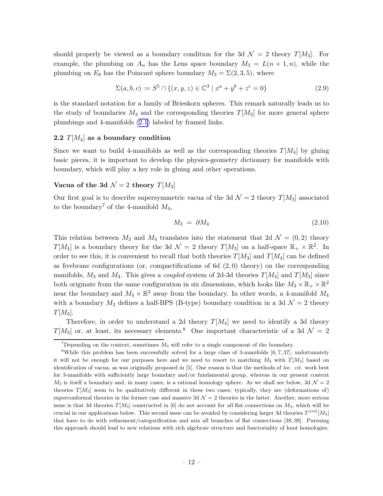<span id="page-12-0"></span>should properly be viewed as a boundary condition for the 3d  $\mathcal{N}=2$  theory  $T[M_3]$ . For example, the plumbing on  $A_n$  has the Lens space boundary  $M_3 = L(n+1,n)$ , while the plumbing on  $E_8$  has the Poincaré sphere boundary  $M_3 = \Sigma(2, 3, 5)$ , where

$$
\Sigma(a, b, c) := S^5 \cap \{(x, y, z) \in \mathbb{C}^3 \mid x^a + y^b + z^c = 0\}
$$
\n(2.9)

is the standard notation for a family of Brieskorn spheres. This remark naturally leads us to the study of boundaries  $M_3$  and the corresponding theories  $T[M_3]$  for more general sphere plumbings and 4-manifolds [\(2.1\)](#page-8-0) labeled by framed links.

### 2.2  $T[M_4]$  as a boundary condition

Since we want to build 4-manifolds as well as the corresponding theories  $T[M_4]$  by gluing basic pieces, it is important to develop the physics-geometry dictionary for manifolds with boundary, which will play a key role in gluing and other operations.

### Vacua of the 3d  $\mathcal{N}=2$  theory  $T[M_3]$

Our first goal is to describe supersymmetric vacua of the 3d  $\mathcal{N}=2$  theory  $T[M_3]$  associated to the boundary<sup>7</sup> of the 4-manifold  $M_4$ ,

$$
M_3 = \partial M_4 \tag{2.10}
$$

This relation between  $M_3$  and  $M_4$  translates into the statement that 2d  $\mathcal{N} = (0, 2)$  theory  $T[M_4]$  is a boundary theory for the 3d  $\mathcal{N}=2$  theory  $T[M_3]$  on a half-space  $\mathbb{R}_+ \times \mathbb{R}^2$ . In order to see this, it is convenient to recall that both theories  $T[M_3]$  and  $T[M_4]$  can be defined as fivebrane configurations (or, compactifications of 6d  $(2,0)$  theory) on the corresponding manifolds,  $M_3$  and  $M_4$ . This gives a *coupled* system of 2d-3d theories  $T[M_4]$  and  $T[M_3]$  since both originate from the same configuration in six dimensions, which looks like  $M_3 \times \mathbb{R}_+ \times \mathbb{R}^2$ near the boundary and  $M_4 \times \mathbb{R}^2$  away from the boundary. In other words, a 4-manifold  $M_4$ with a boundary  $M_3$  defines a half-BPS (B-type) boundary condition in a 3d  $\mathcal{N}=2$  theory  $T[M_3]$ .

Therefore, in order to understand a 2d theory  $T[M_4]$  we need to identify a 3d theory  $T[M_3]$  or, at least, its necessary elements.<sup>8</sup> One important characteristic of a 3d  $\mathcal{N}=2$ 

<sup>&</sup>lt;sup>7</sup>Depending on the context, sometimes  $M_3$  will refer to a single component of the boundary.

<sup>8</sup>While this problem has been successfully solved for a large class of 3-manifolds [6, 7, 37], unfortunately it will not be enough for our purposes here and we need to resort to matching  $M_3$  with  $T[M_3]$  based on identification of vacua, as was originally proposed in [5]. One reason is that the methods of loc. cit. work best for 3-manifolds with sufficiently large boundary and/or fundamental group, whereas in our present context  $M_3$  is itself a boundary and, in many cases, is a rational homology sphere. As we shall see below, 3d  $\mathcal{N}=2$ theories  $T[M_3]$  seem to be qualitatively different in these two cases; typically, they are (deformations of) superconformal theories in the former case and massive  $3d\mathcal{N}=2$  theories in the latter. Another, more serious issue is that 3d theories  $T[M_3]$  constructed in [6] do not account for all flat connections on  $M_3$ , which will be crucial in our applications below. This second issue can be avoided by considering larger 3d theories  $T^{\text{(ref)}}[M_3]$ that have to do with refinement/categorification and mix all branches of flat connections [38, 39]. Pursuing this approach should lead to new relations with rich algebraic structure and functoriality of knot homologies.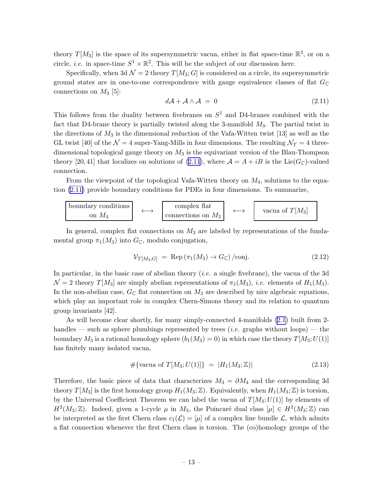<span id="page-13-0"></span>theory  $T[M_3]$  is the space of its supersymmetric vacua, either in flat space-time  $\mathbb{R}^3$ , or on a circle, *i.e.* in space-time  $S^1 \times \mathbb{R}^2$ . This will be the subject of our discussion here.

Specifically, when 3d  $\mathcal{N} = 2$  theory  $T[M_3; G]$  is considered on a circle, its supersymmetric ground states are in one-to-one correspondence with gauge equivalence classes of flat  $G_{\mathbb{C}}$ connections on  $M_3$  [5]:

$$
d\mathcal{A} + \mathcal{A} \wedge \mathcal{A} = 0 \tag{2.11}
$$

This follows from the duality between fivebranes on  $S<sup>1</sup>$  and D4-branes combined with the fact that D4-brane theory is partially twisted along the 3-manifold  $M_3$ . The partial twist in the directions of  $M_3$  is the dimensional reduction of the Vafa-Witten twist [13] as well as the GL twist [40] of the  $\mathcal{N}=4$  super-Yang-Mills in four dimensions. The resulting  $\mathcal{N}_T=4$  threedimensional topological gauge theory on  $M_3$  is the equivariant version of the Blau-Thompson theory [20,41] that localizes on solutions of (2.11), where  $\mathcal{A} = A + iB$  is the Lie( $G_{\mathbb{C}}$ )-valued connection.

From the viewpoint of the topological Vafa-Witten theory on  $M_4$ , solutions to the equation (2.11) provide boundary conditions for PDEs in four dimensions. To summarize,

boundary conditions  
on 
$$
M_4
$$
  $\longleftrightarrow$   $\begin{array}{c} \text{complex flat} \\ \text{connections on } M_3 \end{array}$   $\longleftrightarrow$   $\begin{array}{c} \text{vacua of } T[M_3] \end{array}$ 

In general, complex flat connections on  $M_3$  are labeled by representations of the fundamental group  $\pi_1(M_3)$  into  $G_{\mathbb{C}}$ , modulo conjugation,

$$
\mathcal{V}_{T[M_3;G]} = \text{Rep}\left(\pi_1(M_3) \to G_{\mathbb{C}}\right) / \text{conj.} \tag{2.12}
$$

In particular, in the basic case of abelian theory (*i.e.* a single fivebrane), the vacua of the 3d  $\mathcal{N} = 2$  theory  $T[M_3]$  are simply abelian representations of  $\pi_1(M_3)$ , *i.e.* elements of  $H_1(M_3)$ . In the non-abelian case,  $G_{\mathbb{C}}$  flat connection on  $M_3$  are described by nice algebraic equations, which play an important role in complex Chern-Simons theory and its relation to quantum group invariants [42].

As will become clear shortly, for many simply-connected 4-manifolds [\(2.1\)](#page-8-0) built from 2 handles — such as sphere plumbings represented by trees (*i.e.* graphs without loops) — the boundary  $M_3$  is a rational homology sphere  $(b_1(M_3) = 0)$  in which case the theory  $T[M_3; U(1)]$ has finitely many isolated vacua,

$$
\# \{ \text{vacua of } T[M_3; U(1)] \} = |H_1(M_3; \mathbb{Z})| \tag{2.13}
$$

Therefore, the basic piece of data that characterizes  $M_3 = \partial M_4$  and the corresponding 3d theory  $T[M_3]$  is the first homology group  $H_1(M_3;\mathbb{Z})$ . Equivalently, when  $H_1(M_3;\mathbb{Z})$  is torsion, by the Universal Coefficient Theorem we can label the vacua of  $T[M_3;U(1)]$  by elements of  $H^2(M_3; \mathbb{Z})$ . Indeed, given a 1-cycle  $\mu$  in  $M_3$ , the Poincaré dual class  $[\mu] \in H^2(M_3; \mathbb{Z})$  can be interpreted as the first Chern class  $c_1(\mathcal{L}) = |\mu|$  of a complex line bundle  $\mathcal{L}$ , which admits a flat connection whenever the first Chern class is torsion. The (co)homology groups of the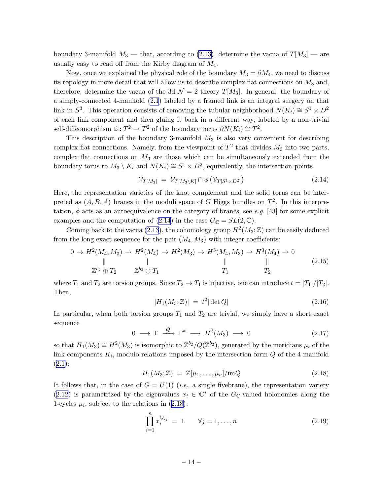<span id="page-14-0"></span>boundary 3-manifold  $M_3$  — that, according to [\(2.13\)](#page-13-0), determine the vacua of  $T[M_3]$  — are usually easy to read off from the Kirby diagram of  $M_4$ .

Now, once we explained the physical role of the boundary  $M_3 = \partial M_4$ , we need to discuss its topology in more detail that will allow us to describe complex flat connections on  $M_3$  and, therefore, determine the vacua of the 3d  $\mathcal{N}=2$  theory  $T[M_3]$ . In general, the boundary of a simply-connected 4-manifold [\(2.1](#page-8-0)) labeled by a framed link is an integral surgery on that link in  $S^3$ . This operation consists of removing the tubular neighborhood  $N(K_i) \cong S^1 \times D^2$ of each link component and then gluing it back in a different way, labeled by a non-trivial self-diffeomorphism  $\phi: T^2 \to T^2$  of the boundary torus  $\partial N(K_i) \cong T^2$ .

This description of the boundary 3-manifold  $M_3$  is also very convenient for describing complex flat connections. Namely, from the viewpoint of  $T^2$  that divides  $M_3$  into two parts, complex flat connections on  $M_3$  are those which can be simultaneously extended from the boundary torus to  $M_3 \setminus K_i$  and  $N(K_i) \cong S^1 \times D^2$ , equivalently, the intersection points

$$
\mathcal{V}_{T[M_3]} = \mathcal{V}_{T[M_3 \setminus K]} \cap \phi \left( \mathcal{V}_{T[S^1 \times D^2]} \right) \tag{2.14}
$$

Here, the representation varieties of the knot complement and the solid torus can be interpreted as  $(A, B, A)$  branes in the moduli space of G Higgs bundles on  $T<sup>2</sup>$ . In this interpretation,  $\phi$  acts as an autoequivalence on the category of branes, see e.g. [43] for some explicit examples and the computation of (2.14) in the case  $G_{\mathbb{C}} = SL(2, \mathbb{C})$ .

Comingback to the vacua ([2.13](#page-13-0)), the cohomology group  $H^2(M_3; \mathbb{Z})$  can be easily deduced from the long exact sequence for the pair  $(M_4, M_3)$  with integer coefficients:

$$
0 \to H^{2}(M_{4}, M_{3}) \to H^{2}(M_{4}) \to H^{2}(M_{3}) \to H^{3}(M_{4}, M_{3}) \to H^{3}(M_{4}) \to 0
$$
  
\n
$$
\parallel \qquad \qquad \parallel \qquad \qquad \parallel \qquad \qquad \parallel
$$
  
\n
$$
\mathbb{Z}^{b_{2}} \oplus T_{2} \qquad \mathbb{Z}^{b_{2}} \oplus T_{1} \qquad T_{1} \qquad T_{2}
$$
\n(2.15)

where  $T_1$  and  $T_2$  are torsion groups. Since  $T_2 \to T_1$  is injective, one can introduce  $t = |T_1|/|T_2|$ . Then,

$$
|H_1(M_3; \mathbb{Z})| = t^2 |\det Q| \tag{2.16}
$$

In particular, when both torsion groups  $T_1$  and  $T_2$  are trivial, we simply have a short exact sequence

$$
0 \longrightarrow \Gamma \stackrel{Q}{\longrightarrow} \Gamma^* \longrightarrow H^2(M_3) \longrightarrow 0 \tag{2.17}
$$

so that  $H_1(M_3) \cong H^2(M_3)$  is isomorphic to  $\mathbb{Z}^{b_2}/Q(\mathbb{Z}^{b_2})$ , generated by the meridians  $\mu_i$  of the link components  $K_i$ , modulo relations imposed by the intersection form  $Q$  of the 4-manifold  $(2.1):$  $(2.1):$  $(2.1):$ 

$$
H_1(M_3; \mathbb{Z}) = \mathbb{Z}[\mu_1, \dots, \mu_n] / \text{im}Q \qquad (2.18)
$$

It follows that, in the case of  $G = U(1)$  (*i.e.* a single fivebrane), the representation variety ([2.12](#page-13-0)) is parametrized by the eigenvalues  $x_i \in \mathbb{C}^*$  of the  $G_{\mathbb{C}}$ -valued holonomies along the 1-cycles  $\mu_i$ , subject to the relations in (2.18):

$$
\prod_{i=1}^{n} x_i^{Q_{ij}} = 1 \qquad \forall j = 1, ..., n
$$
 (2.19)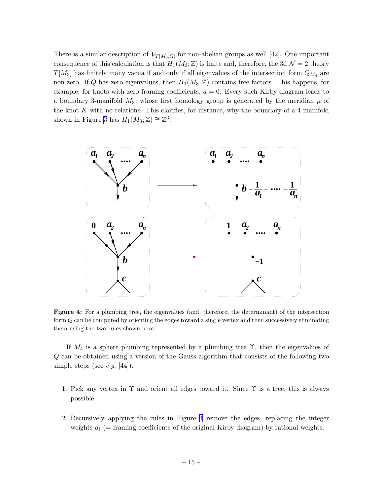<span id="page-15-0"></span>There is a similar description of  $\mathcal{V}_{T[M_3;G]}$  for non-abelian groups as well [42]. One important consequence of this calculation is that  $H_1(M_3; \mathbb{Z})$  is finite and, therefore, the 3d  $\mathcal{N}=2$  theory  $T[M_3]$  has finitely many vacua if and only if all eigenvalues of the intersection form  $Q_{M_4}$  are non-zero. If Q has zero eigenvalues, then  $H_1(M_3; \mathbb{Z})$  contains free factors. This happens, for example, for knots with zero framing coefficients,  $a = 0$ . Every such Kirby diagram leads to a boundary 3-manifold  $M_3$ , whose first homology group is generated by the meridian  $\mu$  of the knot  $K$  with no relations. This clarifies, for instance, why the boundary of a 4-manifold shown in Figure [3](#page-11-0) has  $H_1(M_3; \mathbb{Z}) \cong \mathbb{Z}^3$ .



Figure 4: For a plumbing tree, the eigenvalues (and, therefore, the determinant) of the intersection form Q can be computed by orienting the edges toward a single vertex and then successively eliminating them using the two rules shown here.

If  $M_4$  is a sphere plumbing represented by a plumbing tree  $\Upsilon$ , then the eigenvalues of Q can be obtained using a version of the Gauss algorithm that consists of the following two simple steps (see *e.g.* [44]):

- 1. Pick any vertex in  $\Upsilon$  and orient all edges toward it. Since  $\Upsilon$  is a tree, this is always possible.
- 2. Recursively applying the rules in Figure 4 remove the edges, replacing the integer weights  $a_i$  (= framing coefficients of the original Kirby diagram) by rational weights.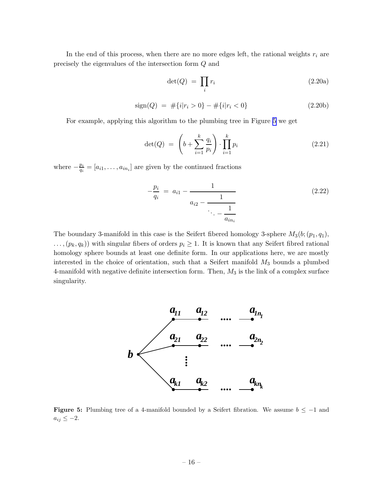<span id="page-16-0"></span>In the end of this process, when there are no more edges left, the rational weights  $r_i$  are precisely the eigenvalues of the intersection form Q and

$$
\det(Q) = \prod_i r_i \tag{2.20a}
$$

$$
sign(Q) = #{i|ri > 0} - #{i|ri < 0}
$$
\n(2.20b)

For example, applying this algorithm to the plumbing tree in Figure 5 we get

$$
\det(Q) = \left(b + \sum_{i=1}^{k} \frac{q_i}{p_i}\right) \cdot \prod_{i=1}^{k} p_i \tag{2.21}
$$

where  $-\frac{p_i}{q_i}$  $\frac{p_i}{q_i} = [a_{i1}, \dots, a_{in_i}]$  are given by the continued fractions

$$
-\frac{p_i}{q_i} = a_{i1} - \frac{1}{a_{i2} - \frac{1}{\ddots - \frac{1}{a_{in_i}}}}
$$
(2.22)

The boundary 3-manifold in this case is the Seifert fibered homology 3-sphere  $M_3(b;(p_1,q_1))$ ,  $\ldots$ ,  $(p_k, q_k)$ ) with singular fibers of orders  $p_i \geq 1$ . It is known that any Seifert fibred rational homology sphere bounds at least one definite form. In our applications here, we are mostly interested in the choice of orientation, such that a Seifert manifold  $M_3$  bounds a plumbed 4-manifold with negative definite intersection form. Then,  $M_3$  is the link of a complex surface singularity.



Figure 5: Plumbing tree of a 4-manifold bounded by a Seifert fibration. We assume  $b \le -1$  and  $a_{ij} \leq -2.$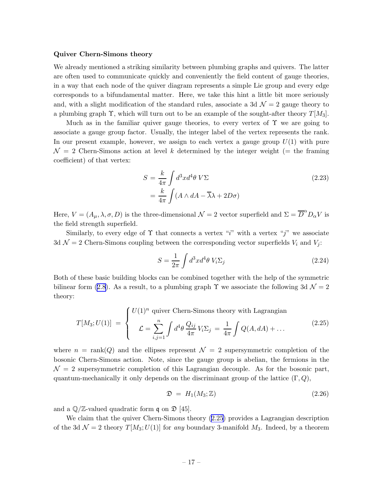#### <span id="page-17-0"></span>Quiver Chern-Simons theory

We already mentioned a striking similarity between plumbing graphs and quivers. The latter are often used to communicate quickly and conveniently the field content of gauge theories, in a way that each node of the quiver diagram represents a simple Lie group and every edge corresponds to a bifundamental matter. Here, we take this hint a little bit more seriously and, with a slight modification of the standard rules, associate a 3d  $\mathcal{N}=2$  gauge theory to a plumbing graph  $\Upsilon$ , which will turn out to be an example of the sought-after theory  $T[M_3]$ .

Much as in the familiar quiver gauge theories, to every vertex of  $\Upsilon$  we are going to associate a gauge group factor. Usually, the integer label of the vertex represents the rank. In our present example, however, we assign to each vertex a gauge group  $U(1)$  with pure  $\mathcal{N} = 2$  Chern-Simons action at level k determined by the integer weight (= the framing coefficient) of that vertex:

$$
S = \frac{k}{4\pi} \int d^3x d^4\theta \, V\Sigma
$$
  
=  $\frac{k}{4\pi} \int (A \wedge dA - \overline{\lambda}\lambda + 2D\sigma)$  (2.23)

Here,  $V = (A_{\mu}, \lambda, \sigma, D)$  is the three-dimensional  $\mathcal{N} = 2$  vector superfield and  $\Sigma = \overline{D}^{\alpha} D_{\alpha} V$  is the field strength superfield.

Similarly, to every edge of  $\Upsilon$  that connects a vertex "i" with a vertex "j" we associate 3d  $\mathcal{N}=2$  Chern-Simons coupling between the corresponding vector superfields  $V_i$  and  $V_j$ :

$$
S = \frac{1}{2\pi} \int d^3x d^4\theta \ V_i \Sigma_j \tag{2.24}
$$

Both of these basic building blocks can be combined together with the help of the symmetric bilinear form [\(2.8\)](#page-11-0). As a result, to a plumbing graph  $\Upsilon$  we associate the following 3d  $\mathcal{N} = 2$ theory:

$$
T[M_3; U(1)] = \begin{cases} U(1)^n \text{ quiver Chern-Simons theory with Lagrangian} \\ \mathcal{L} = \sum_{i,j=1}^n \int d^4 \theta \, \frac{Q_{ij}}{4\pi} V_i \Sigma_j = \frac{1}{4\pi} \int Q(A, dA) + \dots \end{cases} \tag{2.25}
$$

where  $n = \text{rank}(Q)$  and the ellipses represent  $\mathcal{N} = 2$  supersymmetric completion of the bosonic Chern-Simons action. Note, since the gauge group is abelian, the fermions in the  $\mathcal{N}=2$  supersymmetric completion of this Lagrangian decouple. As for the bosonic part, quantum-mechanically it only depends on the discriminant group of the lattice  $(\Gamma, Q)$ ,

$$
\mathfrak{D} = H_1(M_3; \mathbb{Z}) \tag{2.26}
$$

and a  $\mathbb{Q}/\mathbb{Z}$ -valued quadratic form q on  $\mathfrak{D}$  [45].

We claim that the quiver Chern-Simons theory (2.25) provides a Lagrangian description of the 3d  $\mathcal{N} = 2$  theory  $T[M_3; U(1)]$  for any boundary 3-manifold  $M_3$ . Indeed, by a theorem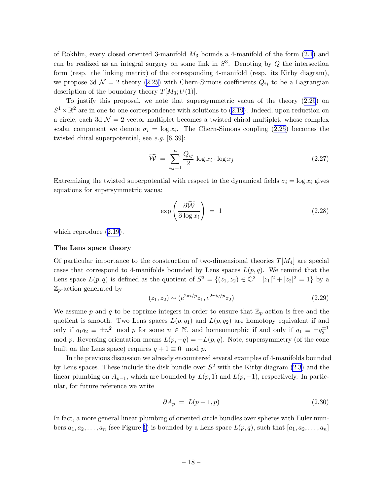<span id="page-18-0"></span>of Rokhlin, every closed oriented 3-manifold  $M_3$  bounds a 4-manifold of the form  $(2.1)$  and can be realized as an integral surgery on some link in  $S<sup>3</sup>$ . Denoting by Q the intersection form (resp. the linking matrix) of the corresponding 4-manifold (resp. its Kirby diagram), we propose 3d  $\mathcal{N}=2$  theory [\(2.25](#page-17-0)) with Chern-Simons coefficients  $Q_{ij}$  to be a Lagrangian description of the boundary theory  $T[M_3;U(1)]$ .

To justify this proposal, we note that supersymmetric vacua of the theory [\(2.25](#page-17-0)) on  $S^1 \times \mathbb{R}^2$  are in one-to-one correspondence with solutions to [\(2.19](#page-14-0)). Indeed, upon reduction on a circle, each 3d  $\mathcal{N} = 2$  vector multiplet becomes a twisted chiral multiplet, whose complex scalar component we denote  $\sigma_i = \log x_i$ . The Chern-Simons coupling [\(2.25](#page-17-0)) becomes the twisted chiral superpotential, see  $e.g.$  [6,39]:

$$
\widetilde{\mathcal{W}} = \sum_{i,j=1}^{n} \frac{Q_{ij}}{2} \log x_i \cdot \log x_j \tag{2.27}
$$

Extremizing the twisted superpotential with respect to the dynamical fields  $\sigma_i = \log x_i$  gives equations for supersymmetric vacua:

$$
\exp\left(\frac{\partial \widetilde{\mathcal{W}}}{\partial \log x_i}\right) = 1 \tag{2.28}
$$

whichreproduce  $(2.19)$  $(2.19)$ .

### The Lens space theory

Of particular importance to the construction of two-dimensional theories  $T[M_4]$  are special cases that correspond to 4-manifolds bounded by Lens spaces  $L(p, q)$ . We remind that the Lens space  $L(p,q)$  is defined as the quotient of  $S^3 = \{(z_1, z_2) \in \mathbb{C}^2 \mid |z_1|^2 + |z_2|^2 = 1\}$  by a  $\mathbb{Z}_p$ -action generated by

$$
(z_1, z_2) \sim (e^{2\pi i/p} z_1, e^{2\pi i q/p} z_2)
$$
\n(2.29)

We assume p and q to be coprime integers in order to ensure that  $\mathbb{Z}_p$ -action is free and the quotient is smooth. Two Lens spaces  $L(p, q_1)$  and  $L(p, q_2)$  are homotopy equivalent if and only if  $q_1q_2 \equiv \pm n^2 \mod p$  for some  $n \in \mathbb{N}$ , and homeomorphic if and only if  $q_1 \equiv \pm q_2^{\pm 1}$ mod p. Reversing orientation means  $L(p, -q) = -L(p, q)$ . Note, supersymmetry (of the cone built on the Lens space) requires  $q + 1 \equiv 0 \mod p$ .

In the previous discussion we already encountered several examples of 4-manifolds bounded by Lens spaces. These include the disk bundle over  $S^2$  with the Kirby diagram [\(2.3](#page-9-0)) and the linear plumbing on  $A_{p-1}$ , which are bounded by  $L(p, 1)$  and  $L(p, -1)$ , respectively. In particular, for future reference we write

$$
\partial A_p = L(p+1, p) \tag{2.30}
$$

In fact, a more general linear plumbing of oriented circle bundles over spheres with Euler numbers  $a_1, a_2, \ldots, a_n$  (see Figure [1](#page-9-0)) is bounded by a Lens space  $L(p, q)$ , such that  $[a_1, a_2, \ldots, a_n]$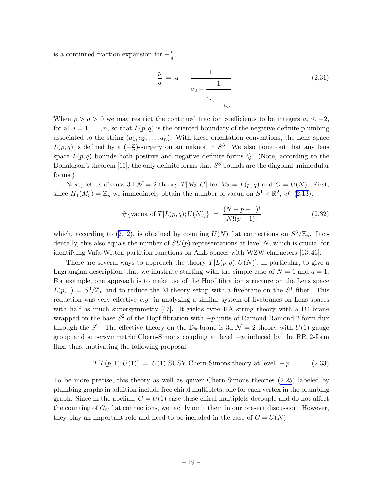<span id="page-19-0"></span>is a continued fraction expansion for  $-\frac{p}{q}$  $\frac{p}{q},$ 

$$
-\frac{p}{q} = a_1 - \frac{1}{a_2 - \frac{1}{\ddots - \frac{1}{a_n}}}
$$
(2.31)

When  $p > q > 0$  we may restrict the continued fraction coefficients to be integers  $a_i \leq -2$ , for all  $i = 1, \ldots, n$ , so that  $L(p, q)$  is the oriented boundary of the negative definite plumbing associated to the string  $(a_1, a_2, \ldots, a_n)$ . With these orientation conventions, the Lens space  $L(p,q)$  is defined by a  $\left(-\frac{p}{q}\right)$  $\frac{p}{q}$ )-surgery on an unknot in  $S^3$ . We also point out that any lens space  $L(p,q)$  bounds both positive and negative definite forms Q. (Note, according to the Donaldson's theorem [11], the only definite forms that  $S<sup>3</sup>$  bounds are the diagonal unimodular forms.)

Next, let us discuss 3d  $\mathcal{N} = 2$  theory  $T[M_3; G]$  for  $M_3 = L(p, q)$  and  $G = U(N)$ . First, since  $H_1(M_3) = \mathbb{Z}_p$  we immediately obtain the number of vacua on  $S^1 \times \mathbb{R}^2$ , cf. [\(2.13\)](#page-13-0):

$$
\#\{\text{vacua of }T[L(p,q);U(N)]\} = \frac{(N+p-1)!}{N!(p-1)!}
$$
\n(2.32)

which,according to ([2.12](#page-13-0)), is obtained by counting  $U(N)$  flat connections on  $S^3/\mathbb{Z}_p$ . Incidentally, this also equals the number of  $SU(p)$  representations at level N, which is crucial for identifying Vafa-Witten partition functions on ALE spaces with WZW characters [13, 46].

There are several ways to approach the theory  $T[L(p,q);U(N)]$ , in particular, to give a Lagrangian description, that we illustrate starting with the simple case of  $N = 1$  and  $q = 1$ . For example, one approach is to make use of the Hopf fibration structure on the Lens space  $L(p, 1) = S^3/\mathbb{Z}_p$  and to reduce the M-theory setup with a fivebrane on the  $S^1$  fiber. This reduction was very effective  $e.g.$  in analyzing a similar system of fivebranes on Lens spaces with half as much supersymmetry [47]. It yields type IIA string theory with a D4-brane wrapped on the base  $S^2$  of the Hopf fibration with  $-p$  units of Ramond-Ramond 2-form flux through the  $S^2$ . The effective theory on the D4-brane is 3d  $\mathcal{N}=2$  theory with  $U(1)$  gauge group and supersymmetric Chern-Simons coupling at level  $-p$  induced by the RR 2-form flux, thus, motivating the following proposal:

$$
T[L(p,1);U(1)] = U(1) SUSY Chern-Simons theory at level -p \qquad (2.33)
$$

To be more precise, this theory as well as quiver Chern-Simons theories [\(2.25](#page-17-0)) labeled by plumbing graphs in addition include free chiral multiplets, one for each vertex in the plumbing graph. Since in the abelian,  $G = U(1)$  case these chiral multiplets decouple and do not affect the counting of  $G_{\mathbb{C}}$  flat connections, we tacitly omit them in our present discussion. However, they play an important role and need to be included in the case of  $G = U(N)$ .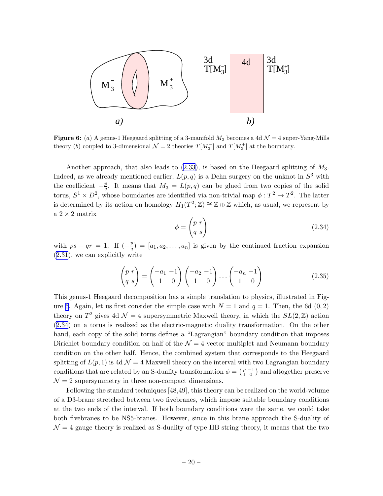<span id="page-20-0"></span>

Figure 6: (a) A genus-1 Heegaard splitting of a 3-manifold  $M_3$  becomes a 4d  $\mathcal{N}=4$  super-Yang-Mills theory (b) coupled to 3-dimensional  $\mathcal{N}=2$  theories  $T[M_3^-]$  and  $T[M_3^+]$  at the boundary.

Another approach, that also leads to  $(2.33)$ , is based on the Heegaard splitting of  $M_3$ . Indeed, as we already mentioned earlier,  $L(p,q)$  is a Dehn surgery on the unknot in  $S^3$  with the coefficient  $-\frac{p}{q}$  $\frac{p}{q}$ . It means that  $M_3 = L(p,q)$  can be glued from two copies of the solid torus,  $S^1 \times D^2$ , whose boundaries are identified via non-trivial map  $\phi: T^2 \to T^2$ . The latter is determined by its action on homology  $H_1(T^2; \mathbb{Z}) \cong \mathbb{Z} \oplus \mathbb{Z}$  which, as usual, we represent by a  $2\times 2$  matrix

$$
\phi = \begin{pmatrix} p & r \\ q & s \end{pmatrix} \tag{2.34}
$$

with  $ps - qr = 1$ . If  $\left(-\frac{p}{q}\right)$  $\left(\frac{p}{q}\right) = [a_1, a_2, \dots, a_n]$  is given by the continued fraction expansion ([2.31](#page-19-0)), we can explicitly write

$$
\begin{pmatrix} p r \\ q s \end{pmatrix} = \begin{pmatrix} -a_1 & -1 \\ 1 & 0 \end{pmatrix} \begin{pmatrix} -a_2 & -1 \\ 1 & 0 \end{pmatrix} \cdots \begin{pmatrix} -a_n & -1 \\ 1 & 0 \end{pmatrix}
$$
 (2.35)

This genus-1 Heegaard decomposition has a simple translation to physics, illustrated in Figure 6. Again, let us first consider the simple case with  $N = 1$  and  $q = 1$ . Then, the 6d (0, 2) theory on  $T^2$  gives 4d  $\mathcal{N} = 4$  supersymmetric Maxwell theory, in which the  $SL(2, \mathbb{Z})$  action (2.34) on a torus is realized as the electric-magnetic duality transformation. On the other hand, each copy of the solid torus defines a "Lagrangian" boundary condition that imposes Dirichlet boundary condition on half of the  $\mathcal{N} = 4$  vector multiplet and Neumann boundary condition on the other half. Hence, the combined system that corresponds to the Heegaard splitting of  $L(p, 1)$  is 4d  $\mathcal{N} = 4$  Maxwell theory on the interval with two Lagrangian boundary conditions that are related by an S-duality transformation  $\phi = \begin{pmatrix} p & -1 \\ 1 & 0 \end{pmatrix}$  and altogether preserve  $\mathcal{N}=2$  supersymmetry in three non-compact dimensions.

Following the standard techniques [48,49], this theory can be realized on the world-volume of a D3-brane stretched between two fivebranes, which impose suitable boundary conditions at the two ends of the interval. If both boundary conditions were the same, we could take both fivebranes to be NS5-branes. However, since in this brane approach the S-duality of  $\mathcal{N} = 4$  gauge theory is realized as S-duality of type IIB string theory, it means that the two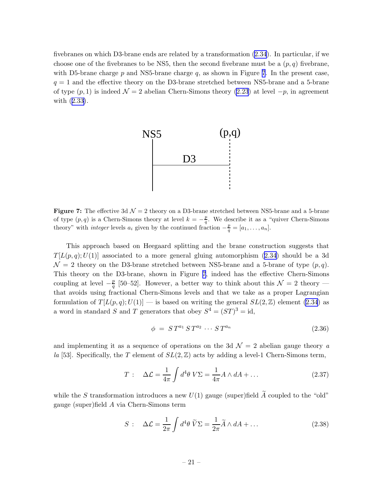<span id="page-21-0"></span>fivebranes on which D3-brane ends are related by a transformation [\(2.34](#page-20-0)). In particular, if we choose one of the fivebranes to be NS5, then the second fivebrane must be a  $(p, q)$  fivebrane, with D5-brane charge  $p$  and NS5-brane charge  $q$ , as shown in Figure 7. In the present case,  $q = 1$  and the effective theory on the D3-brane stretched between NS5-brane and a 5-brane of type  $(p, 1)$  is indeed  $\mathcal{N} = 2$  abelian Chern-Simons theory [\(2.23](#page-17-0)) at level  $-p$ , in agreement with([2.33\)](#page-19-0).



**Figure 7:** The effective 3d  $\mathcal{N} = 2$  theory on a D3-brane stretched between NS5-brane and a 5-brane of type  $(p, q)$  is a Chern-Simons theory at level  $k = -\frac{p}{q}$ . We describe it as a "quiver Chern-Simons" theory" with *integer* levels  $a_i$  given by the continued fraction  $-\frac{p}{q} = [a_1, \ldots, a_n].$ 

This approach based on Heegaard splitting and the brane construction suggests that  $T[L(p,q);U(1)]$ associated to a more general gluing automorphism ([2.34](#page-20-0)) should be a 3d  $\mathcal{N}=2$  theory on the D3-brane stretched between NS5-brane and a 5-brane of type  $(p,q)$ . This theory on the D3-brane, shown in Figure 7, indeed has the effective Chern-Simons coupling at level  $-\frac{p}{q}$  $\frac{p}{q}$  [50–52]. However, a better way to think about this  $\mathcal{N}=2$  theory that avoids using fractional Chern-Simons levels and that we take as a proper Lagrangian formulation of  $T[L(p,q);U(1)]$  — is based on writing the general  $SL(2,\mathbb{Z})$  element [\(2.34](#page-20-0)) as a word in standard S and T generators that obey  $S^4 = (ST)^3 = id$ ,

$$
\phi = ST^{a_1}ST^{a_2}\cdots ST^{a_n} \tag{2.36}
$$

and implementing it as a sequence of operations on the 3d  $\mathcal{N}=2$  abelian gauge theory a la [53]. Specifically, the T element of  $SL(2, \mathbb{Z})$  acts by adding a level-1 Chern-Simons term,

$$
T: \quad \Delta \mathcal{L} = \frac{1}{4\pi} \int d^4\theta \, V\Sigma = \frac{1}{4\pi} A \wedge dA + \dots \tag{2.37}
$$

while the S transformation introduces a new  $U(1)$  gauge (super)field  $\widetilde{A}$  coupled to the "old" gauge (super)field A via Chern-Simons term

$$
S: \quad \Delta \mathcal{L} = \frac{1}{2\pi} \int d^4 \theta \, \widetilde{V} \Sigma = \frac{1}{2\pi} \widetilde{A} \wedge dA + \dots \tag{2.38}
$$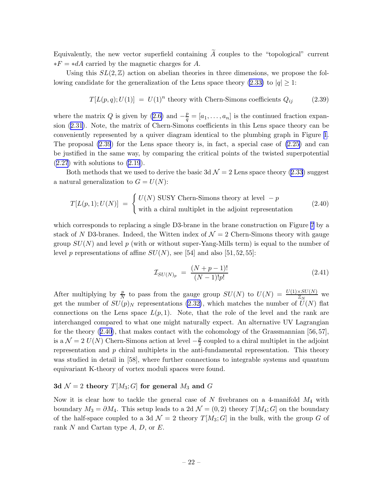<span id="page-22-0"></span>Equivalently, the new vector superfield containing  $\widetilde{A}$  couples to the "topological" current  $*F = *dA$  carried by the magnetic charges for A.

Using this  $SL(2, \mathbb{Z})$  action on abelian theories in three dimensions, we propose the fol-lowing candidate for the generalization of the Lens space theory [\(2.33\)](#page-19-0) to  $|q| \ge 1$ :

$$
T[L(p,q);U(1)] = U(1)^n
$$
 theory with Chern-Simons coefficients  $Q_{ij}$  (2.39)

where the matrix Q is given by [\(2.6\)](#page-10-0) and  $-\frac{p}{q} = [a_1, \ldots, a_n]$  is the continued fraction expansion([2.31\)](#page-19-0). Note, the matrix of Chern-Simons coefficients in this Lens space theory can be conveniently represented by a quiver diagram identical to the plumbing graph in Figure [1](#page-9-0). The proposal (2.39) for the Lens space theory is, in fact, a special case of [\(2.25\)](#page-17-0) and can be justified in the same way, by comparing the critical points of the twisted superpotential  $(2.27)$  $(2.27)$  $(2.27)$  with solutions to  $(2.19)$ .

Both methods that we used to derive the basic 3d  $\mathcal{N} = 2$  Lens space theory [\(2.33](#page-19-0)) suggest a natural generalization to  $G = U(N)$ :

$$
T[L(p,1);U(N)] = \begin{cases} U(N) \text{ SUSY Chern-Simons theory at level } -p \\ \text{with a chiral multiplet in the adjoint representation} \end{cases}
$$
 (2.40)

which corresponds to replacing a single D3-brane in the brane construction on Figure [7](#page-21-0) by a stack of N D3-branes. Indeed, the Witten index of  $\mathcal{N}=2$  Chern-Simons theory with gauge group  $SU(N)$  and level p (with or without super-Yang-Mills term) is equal to the number of level p representations of affine  $SU(N)$ , see [54] and also [51, 52, 55]:

$$
\mathcal{I}_{SU(N)_p} = \frac{(N+p-1)!}{(N-1)!p!} \tag{2.41}
$$

After multiplying by  $\frac{p}{N}$  to pass from the gauge group  $SU(N)$  to  $U(N) = \frac{U(1) \times SU(N)}{\mathbb{Z}_N}$  we get the number of  $SU(p)_N$  representations [\(2.32\)](#page-19-0), which matches the number of  $U(N)$  flat connections on the Lens space  $L(p, 1)$ . Note, that the role of the level and the rank are interchanged compared to what one might naturally expect. An alternative UV Lagrangian for the theory  $(2.40)$ , that makes contact with the cohomology of the Grassmannian [56, 57], is a  $\mathcal{N} = 2$   $U(N)$  Chern-Simons action at level  $-\frac{p}{2}$  $\frac{p}{2}$  coupled to a chiral multiplet in the adjoint representation and  $p$  chiral multiplets in the anti-fundamental representation. This theory was studied in detail in [58], where further connections to integrable systems and quantum equivariant K-theory of vortex moduli spaces were found.

### 3d  $\mathcal{N}=2$  theory  $T[M_3;G]$  for general  $M_3$  and G

Now it is clear how to tackle the general case of N fivebranes on a 4-manifold  $M_4$  with boundary  $M_3 = \partial M_4$ . This setup leads to a 2d  $\mathcal{N} = (0, 2)$  theory  $T[M_4; G]$  on the boundary of the half-space coupled to a 3d  $\mathcal{N}=2$  theory  $T[M_3;G]$  in the bulk, with the group G of rank N and Cartan type  $A, D$ , or  $E$ .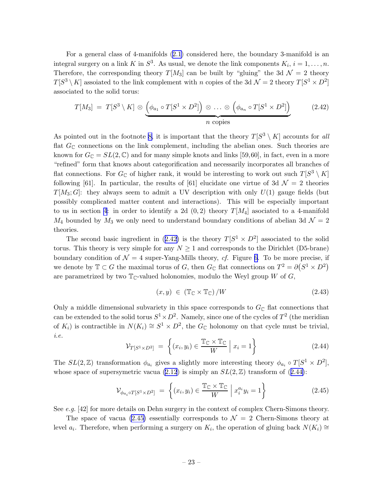<span id="page-23-0"></span>For a general class of 4-manifolds [\(2.1\)](#page-8-0) considered here, the boundary 3-manifold is an integral surgery on a link K in  $S^3$ . As usual, we denote the link components  $K_i$ ,  $i = 1, ..., n$ . Therefore, the corresponding theory  $T[M_3]$  can be built by "gluing" the 3d  $\mathcal{N}=2$  theory  $T[S^3 \setminus K]$  assoiated to the link complement with n copies of the 3d  $\mathcal{N} = 2$  theory  $T[S^1 \times D^2]$ associated to the solid torus:

$$
T[M_3] = T[S^3 \setminus K] \otimes \underbrace{\left(\phi_{a_1} \circ T[S^1 \times D^2] \right) \otimes \ldots \otimes \left(\phi_{a_n} \circ T[S^1 \times D^2] \right)}_{n \text{ copies}} \qquad (2.42)
$$

As pointed out in the footnote [8,](#page-12-0) it is important that the theory  $T[S^3 \setminus K]$  accounts for all flat  $G_{\mathbb{C}}$  connections on the link complement, including the abelian ones. Such theories are known for  $G_{\mathbb{C}} = SL(2, \mathbb{C})$  and for many simple knots and links [59,60], in fact, even in a more "refined" form that knows about categorification and necessarily incorporates all branches of flat connections. For  $G_{\mathbb{C}}$  of higher rank, it would be interesting to work out such  $T[S^3 \setminus K]$ following [61]. In particular, the results of [61] elucidate one virtue of 3d  $\mathcal{N}=2$  theories  $T[M_3; G]$ : they always seem to admit a UV description with only  $U(1)$  gauge fields (but possibly complicated matter content and interactions). This will be especially important to us in section [4](#page-67-0): in order to identify a 2d  $(0, 2)$  theory  $T[M_4]$  asociated to a 4-manifold  $M_4$  bounded by  $M_3$  we only need to understand boundary conditions of abelian 3d  $\mathcal{N}=2$ theories.

The second basic ingredient in (2.42) is the theory  $T[S^1 \times D^2]$  associated to the solid torus. This theory is very simple for any  $N \geq 1$  and corresponds to the Dirichlet (D5-brane) boundary condition of  $\mathcal{N} = 4$  super-Yang-Mills theory, cf. Figure [6.](#page-20-0) To be more precise, if we denote by  $\mathbb{T} \subset G$  the maximal torus of G, then  $G_{\mathbb{C}}$  flat connections on  $T^2 = \partial(S^1 \times D^2)$ are parametrized by two  $\mathbb{T}_{\mathbb{C}}$ -valued holonomies, modulo the Weyl group W of G,

$$
(x, y) \in (\mathbb{T}_{\mathbb{C}} \times \mathbb{T}_{\mathbb{C}}) / W \tag{2.43}
$$

Only a middle dimensional subvariety in this space corresponds to  $G_{\mathbb{C}}$  flat connections that can be extended to the solid torus  $S^1 \times D^2$ . Namely, since one of the cycles of  $T^2$  (the meridian of  $K_i$ ) is contractible in  $N(K_i) \cong S^1 \times D^2$ , the  $G_{\mathbb{C}}$  holonomy on that cycle must be trivial, i.e.

$$
\mathcal{V}_{T[S^1 \times D^2]} = \left\{ (x_i, y_i) \in \frac{\mathbb{T}_{\mathbb{C}} \times \mathbb{T}_{\mathbb{C}}}{W} \mid x_i = 1 \right\}
$$
 (2.44)

The  $SL(2,\mathbb{Z})$  transformation  $\phi_{a_i}$  gives a slightly more interesting theory  $\phi_{a_i} \circ T[S^1 \times D^2],$ whose space of supersymetric vacua [\(2.12](#page-13-0)) is simply an  $SL(2,\mathbb{Z})$  transform of (2.44):

$$
\mathcal{V}_{\phi_{a_i} \circ T[S^1 \times D^2]} = \left\{ (x_i, y_i) \in \frac{\mathbb{T}_{\mathbb{C}} \times \mathbb{T}_{\mathbb{C}}}{W} \middle| x_i^{a_i} y_i = 1 \right\}
$$
\n(2.45)

See e.g.  $[42]$  for more details on Dehn surgery in the context of complex Chern-Simons theory.

The space of vacua (2.45) essentially corresponds to  $\mathcal{N}=2$  Chern-Simons theory at level  $a_i$ . Therefore, when performing a surgery on  $K_i$ , the operation of gluing back  $N(K_i) \cong$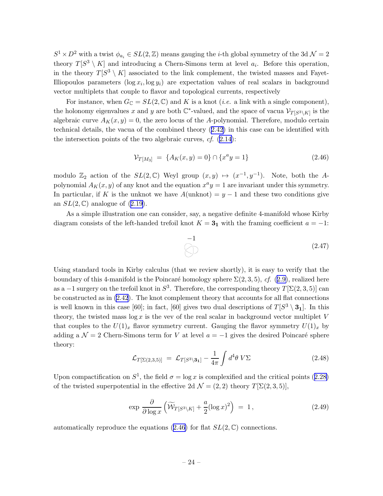$S^1 \times D^2$  with a twist  $\phi_{a_i} \in SL(2, \mathbb{Z})$  means gauging the *i*-th global symmetry of the 3d  $\mathcal{N} = 2$ theory  $T[S^3 \setminus K]$  and introducing a Chern-Simons term at level  $a_i$ . Before this operation, in the theory  $T[S^3 \setminus K]$  associated to the link complement, the twisted masses and Fayet-Illiopoulos parameters  $(\log x_i, \log y_i)$  are expectation values of real scalars in background vector multiplets that couple to flavor and topological currents, respectively

For instance, when  $G_{\mathbb{C}} = SL(2, \mathbb{C})$  and K is a knot *(i.e.* a link with a single component), the holonomy eigenvalues x and y are both  $\mathbb{C}^*$ -valued, and the space of vacua  $\mathcal{V}_{T[S^3 \setminus K]}$  is the algebraic curve  $A_K(x, y) = 0$ , the zero locus of the A-polynomial. Therefore, modulo certain technical details, the vacua of the combined theory([2.42\)](#page-23-0) in this case can be identified with the intersection points of the two algebraic curves,  $cf.$   $(2.14)$  $(2.14)$ :

$$
\mathcal{V}_{T[M_3]} = \{A_K(x, y) = 0\} \cap \{x^a y = 1\}
$$
\n(2.46)

modulo  $\mathbb{Z}_2$  action of the  $SL(2,\mathbb{C})$  Weyl group  $(x,y) \mapsto (x^{-1},y^{-1})$ . Note, both the Apolynomial  $A_K(x, y)$  of any knot and the equation  $x^a y = 1$  are invariant under this symmetry. In particular, if K is the unknot we have  $A(\text{unknot}) = y - 1$  and these two conditions give an $SL(2,\mathbb{C})$  analogue of  $(2.19)$  $(2.19)$  $(2.19)$ .

As a simple illustration one can consider, say, a negative definite 4-manifold whose Kirby diagram consists of the left-handed trefoil knot  $K = 3<sub>1</sub>$  with the framing coefficient  $a = -1$ :

$$
\bigodot \qquad (2.47)
$$

Using standard tools in Kirby calculus (that we review shortly), it is easy to verify that the boundary of this 4-manifold is the Poincaré homology sphere  $\Sigma(2,3,5)$ , cf. ([2.9\)](#page-12-0), realized here as a  $-1$  surgery on the trefoil knot in  $S^3$ . Therefore, the corresponding theory  $T[\Sigma(2,3,5)]$  can be constructed as in [\(2.42](#page-23-0)). The knot complement theory that accounts for all flat connections is well known in this case [60]; in fact, [60] gives two dual descriptions of  $T[S^3 \setminus \mathbf{3_1}]$ . In this theory, the twisted mass  $\log x$  is the vev of the real scalar in background vector multiplet V that couples to the  $U(1)_x$  flavor symmetry current. Gauging the flavor symmetry  $U(1)_x$  by adding a  $\mathcal{N} = 2$  Chern-Simons term for V at level  $a = -1$  gives the desired Poincaré sphere theory:

$$
\mathcal{L}_{T[\Sigma(2,3,5)]} = \mathcal{L}_{T[S^3 \setminus 3_1]} - \frac{1}{4\pi} \int d^4\theta \, V\Sigma \tag{2.48}
$$

Uponcompactification on  $S^1$ , the field  $\sigma = \log x$  is complexified and the critical points ([2.28\)](#page-18-0) of the twisted superpotential in the effective 2d  $\mathcal{N} = (2, 2)$  theory  $T[\Sigma(2, 3, 5)],$ 

$$
\exp \frac{\partial}{\partial \log x} \left( \widetilde{\mathcal{W}}_{T[S^3 \setminus K]} + \frac{a}{2} (\log x)^2 \right) = 1, \tag{2.49}
$$

automatically reproduce the equations (2.46) for flat  $SL(2,\mathbb{C})$  connections.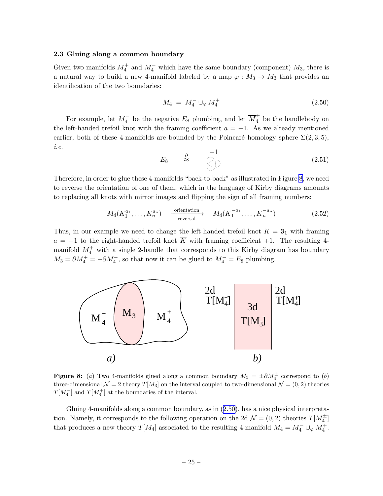### <span id="page-25-0"></span>2.3 Gluing along a common boundary

Given two manifolds  $M_4^+$  and  $M_4^-$  which have the same boundary (component)  $M_3$ , there is a natural way to build a new 4-manifold labeled by a map  $\varphi : M_3 \to M_3$  that provides an identification of the two boundaries:

$$
M_4 = M_4^- \cup_{\varphi} M_4^+ \tag{2.50}
$$

For example, let  $M_4^-$  be the negative  $E_8$  plumbing, and let  $\overline{M}_4^+$  be the handlebody on the left-handed trefoil knot with the framing coefficient  $a = -1$ . As we already mentioned earlier, both of these 4-manifolds are bounded by the Poincaré homology sphere  $\Sigma(2,3,5)$ , i.e.

$$
E_8 \quad \stackrel{\partial}{\approx} \quad \overset{-1}{\underset{\bigcirc}{\bigcirc}} \tag{2.51}
$$

Therefore, in order to glue these 4-manifolds "back-to-back" as illustrated in Figure 8, we need to reverse the orientation of one of them, which in the language of Kirby diagrams amounts to replacing all knots with mirror images and flipping the sign of all framing numbers:

$$
M_4(K_1^{a_1}, \dots, K_n^{a_n}) \xrightarrow{\text{orientation}} M_4(\overline{K}_1^{-a_1}, \dots, \overline{K}_n^{-a_n})
$$
 (2.52)

Thus, in our example we need to change the left-handed trefoil knot  $K = 3<sub>1</sub>$  with framing  $a = -1$  to the right-handed trefoil knot  $\overline{K}$  with framing coefficient +1. The resulting 4manifold  $M_4^+$  with a single 2-handle that corresponds to this Kirby diagram has boundary  $M_3 = \partial M_4^+ = -\partial M_4^-$ , so that now it can be glued to  $M_4^- = E_8$  plumbing.



**Figure 8:** (a) Two 4-manifolds glued along a common boundary  $M_3 = \pm \partial M_4^{\pm}$  correspond to (b) three-dimensional  $\mathcal{N} = 2$  theory  $T[M_3]$  on the interval coupled to two-dimensional  $\mathcal{N} = (0, 2)$  theories  $T[M_4^-]$  and  $T[M_4^+]$  at the boundaries of the interval.

Gluing 4-manifolds along a common boundary, as in (2.50), has a nice physical interpretation. Namely, it corresponds to the following operation on the 2d  $\mathcal{N} = (0, 2)$  theories  $T[M_4^{\pm}]$ that produces a new theory  $T[M_4]$  associated to the resulting 4-manifold  $M_4 = M_4^- \cup_{\varphi} M_4^+$ .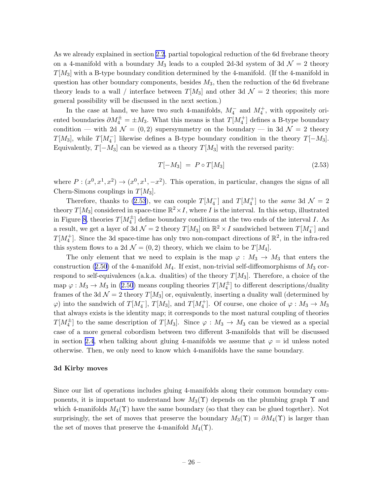<span id="page-26-0"></span>As we already explained in section [2.2](#page-12-0), partial topological reduction of the 6d fivebrane theory on a 4-manifold with a boundary  $M_3$  leads to a coupled 2d-3d system of 3d  $\mathcal{N}=2$  theory  $T[M_3]$  with a B-type boundary condition determined by the 4-manifold. (If the 4-manifold in question has other boundary components, besides  $M_3$ , then the reduction of the 6d fivebrane theory leads to a wall / interface between  $T[M_3]$  and other 3d  $\mathcal{N}=2$  theories; this more general possibility will be discussed in the next section.)

In the case at hand, we have two such 4-manifolds,  $M_4^-$  and  $M_4^+$ , with oppositely oriented boundaries  $\partial M_4^{\pm} = \pm M_3$ . What this means is that  $T[M_4^+]$  defines a B-type boundary condition — with 2d  $\mathcal{N} = (0, 2)$  supersymmetry on the boundary — in 3d  $\mathcal{N} = 2$  theory  $T[M_3]$ , while  $T[M_4^-]$  likewise defines a B-type boundary condition in the theory  $T[-M_3]$ . Equivalently,  $T[-M_3]$  can be viewed as a theory  $T[M_3]$  with the reversed parity:

$$
T[-M_3] = P \circ T[M_3] \tag{2.53}
$$

where  $P:(x^0, x^1, x^2) \to (x^0, x^1, -x^2)$ . This operation, in particular, changes the signs of all Chern-Simons couplings in  $T[M_3]$ .

Therefore, thanks to (2.53), we can couple  $T[M_4^-]$  and  $T[M_4^+]$  to the same 3d  $\mathcal{N}=2$ theory  $T[M_3]$  considered in space-time  $\mathbb{R}^2 \times I$ , where I is the interval. In this setup, illustrated in Figure [8,](#page-25-0) theories  $T[M_4^{\pm}]$  define boundary conditions at the two ends of the interval I. As a result, we get a layer of 3d  $\mathcal{N}=2$  theory  $T[M_3]$  on  $\mathbb{R}^2 \times I$  sandwiched between  $T[M_4^-]$  and  $T[M_4^+]$ . Since the 3d space-time has only two non-compact directions of  $\mathbb{R}^2$ , in the infra-red this system flows to a 2d  $\mathcal{N} = (0, 2)$  theory, which we claim to be  $T[M_4]$ .

The only element that we need to explain is the map  $\varphi : M_3 \to M_3$  that enters the construction([2.50](#page-25-0)) of the 4-manifold  $M_4$ . If exist, non-trivial self-diffeomorphisms of  $M_3$  correspond to self-equivalences (a.k.a. dualities) of the theory  $T[M_3]$ . Therefore, a choice of the map $\varphi: M_3 \to M_3$  in ([2.50](#page-25-0)) means coupling theories  $T[M_4^{\pm}]$  to different descriptions/duality frames of the 3d  $\mathcal{N} = 2$  theory  $T[M_3]$  or, equivalently, inserting a duality wall (determined by  $\varphi$ ) into the sandwich of  $T[M_4^-]$ ,  $T[M_3]$ , and  $T[M_4^+]$ . Of course, one choice of  $\varphi: M_3 \to M_3$ that always exists is the identity map; it corresponds to the most natural coupling of theories  $T[M_4^{\pm}]$  to the same description of  $T[M_3]$ . Since  $\varphi : M_3 \to M_3$  can be viewed as a special case of a more general cobordism between two different 3-manifolds that will be discussed in section [2.4](#page-32-0), when talking about gluing 4-manifolds we assume that  $\varphi = id$  unless noted otherwise. Then, we only need to know which 4-manifolds have the same boundary.

### 3d Kirby moves

Since our list of operations includes gluing 4-manifolds along their common boundary components, it is important to understand how  $M_3(\Upsilon)$  depends on the plumbing graph  $\Upsilon$  and which 4-manifolds  $M_4(\Upsilon)$  have the same boundary (so that they can be glued together). Not surprisingly, the set of moves that preserve the boundary  $M_3(\Upsilon) = \partial M_4(\Upsilon)$  is larger than the set of moves that preserve the 4-manifold  $M_4(\Upsilon)$ .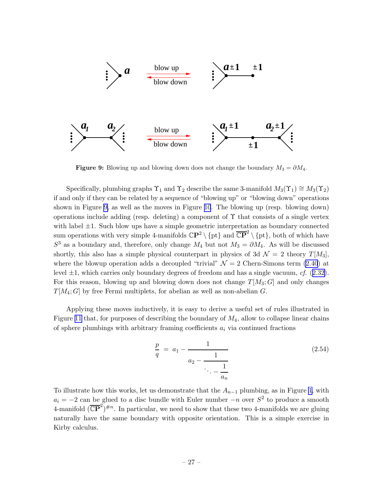<span id="page-27-0"></span>

Figure 9: Blowing up and blowing down does not change the boundary  $M_3 = \partial M_4$ .

Specifically, plumbing graphs  $\Upsilon_1$  and  $\Upsilon_2$  describe the same 3-manifold  $M_3(\Upsilon_1) \cong M_3(\Upsilon_2)$ if and only if they can be related by a sequence of "blowing up" or "blowing down" operations shown in Figure 9, as well as the moves in Figure [10](#page-28-0). The blowing up (resp. blowing down) operations include adding (resp. deleting) a component of  $\Upsilon$  that consists of a single vertex with label  $\pm 1$ . Such blow ups have a simple geometric interpretation as boundary connected sum operations with very simple 4-manifolds  $\mathbb{C}P^2 \setminus \{pt\}$  and  $\overline{\mathbb{C}P}^2 \setminus \{pt\}$ , both of which have  $S^3$  as a boundary and, therefore, only change  $M_4$  but not  $M_3 = \partial M_4$ . As will be discussed shortly, this also has a simple physical counterpart in physics of 3d  $\mathcal{N} = 2$  theory  $T[M_3]$ , where the blowup operation adds a decoupled "trivial"  $\mathcal{N} = 2$  Chern-Simons term [\(2.40](#page-22-0)) at level  $\pm 1$ , which carries only boundary degrees of freedom and has a single vacuum, cf. ([2.32\)](#page-19-0). For this reason, blowing up and blowing down does not change  $T[M_3; G]$  and only changes  $T[M_4; G]$  by free Fermi multiplets, for abelian as well as non-abelian G.

Applying these moves inductively, it is easy to derive a useful set of rules illustrated in Figure [11](#page-29-0) that, for purposes of describing the boundary of  $M_4$ , allow to collapse linear chains of sphere plumbings with arbitrary framing coefficients  $a_i$  via continued fractions

$$
\frac{p}{q} = a_1 - \frac{1}{a_2 - \frac{1}{\ddots - \frac{1}{a_n}}}
$$
\n(2.54)

To illustrate how this works, let us demonstrate that the  $A_{n-1}$  plumbing, as in Figure [1,](#page-9-0) with  $a_i = -2$  can be glued to a disc bundle with Euler number  $-n$  over  $S^2$  to produce a smooth 4-manifold  $(\overline{\mathbb{CP}}^2)^{\#n}$ . In particular, we need to show that these two 4-manifolds we are gluing naturally have the same boundary with opposite orientation. This is a simple exercise in Kirby calculus.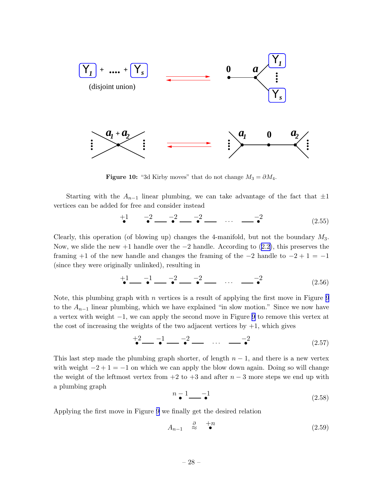<span id="page-28-0"></span>

**Figure 10:** "3d Kirby moves" that do not change  $M_3 = \partial M_4$ .

Starting with the  $A_{n-1}$  linear plumbing, we can take advantage of the fact that  $\pm 1$ vertices can be added for free and consider instead

$$
+1 \t -2 \t -2 \t -2 \t -1 \t -1 \t -1 \t (2.55)
$$

Clearly, this operation (of blowing up) changes the 4-manifold, but not the boundary  $M_3$ . Now,we slide the new +1 handle over the  $-2$  handle. According to  $(2.2)$  $(2.2)$ , this preserves the framing  $+1$  of the new handle and changes the framing of the  $-2$  handle to  $-2 + 1 = -1$ (since they were originally unlinked), resulting in

$$
+1 \t -1 \t -2 \t -2 \t -2 \t -1 \t -1 \t (2.56)
$$

Note, this plumbing graph with  $n$  vertices is a result of applying the first move in Figure [9](#page-27-0) to the  $A_{n-1}$  linear plumbing, which we have explained "in slow motion." Since we now have a vertex with weight −1, we can apply the second move in Figure [9](#page-27-0) to remove this vertex at the cost of increasing the weights of the two adjacent vertices by  $+1$ , which gives

$$
+2 \t-1 \t-2 \t-3 \t-3 \t-1 \t(2.57)
$$

This last step made the plumbing graph shorter, of length  $n-1$ , and there is a new vertex with weight  $-2+1=-1$  on which we can apply the blow down again. Doing so will change the weight of the leftmost vertex from  $+2$  to  $+3$  and after  $n-3$  more steps we end up with a plumbing graph

$$
n-1 \qquad -1 \qquad \qquad (2.58)
$$

Applying the first move in Figure [9](#page-27-0) we finally get the desired relation

$$
A_{n-1} \quad \stackrel{\partial}{\approx} \quad \stackrel{+n}{\bullet} \tag{2.59}
$$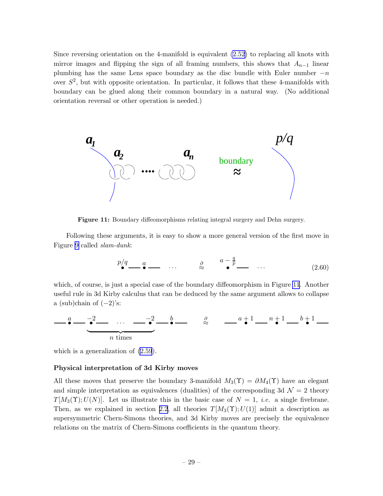<span id="page-29-0"></span>Since reversing orientation on the 4-manifold is equivalent [\(2.52\)](#page-25-0) to replacing all knots with mirror images and flipping the sign of all framing numbers, this shows that  $A_{n-1}$  linear plumbing has the same Lens space boundary as the disc bundle with Euler number  $-n$ over  $S^2$ , but with opposite orientation. In particular, it follows that these 4-manifolds with boundary can be glued along their common boundary in a natural way. (No additional orientation reversal or other operation is needed.)



Figure 11: Boundary diffeomorphisms relating integral surgery and Dehn surgery.

Following these arguments, it is easy to show a more general version of the first move in Figure [9](#page-27-0) called slam-dunk:

$$
\stackrel{p/q}{\bullet} \qquad a \qquad \qquad \dots \qquad \stackrel{\partial}{\approx} \qquad \stackrel{a-\frac{q}{p}}{\bullet} \qquad \dots \qquad (2.60)
$$

which, of course, is just a special case of the boundary diffeomorphism in Figure 11. Another useful rule in 3d Kirby calculus that can be deduced by the same argument allows to collapse a (sub)chain of  $(-2)$ 's:

$$
\underbrace{\qquad \qquad }_{\bullet} \underbrace{\qquad \qquad }_{\bullet} \underbrace{\qquad \qquad }_{\bullet} \underbrace{\qquad \qquad }_{\bullet} \underbrace{\qquad \qquad }_{\bullet} \underbrace{\qquad \qquad }_{\bullet} \underbrace{\qquad \qquad }_{\bullet} \underbrace{\qquad \qquad }_{\bullet} \underbrace{\qquad \qquad }_{\bullet} \underbrace{\qquad \qquad }_{\bullet} \underbrace{\qquad \qquad }_{\bullet} \underbrace{\qquad \qquad }_{\bullet} \underbrace{\qquad \qquad }_{\bullet} \underbrace{\qquad \qquad }_{\bullet} \underbrace{\qquad \qquad }_{\bullet} \underbrace{\qquad \qquad }_{\bullet} \underbrace{\qquad \qquad }_{\bullet} \underbrace{\qquad \qquad }_{\bullet} \underbrace{\qquad \qquad }_{\bullet} \underbrace{\qquad \qquad }_{\bullet} \underbrace{\qquad \qquad }_{\bullet} \underbrace{\qquad \qquad }_{\bullet} \underbrace{\qquad \qquad }_{\bullet} \underbrace{\qquad \qquad }_{\bullet} \underbrace{\qquad \qquad }_{\bullet} \underbrace{\qquad \qquad }_{\bullet} \underbrace{\qquad \qquad }_{\bullet} \underbrace{\qquad \qquad }_{\bullet} \underbrace{\qquad \qquad }_{\bullet} \underbrace{\qquad \qquad }_{\bullet} \underbrace{\qquad \qquad }_{\bullet} \underbrace{\qquad \qquad }_{\bullet} \underbrace{\qquad \qquad }_{\bullet} \underbrace{\qquad \qquad }_{\bullet} \underbrace{\qquad \qquad }_{\bullet} \underbrace{\qquad \qquad }_{\bullet} \underbrace{\qquad \qquad }_{\bullet} \underbrace{\qquad \qquad }_{\bullet} \underbrace{\qquad \qquad }_{\bullet} \underbrace{\qquad \qquad }_{\bullet} \underbrace{\qquad \qquad }_{\bullet} \underbrace{\qquad \qquad }_{\bullet} \underbrace{\qquad \qquad }_{\bullet} \underbrace{\qquad \qquad }_{\bullet} \underbrace{\qquad \qquad }_{\bullet} \underbrace{\qquad \qquad }_{\bullet} \underbrace{\qquad \qquad }_{\bullet} \underbrace{\qquad \qquad }_{\bullet} \underbrace{\qquad \qquad }_{\bullet} \underbrace{\qquad \qquad }_{\bullet} \underbrace{\qquad \qquad }_{\bullet} \underbrace{\qquad \qquad }_{\bullet} \underbrace{\qquad \qquad }_{\bullet} \underbrace{\qquad \qquad }_{\bullet} \underbrace{\
$$

which is a generalization of [\(2.59](#page-28-0)).

#### Physical interpretation of 3d Kirby moves

All these moves that preserve the boundary 3-manifold  $M_3(\Upsilon) = \partial M_4(\Upsilon)$  have an elegant and simple interpretation as equivalences (dualities) of the corresponding 3d  $\mathcal{N}=2$  theory  $T[M_3(\Upsilon);U(N)]$ . Let us illustrate this in the basic case of  $N=1$ , *i.e.* a single fivebrane. Then, as we explained in section [2.2](#page-12-0), all theories  $T[M_3(\Upsilon);U(1)]$  admit a description as supersymmetric Chern-Simons theories, and 3d Kirby moves are precisely the equivalence relations on the matrix of Chern-Simons coefficients in the quantum theory.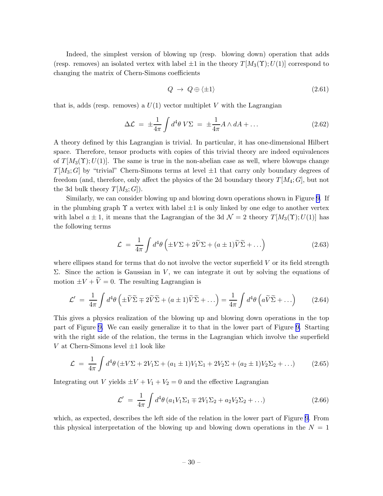Indeed, the simplest version of blowing up (resp. blowing down) operation that adds (resp. removes) an isolated vertex with label  $\pm 1$  in the theory  $T[M_3(\Upsilon);U(1)]$  correspond to changing the matrix of Chern-Simons coefficients

$$
Q \rightarrow Q \oplus \langle \pm 1 \rangle \tag{2.61}
$$

that is, adds (resp. removes) a  $U(1)$  vector multiplet V with the Lagrangian

$$
\Delta \mathcal{L} = \pm \frac{1}{4\pi} \int d^4 \theta \, V \Sigma = \pm \frac{1}{4\pi} A \wedge dA + \dots \tag{2.62}
$$

A theory defined by this Lagrangian is trivial. In particular, it has one-dimensional Hilbert space. Therefore, tensor products with copies of this trivial theory are indeed equivalences of  $T[M_3(\Upsilon);U(1)]$ . The same is true in the non-abelian case as well, where blowups change  $T[M_3;G]$  by "trivial" Chern-Simons terms at level  $\pm 1$  that carry only boundary degrees of freedom (and, therefore, only affect the physics of the 2d boundary theory  $T[M_4; G]$ , but not the 3d bulk theory  $T[M_3;G]$ .

Similarly, we can consider blowing up and blowing down operations shown in Figure [9](#page-27-0). If in the plumbing graph  $\Upsilon$  a vertex with label  $\pm 1$  is only linked by one edge to another vertex with label  $a \pm 1$ , it means that the Lagrangian of the 3d  $\mathcal{N} = 2$  theory  $T[M_3(\Upsilon);U(1)]$  has the following terms

$$
\mathcal{L} = \frac{1}{4\pi} \int d^4\theta \left( \pm V\Sigma + 2\tilde{V}\Sigma + (a \pm 1)\tilde{V}\tilde{\Sigma} + \ldots \right) \tag{2.63}
$$

where ellipses stand for terms that do not involve the vector superfield  $V$  or its field strength Σ. Since the action is Gaussian in V, we can integrate it out by solving the equations of motion  $\pm V + \tilde{V} = 0$ . The resulting Lagrangian is

$$
\mathcal{L}' = \frac{1}{4\pi} \int d^4\theta \left( \pm \widetilde{V} \widetilde{\Sigma} \mp 2\widetilde{V} \widetilde{\Sigma} + (a \pm 1)\widetilde{V} \widetilde{\Sigma} + \ldots \right) = \frac{1}{4\pi} \int d^4\theta \left( a\widetilde{V} \widetilde{\Sigma} + \ldots \right) \tag{2.64}
$$

This gives a physics realization of the blowing up and blowing down operations in the top part of Figure [9.](#page-27-0) We can easily generalize it to that in the lower part of Figure [9.](#page-27-0) Starting with the right side of the relation, the terms in the Lagrangian which involve the superfield V at Chern-Simons level  $\pm 1$  look like

$$
\mathcal{L} = \frac{1}{4\pi} \int d^4\theta \left( \pm V\Sigma + 2V_1\Sigma + (a_1 \pm 1)V_1\Sigma_1 + 2V_2\Sigma + (a_2 \pm 1)V_2\Sigma_2 + \dots \right) \tag{2.65}
$$

Integrating out V yields  $\pm V + V_1 + V_2 = 0$  and the effective Lagrangian

$$
\mathcal{L}' = \frac{1}{4\pi} \int d^4\theta \left( a_1 V_1 \Sigma_1 \mp 2 V_1 \Sigma_2 + a_2 V_2 \Sigma_2 + \dots \right) \tag{2.66}
$$

which, as expected, describes the left side of the relation in the lower part of Figure [9](#page-27-0). From this physical interpretation of the blowing up and blowing down operations in the  $N = 1$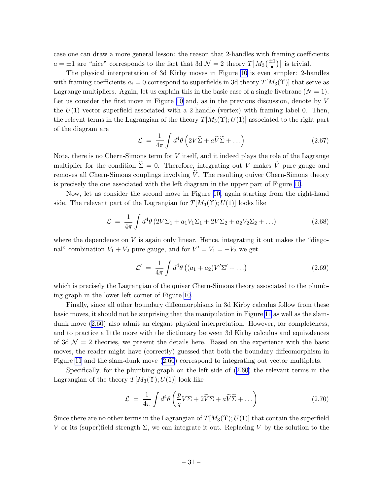case one can draw a more general lesson: the reason that 2-handles with framing coefficients  $a = \pm 1$  are "nice" corresponds to the fact that 3d  $\mathcal{N} = 2$  theory  $T[M_3(\frac{\pm 1}{\bullet})]$  is trivial.

The physical interpretation of 3d Kirby moves in Figure [10](#page-28-0) is even simpler: 2-handles with framing coefficients  $a_i = 0$  correspond to superfields in 3d theory  $T[M_3(\Upsilon)]$  that serve as Lagrange multipliers. Again, let us explain this in the basic case of a single fivebrane  $(N = 1)$ . Let us consider the first move in Figure [10](#page-28-0) and, as in the previous discussion, denote by V the  $U(1)$  vector superfield associated with a 2-handle (vertex) with framing label 0. Then, the relevnt terms in the Lagrangian of the theory  $T[M_3(\Upsilon);U(1)]$  associated to the right part of the diagram are

$$
\mathcal{L} = \frac{1}{4\pi} \int d^4\theta \left( 2V\widetilde{\Sigma} + a\widetilde{V}\widetilde{\Sigma} + \ldots \right) \tag{2.67}
$$

Note, there is no Chern-Simons term for  $V$  itself, and it indeed plays the role of the Lagrange multiplier for the condition  $\tilde{\Sigma} = 0$ . Therefore, integrating out V makes  $\tilde{V}$  pure gauge and removes all Chern-Simons couplings involving  $\tilde{V}$ . The resulting quiver Chern-Simons theory is precisely the one associated with the left diagram in the upper part of Figure [10](#page-28-0).

Now, let us consider the second move in Figure [10,](#page-28-0) again starting from the right-hand side. The relevant part of the Lagrangian for  $T[M_3(\Upsilon);U(1)]$  looks like

$$
\mathcal{L} = \frac{1}{4\pi} \int d^4\theta \left( 2V\Sigma_1 + a_1 V_1 \Sigma_1 + 2V \Sigma_2 + a_2 V_2 \Sigma_2 + \ldots \right) \tag{2.68}
$$

where the dependence on  $V$  is again only linear. Hence, integrating it out makes the "diagonal" combination  $V_1 + V_2$  pure gauge, and for  $V' = V_1 = -V_2$  we get

$$
\mathcal{L}' = \frac{1}{4\pi} \int d^4\theta \left( (a_1 + a_2) V' \Sigma' + \ldots \right) \tag{2.69}
$$

which is precisely the Lagrangian of the quiver Chern-Simons theory associated to the plumbing graph in the lower left corner of Figure [10.](#page-28-0)

Finally, since all other boundary diffeomorphisms in 3d Kirby calculus follow from these basic moves, it should not be surprising that the manipulation in Figure [11](#page-29-0) as well as the slamdunk move [\(2.60](#page-29-0)) also admit an elegant physical interpretation. However, for completeness, and to practice a little more with the dictionary between 3d Kirby calculus and equivalences of 3d  $\mathcal{N}=2$  theories, we present the details here. Based on the experience with the basic moves, the reader might have (correctly) guessed that both the boundary diffeomorphism in Figure [11](#page-29-0) and the slam-dunk move [\(2.60](#page-29-0)) correspond to integrating out vector multiplets.

Specifically, for the plumbing graph on the left side of([2.60](#page-29-0)) the relevant terms in the Lagrangian of the theory  $T[M_3(\Upsilon);U(1)]$  look like

$$
\mathcal{L} = \frac{1}{4\pi} \int d^4\theta \left( \frac{p}{q} V \Sigma + 2\widetilde{V} \Sigma + a\widetilde{V} \widetilde{\Sigma} + \dots \right) \tag{2.70}
$$

Since there are no other terms in the Lagrangian of  $T[M_3(\Upsilon);U(1)]$  that contain the superfield V or its (super)field strength  $\Sigma$ , we can integrate it out. Replacing V by the solution to the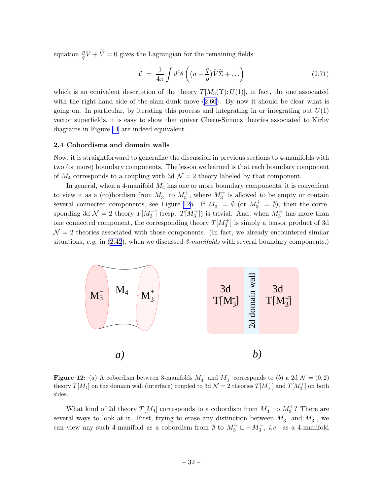<span id="page-32-0"></span>equation  $\frac{p}{q}V + \widetilde{V} = 0$  gives the Lagrangian for the remaining fields

$$
\mathcal{L} = \frac{1}{4\pi} \int d^4\theta \left( (a - \frac{q}{p}) \widetilde{V} \widetilde{\Sigma} + \dots \right) \tag{2.71}
$$

which is an equivalent description of the theory  $T[M_3(\Upsilon);U(1)]$ , in fact, the one associated with the right-hand side of the slam-dunk move  $(2.60)$ . By now it should be clear what is going on. In particular, by iterating this process and integrating in or integrating out  $U(1)$ vector superfields, it is easy to show that quiver Chern-Simons theories associated to Kirby diagrams in Figure [11](#page-29-0) are indeed equivalent.

### 2.4 Cobordisms and domain walls

Now, it is straightforward to generalize the discussion in previous sections to 4-manifolds with two (or more) boundary components. The lesson we learned is that each boundary component of  $M_4$  corresponds to a coupling with 3d  $\mathcal{N}=2$  theory labeled by that component.

In general, when a 4-manifold  $M_4$  has one or more boundary components, it is convenient to view it as a (co)bordism from  $M_3^-$  to  $M_3^+$ , where  $M_3^{\pm}$  is allowed to be empty or contain several connected components, see Figure 12a. If  $M_3^- = \emptyset$  (or  $M_3^+ = \emptyset$ ), then the corresponding 3d  $\mathcal{N}=2$  theory  $T[M_3^-]$  (resp.  $T[M_3^+]$ ) is trivial. And, when  $M_3^{\pm}$  has more than one connected component, the corresponding theory  $T[M_3^{\pm}]$  is simply a tensor product of 3d  $\mathcal{N}=2$  theories associated with those components. (In fact, we already encountered similar situations,e.g. in  $(2.42)$  $(2.42)$  $(2.42)$ , when we discussed 3-manifolds with several boundary components.)



Figure 12: (a) A cobordism between 3-manifolds  $M_3^-$  and  $M_3^+$  corresponds to (b) a 2d  $\mathcal{N} = (0, 2)$ theory  $T[M_4]$  on the domain wall (interface) coupled to 3d  $\mathcal{N}=2$  theories  $T[M_3^-]$  and  $T[M_3^+]$  on both sides.

What kind of 2d theory  $T[M_4]$  corresponds to a cobordism from  $M_3^-$  to  $M_3^+$ ? There are several ways to look at it. First, trying to erase any distinction between  $M_3^+$  and  $M_3^-$ , we can view any such 4-manifold as a cobordism from  $\emptyset$  to  $M_3^+ \sqcup -M_3^-$ , *i.e.* as a 4-manifold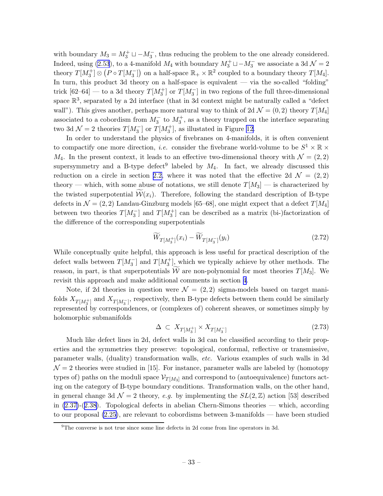<span id="page-33-0"></span>with boundary  $M_3 = M_3^+ \sqcup -M_3^-$ , thus reducing the problem to the one already considered. Indeed, using [\(2.53](#page-26-0)), to a 4-manifold  $M_4$  with boundary  $M_3^+ \sqcup -M_3^-$  we associate a 3d  $\mathcal{N}=2$ theory  $T[M_3^+] \otimes (P \circ T[M_3^-])$  on a half-space  $\mathbb{R}_+ \times \mathbb{R}^2$  coupled to a boundary theory  $T[M_4]$ . In turn, this product 3d theory on a half-space is equivalent — via the so-called "folding" trick  $[62-64]$  — to a 3d theory  $T[M_3^+]$  or  $T[M_3^-]$  in two regions of the full three-dimensional space  $\mathbb{R}^3$ , separated by a 2d interface (that in 3d context might be naturally called a "defect" wall"). This gives another, perhaps more natural way to think of 2d  $\mathcal{N} = (0, 2)$  theory  $T[M_4]$ associated to a cobordism from  $M_3^-$  to  $M_3^+$ , as a theory trapped on the interface separating two 3d  $\mathcal{N}=2$  theories  $T[M_3^-]$  or  $T[M_3^+]$ , as illustated in Figure [12.](#page-32-0)

In order to understand the physics of fivebranes on 4-manifolds, it is often convenient to compactify one more direction, *i.e.* consider the fivebrane world-volume to be  $S^1 \times \mathbb{R} \times$  $M_4$ . In the present context, it leads to an effective two-dimensional theory with  $\mathcal{N} = (2, 2)$ supersymmetry and a B-type defect<sup>9</sup> labeled by  $M_4$ . In fact, we already discussed this reduction on a circle in section [2.2,](#page-12-0) where it was noted that the effective 2d  $\mathcal{N} = (2, 2)$ theory — which, with some abuse of notations, we still denote  $T[M_3]$  — is characterized by the twisted superpotential  $W(x_i)$ . Therefore, following the standard description of B-type defects in  $\mathcal{N} = (2, 2)$  Landau-Ginzburg models [65–68], one might expect that a defect  $T[M_4]$ between two theories  $T[M_3^-]$  and  $T[M_3^+]$  can be described as a matrix (bi-)factorization of the difference of the corresponding superpotentials

$$
\widetilde{W}_{T[M_3^+]}(x_i) - \widetilde{W}_{T[M_3^-]}(y_i) \tag{2.72}
$$

While conceptually quite helpful, this approach is less useful for practical description of the defect walls between  $T[M_3^-]$  and  $T[M_3^+]$ , which we typically achieve by other methods. The reason, in part, is that superpotentials  $\tilde{W}$  are non-polynomial for most theories  $T[M_3]$ . We revisit this approach and make additional comments in section [4](#page-67-0).

Note, if 2d theories in question were  $\mathcal{N} = (2, 2)$  sigma-models based on target manifolds  $X_{T[M_3^+]}$  and  $X_{T[M_3^-]}$ , respectively, then B-type defects between them could be similarly represented by correspondences, or (complexes of) coherent sheaves, or sometimes simply by holomorphic submanifolds

$$
\Delta \subset X_{T[M_3^+]} \times X_{T[M_3^-]}
$$
\n
$$
(2.73)
$$

Much like defect lines in 2d, defect walls in 3d can be classified according to their properties and the symmetries they preserve: topological, conformal, reflective or transmissive, parameter walls, (duality) transformation walls, etc. Various examples of such walls in 3d  $\mathcal{N}=2$  theories were studied in [15]. For instance, parameter walls are labeled by (homotopy types of) paths on the moduli space  $\mathcal{V}_{T[M_3]}$  and correspond to (autoequivalence) functors acting on the category of B-type boundary conditions. Transformation walls, on the other hand, in general change 3d  $\mathcal{N} = 2$  theory, e.g. by implementing the  $SL(2,\mathbb{Z})$  action [53] described in [\(2.37\)](#page-21-0)-([2.38](#page-21-0)). Topological defects in abelian Chern-Simons theories — which, according to our proposal [\(2.25\)](#page-17-0), are relevant to cobordisms between 3-manifolds — have been studied

 $9$ The converse is not true since some line defects in 2d come from line operators in 3d.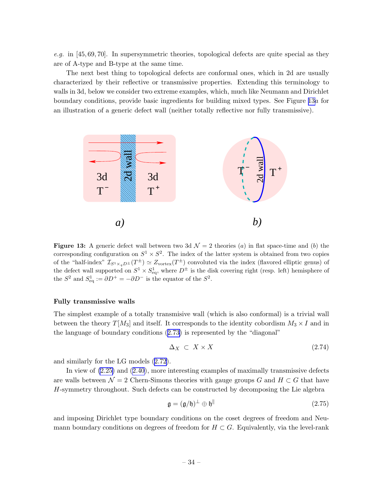e.g. in [45, 69, 70]. In supersymmetric theories, topological defects are quite special as they are of A-type and B-type at the same time.

The next best thing to topological defects are conformal ones, which in 2d are usually characterized by their reflective or transmissive properties. Extending this terminology to walls in 3d, below we consider two extreme examples, which, much like Neumann and Dirichlet boundary conditions, provide basic ingredients for building mixed types. See Figure 13a for an illustration of a generic defect wall (neither totally reflective nor fully transmissive).



**Figure 13:** A generic defect wall between two 3d  $\mathcal{N} = 2$  theories (a) in flat space-time and (b) the corresponding configuration on  $S^1 \times S^2$ . The index of the latter system is obtained from two copies of the "half-index"  $\mathcal{I}_{S^1 \times_q D^{\pm}}(T^{\pm}) \simeq Z_{\text{vortex}}(T^{\pm})$  convoluted via the index (flavored elliptic genus) of the defect wall supported on  $S^1 \times S^1_{eq}$ , where  $D^{\pm}$  is the disk covering right (resp. left) hemisphere of the  $S^2$  and  $S_{\text{eq}}^1 := \partial D^+ = -\partial D^-$  is the equator of the  $S^2$ .

### Fully transmissive walls

The simplest example of a totally transmisive wall (which is also conformal) is a trivial wall between the theory  $T[M_3]$  and itself. It corresponds to the identity cobordism  $M_3 \times I$  and in the language of boundary conditions([2.73](#page-33-0)) is represented by the "diagonal"

$$
\Delta_X \subset X \times X \tag{2.74}
$$

and similarly for the LG models([2.72](#page-33-0)).

In view of [\(2.25\)](#page-17-0) and([2.40](#page-22-0)), more interesting examples of maximally transmissive defects are walls between  $\mathcal{N} = 2$  Chern-Simons theories with gauge groups G and  $H \subset G$  that have H-symmetry throughout. Such defects can be constructed by decomposing the Lie algebra

$$
\mathfrak{g} = (\mathfrak{g}/\mathfrak{h})^{\perp} \oplus \mathfrak{h}^{\parallel} \tag{2.75}
$$

and imposing Dirichlet type boundary conditions on the coset degrees of freedom and Neumann boundary conditions on degrees of freedom for  $H \subset G$ . Equivalently, via the level-rank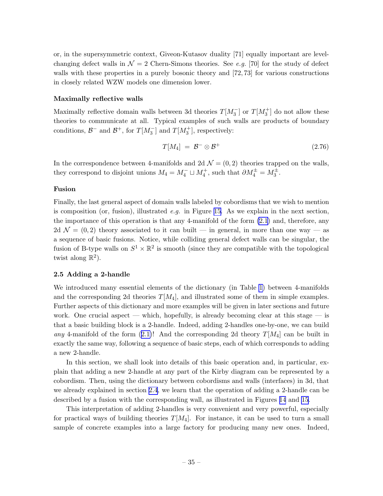<span id="page-35-0"></span>or, in the supersymmetric context, Giveon-Kutasov duality [71] equally important are levelchanging defect walls in  $\mathcal{N} = 2$  Chern-Simons theories. See e.g. [70] for the study of defect walls with these properties in a purely bosonic theory and  $[72, 73]$  for various constructions in closely related WZW models one dimension lower.

### Maximally reflective walls

Maximally reflective domain walls between 3d theories  $T[M_3^-]$  or  $T[M_3^+]$  do not allow these theories to communicate at all. Typical examples of such walls are products of boundary conditions,  $\mathcal{B}^-$  and  $\mathcal{B}^+$ , for  $T[M_3^-]$  and  $T[M_3^+]$ , respectively:

$$
T[M_4] = \mathcal{B}^- \otimes \mathcal{B}^+ \tag{2.76}
$$

In the correspondence between 4-manifolds and 2d  $\mathcal{N} = (0, 2)$  theories trapped on the walls, they correspond to disjoint unions  $M_4 = M_4^- \sqcup M_4^+$ , such that  $\partial M_4^{\pm} = M_3^{\pm}$ .

### Fusion

Finally, the last general aspect of domain walls labeled by cobordisms that we wish to mention is composition (or, fusion), illustrated *e.g.* in Figure [15](#page-37-0). As we explain in the next section, the importance of this operation is that any 4-manifold of the form [\(2.1](#page-8-0)) and, therefore, any 2d  $\mathcal{N} = (0, 2)$  theory associated to it can built — in general, in more than one way — as a sequence of basic fusions. Notice, while colliding general defect walls can be singular, the fusion of B-type walls on  $S^1 \times \mathbb{R}^2$  is smooth (since they are compatible with the topological twist along  $\mathbb{R}^2$ ).

### 2.5 Adding a 2-handle

We introduced many essential elements of the dictionary (in Table [1\)](#page-4-0) between 4-manifolds and the corresponding 2d theories  $T[M_4]$ , and illustrated some of them in simple examples. Further aspects of this dictionary and more examples will be given in later sections and future work. One crucial aspect — which, hopefully, is already becoming clear at this stage — is that a basic building block is a 2-handle. Indeed, adding 2-handles one-by-one, we can build any4-manifold of the form ([2.1\)](#page-8-0)! And the corresponding 2d theory  $T[M_4]$  can be built in exactly the same way, following a sequence of basic steps, each of which corresponds to adding a new 2-handle.

In this section, we shall look into details of this basic operation and, in particular, explain that adding a new 2-handle at any part of the Kirby diagram can be represented by a cobordism. Then, using the dictionary between cobordisms and walls (interfaces) in 3d, that we already explained in section [2.4](#page-32-0), we learn that the operation of adding a 2-handle can be described by a fusion with the corresponding wall, as illustrated in Figures [14](#page-36-0) and [15](#page-37-0).

This interpretation of adding 2-handles is very convenient and very powerful, especially for practical ways of building theories  $T[M_4]$ . For instance, it can be used to turn a small sample of concrete examples into a large factory for producing many new ones. Indeed,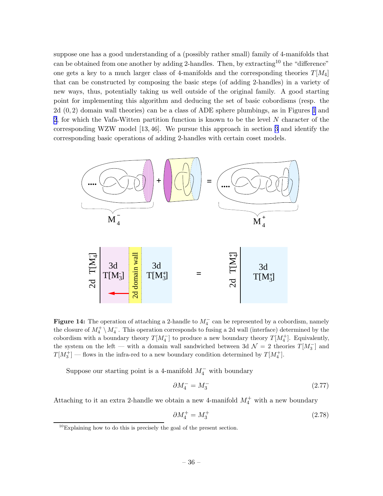suppose one has a good understanding of a (possibly rather small) family of 4-manifolds that can be obtained from one another by adding 2-handles. Then, by extracting<sup>10</sup> the "difference" one gets a key to a much larger class of 4-manifolds and the corresponding theories  $T[M_4]$ that can be constructed by composing the basic steps (of adding 2-handles) in a variety of new ways, thus, potentially taking us well outside of the original family. A good starting point for implementing this algorithm and deducing the set of basic cobordisms (resp. the 2d (0, 2) domain wall theories) can be a class of ADE sphere plumbings, as in Figures [1](#page-9-0) and [2](#page-10-0), for which the Vafa-Witten partition function is known to be the level N character of the corresponding WZW model [13, 46]. We pursue this approach in section [3](#page-40-0) and identify the corresponding basic operations of adding 2-handles with certain coset models.



Figure 14: The operation of attaching a 2-handle to  $M_4^-$  can be represented by a cobordism, namely the closure of  $M_4^+ \setminus M_4^-$ . This operation corresponds to fusing a 2d wall (interface) determined by the cobordism with a boundary theory  $T[M_4^-]$  to produce a new boundary theory  $T[M_4^+]$ . Equivalently, the system on the left — with a domain wall sandwiched between 3d  $\mathcal{N}=2$  theories  $T[M_3^-]$  and  $T[M_3^+]$  — flows in the infra-red to a new boundary condition determined by  $T[M_4^+]$ .

Suppose our starting point is a 4-manifold  $M_4^-$  with boundary

$$
\partial M_4^- = M_3^- \tag{2.77}
$$

Attaching to it an extra 2-handle we obtain a new 4-manifold  $M_4^+$  with a new boundary

$$
\partial M_4^+ = M_3^+ \tag{2.78}
$$

 $10$ Explaining how to do this is precisely the goal of the present section.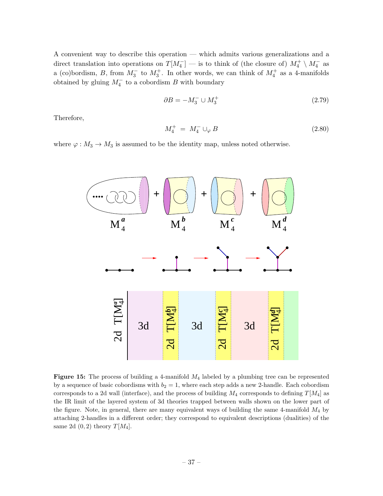<span id="page-37-0"></span>A convenient way to describe this operation — which admits various generalizations and a direct translation into operations on  $T[M_4^-]$  — is to think of (the closure of)  $M_4^+ \setminus M_4^-$  as a (co)bordism, B, from  $M_3^-$  to  $M_3^+$ . In other words, we can think of  $M_4^+$  as a 4-manifolds obtained by gluing  $M_4^-$  to a cobordism B with boundary

$$
\partial B = -M_3^- \cup M_3^+ \tag{2.79}
$$

Therefore,

$$
M_4^+ = M_4^- \cup_{\varphi} B \tag{2.80}
$$

where  $\varphi : M_3 \to M_3$  is assumed to be the identity map, unless noted otherwise.



**Figure 15:** The process of building a 4-manifold  $M_4$  labeled by a plumbing tree can be represented by a sequence of basic cobordisms with  $b_2 = 1$ , where each step adds a new 2-handle. Each cobordism corresponds to a 2d wall (interface), and the process of building  $M_4$  corresponds to defining  $T[M_4]$  as the IR limit of the layered system of 3d theories trapped between walls shown on the lower part of the figure. Note, in general, there are many equivalent ways of building the same 4-manifold  $M_4$  by attaching 2-handles in a different order; they correspond to equivalent descriptions (dualities) of the same 2d  $(0, 2)$  theory  $T[M_4]$ .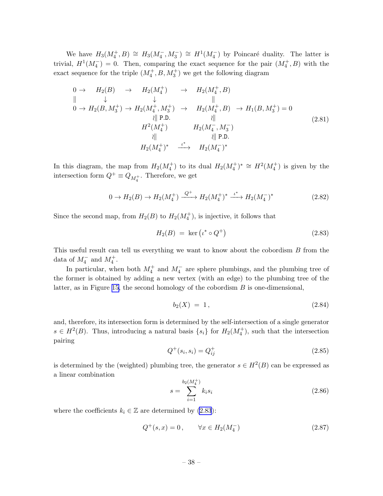<span id="page-38-0"></span>We have  $H_3(M_4^+, B) \cong H_3(M_4^-, M_3^-) \cong H^1(M_4^-)$  by Poincaré duality. The latter is trivial,  $H^1(M_4^-) = 0$ . Then, comparing the exact sequence for the pair  $(M_4^+, B)$  with the exact sequence for the triple  $(M_4^+, B, M_3^+)$  we get the following diagram

$$
0 \to H_2(B) \to H_2(M_4^+) \to H_2(M_4^+, B)
$$
  
\n
$$
\parallel \qquad \downarrow \qquad \qquad \parallel
$$
  
\n
$$
0 \to H_2(B, M_3^+) \to H_2(M_4^+, M_3^+) \to H_2(M_4^+, B) \to H_1(B, M_3^+) = 0
$$
  
\n
$$
\parallel P.D. \qquad \qquad \parallel
$$
  
\n
$$
H^2(M_4^+) \qquad H_2(M_4^-, M_3^-)
$$
  
\n
$$
\parallel \qquad \qquad \parallel P.D.
$$
  
\n
$$
H_2(M_4^+)^* \xrightarrow{\iota^*} H_2(M_4^-)^*
$$
  
\n(2.81)

In this diagram, the map from  $H_2(M_4^+)$  to its dual  $H_2(M_4^+)^* \cong H^2(M_4^+)$  is given by the intersection form  $Q^+ \equiv Q_{M_4^+}$ . Therefore, we get

$$
0 \to H_2(B) \to H_2(M_4^+) \xrightarrow{Q^+} H_2(M_4^+)^* \xrightarrow{\iota^*} H_2(M_4^-)^* \tag{2.82}
$$

Since the second map, from  $H_2(B)$  to  $H_2(M_4^+)$ , is injective, it follows that

$$
H_2(B) = \ker \left( \iota^* \circ Q^+ \right) \tag{2.83}
$$

This useful result can tell us everything we want to know about the cobordism B from the data of  $M_4^-$  and  $M_4^+$ .

In particular, when both  $M_4^+$  and  $M_4^-$  are sphere plumbings, and the plumbing tree of the former is obtained by adding a new vertex (with an edge) to the plumbing tree of the latter, as in Figure [15,](#page-37-0) the second homology of the cobordism  $B$  is one-dimensional,

$$
b_2(X) = 1, \t(2.84)
$$

and, therefore, its intersection form is determined by the self-intersection of a single generator  $s \in H^2(B)$ . Thus, introducing a natural basis  $\{s_i\}$  for  $H_2(M_4^+)$ , such that the intersection pairing

$$
Q^+(s_i, s_i) = Q^+_{ij} \tag{2.85}
$$

is determined by the (weighted) plumbing tree, the generator  $s \in H^2(B)$  can be expressed as a linear combination

$$
s = \sum_{i=1}^{b_2(M_4^+)} k_i s_i \tag{2.86}
$$

where the coefficients  $k_i \in \mathbb{Z}$  are determined by (2.83):

$$
Q^{+}(s,x) = 0, \qquad \forall x \in H_2(M_4^-)
$$
\n(2.87)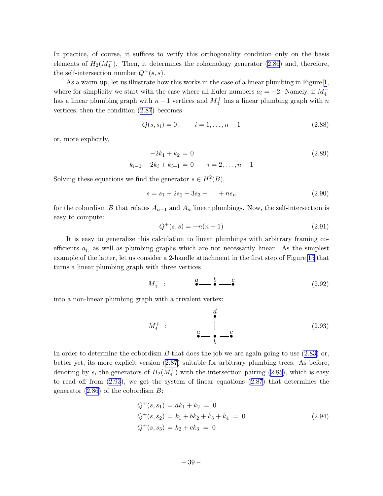In practice, of course, it suffices to verify this orthogonality condition only on the basis elements of  $H_2(M_4^-)$ . Then, it determines the cohomology generator [\(2.86](#page-38-0)) and, therefore, the self-intersection number  $Q^+(s, s)$ .

As a warm-up, let us illustrate how this works in the case of a linear plumbing in Figure [1](#page-9-0), where for simplicity we start with the case where all Euler numbers  $a_i = -2$ . Namely, if  $M_4^$ has a linear plumbing graph with  $n-1$  vertices and  $M_4^+$  has a linear plumbing graph with n vertices, then the condition([2.87](#page-38-0)) becomes

$$
Q(s, s_i) = 0, \qquad i = 1, \dots, n - 1 \tag{2.88}
$$

or, more explicitly,

$$
-2k_1 + k_2 = 0
$$
  
\n
$$
k_{i-1} - 2k_i + k_{i+1} = 0
$$
  $i = 2, ..., n-1$  (2.89)

Solving these equations we find the generator  $s \in H^2(B)$ ,

$$
s = s_1 + 2s_2 + 3s_3 + \ldots + ns_n \tag{2.90}
$$

for the cobordism B that relates  $A_{n-1}$  and  $A_n$  linear plumbings. Now, the self-intersection is easy to compute:

$$
Q^{+}(s,s) = -n(n+1)
$$
\n(2.91)

It is easy to generalize this calculation to linear plumbings with arbitrary framing coefficients  $a_i$ , as well as plumbing graphs which are not necessarily linear. As the simplest example of the latter, let us consider a 2-handle attachment in the first step of Figure [15](#page-37-0) that turns a linear plumbing graph with three vertices

$$
M_4^- : \qquad \overset{a}{\bullet} \qquad \overset{b}{\bullet} \qquad \overset{c}{\bullet} \qquad (2.92)
$$

into a non-linear plumbing graph with a trivalent vertex:

$$
M_4^+ : \qquad \begin{array}{c} d \\ \bullet \\ a \\ \bullet \\ \bullet \end{array} \qquad \begin{array}{c} \bullet \\ \bullet \\ b \end{array} \qquad (2.93)
$$

In order to determine the cobordism B that does the job we are again going to use  $(2.83)$  or, better yet, its more explicit version [\(2.87\)](#page-38-0) suitable for arbitrary plumbing trees. As before, denotingby  $s_i$  the generators of  $H_2(M_4^+)$  with the intersection pairing ([2.85\)](#page-38-0), which is easy to read off from (2.93), we get the system of linear equations([2.87](#page-38-0)) that determines the generator  $(2.86)$  of the cobordism  $B$ :

$$
Q^{+}(s, s_{1}) = ak_{1} + k_{2} = 0
$$
  
\n
$$
Q^{+}(s, s_{2}) = k_{1} + bk_{2} + k_{3} + k_{4} = 0
$$
  
\n
$$
Q^{+}(s, s_{3}) = k_{2} + ck_{3} = 0
$$
\n(2.94)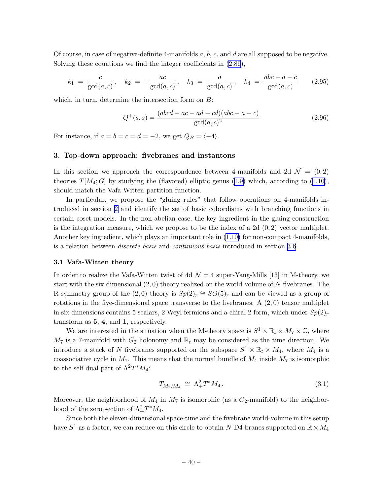<span id="page-40-0"></span>Of course, in case of negative-definite 4-manifolds  $a, b, c$ , and  $d$  are all supposed to be negative. Solving these equations we find the integer coefficients in([2.86](#page-38-0)),

$$
k_1 = \frac{c}{\gcd(a, c)}, \quad k_2 = -\frac{ac}{\gcd(a, c)}, \quad k_3 = \frac{a}{\gcd(a, c)}, \quad k_4 = \frac{abc - a - c}{\gcd(a, c)}
$$
(2.95)

which, in turn, determine the intersection form on  $B$ :

$$
Q^{+}(s,s) = \frac{(abcd - ac - ad - cd)(abc - a - c)}{\gcd(a, c)^{2}}
$$
\n(2.96)

For instance, if  $a = b = c = d = -2$ , we get  $Q_B = \langle -4 \rangle$ .

## 3. Top-down approach: fivebranes and instantons

In this section we approach the correspondence between 4-manifolds and 2d  $\mathcal{N} = (0, 2)$ theories $T[M_4; G]$  by studying the (flavored) elliptic genus ([1.9\)](#page-5-0) which, according to ([1.10\)](#page-5-0), should match the Vafa-Witten partition function.

In particular, we propose the "gluing rules" that follow operations on 4-manifolds introduced in section [2](#page-7-0) and identify the set of basic cobordisms with branching functions in certain coset models. In the non-abelian case, the key ingredient in the gluing construction is the integration measure, which we propose to be the index of a 2d  $(0, 2)$  vector multiplet. Another key ingredient, which plays an important role in [\(1.10\)](#page-5-0) for non-compact 4-manifolds, is a relation between discrete basis and continuous basis introduced in section [3.6](#page-62-0).

## 3.1 Vafa-Witten theory

In order to realize the Vafa-Witten twist of 4d  $\mathcal{N}=4$  super-Yang-Mills [13] in M-theory, we start with the six-dimensional  $(2,0)$  theory realized on the world-volume of N fivebranes. The R-symmetry group of the  $(2,0)$  theory is  $Sp(2)_r \cong SO(5)_r$  and can be viewed as a group of rotations in the five-dimensional space transverse to the fivebranes. A  $(2,0)$  tensor multiplet in six dimensions contains 5 scalars, 2 Weyl fermions and a chiral 2-form, which under  $Sp(2)<sub>r</sub>$ transform as 5, 4, and 1, respectively.

We are interested in the situation when the M-theory space is  $S^1 \times \mathbb{R}_t \times M_7 \times \mathbb{C}$ , where  $M_7$  is a 7-manifold with  $G_2$  holonomy and  $\mathbb{R}_t$  may be considered as the time direction. We introduce a stack of N fivebranes supported on the subspace  $S^1 \times \mathbb{R}_t \times M_4$ , where  $M_4$  is a coassociative cycle in  $M_7$ . This means that the normal bundle of  $M_4$  inside  $M_7$  is isomorphic to the self-dual part of  $\Lambda^2 T^* M_4$ :

$$
T_{M_7/M_4} \, \cong \, \Lambda_+^2 T^* M_4 \,. \tag{3.1}
$$

Moreover, the neighborhood of  $M_4$  in  $M_7$  is isomorphic (as a  $G_2$ -manifold) to the neighborhood of the zero section of  $\Lambda^2_+T^*M_4$ .

Since both the eleven-dimensional space-time and the fivebrane world-volume in this setup have  $S^1$  as a factor, we can reduce on this circle to obtain N D4-branes supported on  $\mathbb{R} \times M_4$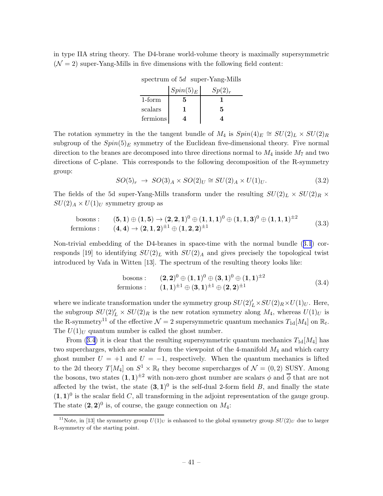in type IIA string theory. The D4-brane world-volume theory is maximally supersymmetric  $(N = 2)$  super-Yang-Mills in five dimensions with the following field content:

| spectrum of $5d$ super-Yang-Mills |  |                         |  |
|-----------------------------------|--|-------------------------|--|
|                                   |  | $S_{min}(5)$ $S_{n}(9)$ |  |

|           | $Spin(5)_E$ | $Sp(2)_r$ |
|-----------|-------------|-----------|
| $1$ -form | 5           |           |
| scalars   |             |           |
| fermions  |             |           |

The rotation symmetry in the the tangent bundle of  $M_4$  is  $Spin(4)_E \cong SU(2)_L \times SU(2)_R$ subgroup of the  $Spin(5)_E$  symmetry of the Euclidean five-dimensional theory. Five normal direction to the branes are decomposed into three directions normal to  $M_4$  inside  $M_7$  and two directions of C-plane. This corresponds to the following decomposition of the R-symmetry group:

$$
SO(5)_r \rightarrow SO(3)_A \times SO(2)_U \cong SU(2)_A \times U(1)_U. \tag{3.2}
$$

The fields of the 5d super-Yang-Mills transform under the resulting  $SU(2)_L \times SU(2)_R \times$  $SU(2)_A \times U(1)_U$  symmetry group as

bosons: 
$$
(5,1) \oplus (1,5) \rightarrow (2,2,1)^0 \oplus (1,1,1)^0 \oplus (1,1,3)^0 \oplus (1,1,1)^{\pm 2}
$$
 fermions: 
$$
(4,4) \rightarrow (2,1,2)^{\pm 1} \oplus (1,2,2)^{\pm 1}
$$
 (3.3)

Non-trivial embedding of the D4-branes in space-time with the normal bundle([3.1](#page-40-0)) corresponds [19] to identifying  $SU(2)_L$  with  $SU(2)_A$  and gives precisely the topological twist introduced by Vafa in Witten [13]. The spectrum of the resulting theory looks like:

bosons : 
$$
(2,2)^0 \oplus (1,1)^0 \oplus (3,1)^0 \oplus (1,1)^{\pm 2}
$$
  
fermions :  $(1,1)^{\pm 1} \oplus (3,1)^{\pm 1} \oplus (2,2)^{\pm 1}$  (3.4)

where we indicate transformation under the symmetry group  $SU(2)'_L \times SU(2)_R \times U(1)_U$ . Here, the subgroup  $SU(2)'_L \times SU(2)_R$  is the new rotation symmetry along  $M_4$ , whereas  $U(1)_U$  is the R-symmetry<sup>11</sup> of the effective  $\mathcal{N}=2$  supersymmetric quantum mechanics  $T_{1d}[M_4]$  on  $\mathbb{R}_t$ . The  $U(1)_U$  quantum number is called the ghost number.

From (3.4) it is clear that the resulting supersymmetric quantum mechanics  $T_{1d}[M_4]$  has two supercharges, which are scalar from the viewpoint of the 4-manifold  $M_4$  and which carry ghost number  $U = +1$  and  $U = -1$ , respectively. When the quantum mechanics is lifted to the 2d theory  $T[M_4]$  on  $S^1 \times \mathbb{R}_t$  they become supercharges of  $\mathcal{N} = (0, 2)$  SUSY. Among the bosons, two states  $(1,1)^{\pm 2}$  with non-zero ghost number are scalars  $\phi$  and  $\overline{\phi}$  that are not affected by the twist, the state  $(3,1)^0$  is the self-dual 2-form field B, and finally the state  $(1, 1)^0$  is the scalar field C, all transforming in the adjoint representation of the gauge group. The state  $(2,2)^0$  is, of course, the gauge connection on  $M_4$ :

<sup>&</sup>lt;sup>11</sup>Note, in [13] the symmetry group  $U(1)_U$  is enhanced to the global symmetry group  $SU(2)_U$  due to larger R-symmetry of the starting point.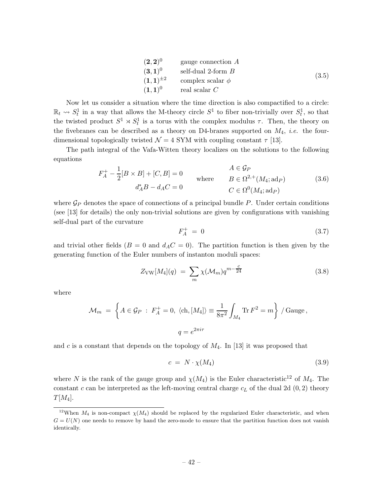| $(2,2)^0$       | gauge connection A    |       |
|-----------------|-----------------------|-------|
| $(3,1)^0$       | self-dual 2-form $B$  |       |
| $(1,1)^{\pm 2}$ | complex scalar $\phi$ | (3.5) |
| $(1,1)^0$       | real scalar $C$       |       |

Now let us consider a situation where the time direction is also compactified to a circle:  $\mathbb{R}_t \leadsto S_t^1$  in a way that allows the M-theory circle  $S^1$  to fiber non-trivially over  $S_t^1$ , so that the twisted product  $S^1 \rtimes S_t^1$  is a torus with the complex modulus  $\tau$ . Then, the theory on the fivebranes can be described as a theory on D4-branes supported on  $M_4$ , *i.e.* the fourdimensional topologically twisted  $\mathcal{N} = 4$  SYM with coupling constant  $\tau$  [13].

The path integral of the Vafa-Witten theory localizes on the solutions to the following equations

$$
F_A^+ - \frac{1}{2}[B \times B] + [C, B] = 0
$$
  
\n
$$
d_A^*B - d_A C = 0
$$
  
\n
$$
A \in \mathcal{G}_P
$$
  
\nwhere  
\n
$$
B \in \Omega^{2,+}(M_4; \text{ad}_P)
$$
  
\n
$$
C \in \Omega^0(M_4; \text{ad}_P)
$$
  
\n(3.6)

where  $\mathcal{G}_P$  denotes the space of connections of a principal bundle P. Under certain conditions (see [13] for details) the only non-trivial solutions are given by configurations with vanishing self-dual part of the curvature

$$
F_A^+ = 0 \tag{3.7}
$$

and trivial other fields ( $B = 0$  and  $d<sub>A</sub>C = 0$ ). The partition function is then given by the generating function of the Euler numbers of instanton moduli spaces:

$$
Z_{\text{VW}}[M_4](q) = \sum_{m} \chi(\mathcal{M}_m) q^{m - \frac{c}{24}} \tag{3.8}
$$

where

$$
\mathcal{M}_m = \left\{ A \in \mathcal{G}_P : F_A^+ = 0, \langle ch, [M_4] \rangle \equiv \frac{1}{8\pi^2} \int_{M_4} \text{Tr} F^2 = m \right\} / \text{Gauge},
$$
  

$$
q = e^{2\pi i \tau}
$$

and c is a constant that depends on the topology of  $M_4$ . In [13] it was proposed that

$$
c = N \cdot \chi(M_4) \tag{3.9}
$$

where N is the rank of the gauge group and  $\chi(M_4)$  is the Euler characteristic<sup>12</sup> of  $M_4$ . The constant c can be interpreted as the left-moving central charge  $c<sub>L</sub>$  of the dual 2d  $(0, 2)$  theory  $T[M_4].$ 

<sup>&</sup>lt;sup>12</sup>When  $M_4$  is non-compact  $\chi(M_4)$  should be replaced by the regularized Euler characteristic, and when  $G = U(N)$  one needs to remove by hand the zero-mode to ensure that the partition function does not vanish identically.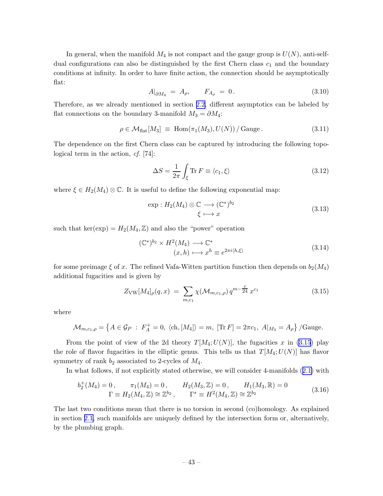<span id="page-43-0"></span>In general, when the manifold  $M_4$  is not compact and the gauge group is  $U(N)$ , anti-selfdual configurations can also be distinguished by the first Chern class  $c_1$  and the boundary conditions at infinity. In order to have finite action, the connection should be asymptotically flat:

$$
A|_{\partial M_4} = A_\rho, \qquad F_{A_\rho} = 0. \tag{3.10}
$$

Therefore, as we already mentioned in section [2.2,](#page-12-0) different asymptotics can be labeled by flat connections on the boundary 3-manifold  $M_3 = \partial M_4$ :

$$
\rho \in \mathcal{M}_{\text{flat}}[M_3] \equiv \text{Hom}(\pi_1(M_3), U(N)) / \text{Gauge}. \tag{3.11}
$$

The dependence on the first Chern class can be captured by introducing the following topological term in the action, cf. [74]:

$$
\Delta S = \frac{1}{2\pi} \int_{\xi} \text{Tr} \, F \equiv \langle c_1, \xi \rangle \tag{3.12}
$$

where  $\xi \in H_2(M_4) \otimes \mathbb{C}$ . It is useful to define the following exponential map:

$$
\exp: H_2(M_4) \otimes \mathbb{C} \longrightarrow (\mathbb{C}^*)^{b_2} \qquad (3.13)
$$

such that ker(exp) =  $H_2(M_4, \mathbb{Z})$  and also the "power" operation

$$
(\mathbb{C}^*)^{b_2} \times H^2(M_4) \longrightarrow \mathbb{C}^*
$$
  

$$
(x, h) \longmapsto x^h \equiv e^{2\pi i \langle h, \xi \rangle}
$$
 (3.14)

for some preimage  $\xi$  of x. The refined Vafa-Witten partition function then depends on  $b_2(M_4)$ additional fugacities and is given by

$$
Z_{\text{VW}}[M_4]_{\rho}(q,x) = \sum_{m,c_1} \chi(\mathcal{M}_{m,c_1,\rho}) q^{m-\frac{c}{24}} x^{c_1}
$$
 (3.15)

where

$$
\mathcal{M}_{m,c_1,\rho} = \left\{ A \in \mathcal{G}_P : F_A^+ = 0, \langle ch, [M_4] \rangle = m, [Tr F] = 2\pi c_1, A|_{M_3} = A_\rho \right\} / \text{Gauge}.
$$

From the point of view of the 2d theory  $T[M_4;U(N)]$ , the fugacities x in (3.15) play the role of flavor fugacities in the elliptic genus. This tells us that  $T[M_4;U(N)]$  has flavor symmetry of rank  $b_2$  associated to 2-cycles of  $M_4$ .

In what follows, if not explicitly stated otherwise, we will consider 4-manifolds([2.1\)](#page-8-0) with

$$
b_2^+(M_4) = 0, \qquad \pi_1(M_4) = 0, \qquad H_2(M_3, \mathbb{Z}) = 0, \qquad H_1(M_3, \mathbb{R}) = 0
$$
  

$$
\Gamma \equiv H_2(M_4, \mathbb{Z}) \cong \mathbb{Z}^{b_2}, \qquad \Gamma^* \equiv H^2(M_4, \mathbb{Z}) \cong \mathbb{Z}^{b_2}
$$
 (3.16)

The last two conditions mean that there is no torsion in second (co)homology. As explained in section [2.1,](#page-7-0) such manifolds are uniquely defined by the intersection form or, alternatively, by the plumbing graph.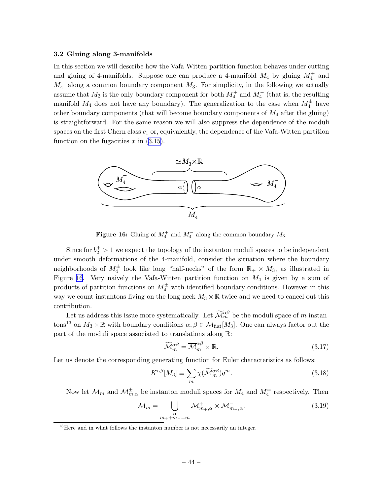#### <span id="page-44-0"></span>3.2 Gluing along 3-manifolds

In this section we will describe how the Vafa-Witten partition function behaves under cutting and gluing of 4-manifolds. Suppose one can produce a 4-manifold  $M_4$  by gluing  $M_4^+$  and  $M_4^-$  along a common boundary component  $M_3$ . For simplicity, in the following we actually assume that  $M_3$  is the only boundary component for both  $M_4^+$  and  $M_4^-$  (that is, the resulting manifold  $M_4$  does not have any boundary). The generalization to the case when  $M_4^{\pm}$  have other boundary components (that will become boundary components of  $M_4$  after the gluing) is straightforward. For the same reason we will also suppress the dependence of the moduli spaces on the first Chern class  $c_1$  or, equivalently, the dependence of the Vafa-Witten partition function on the fugacities  $x$  in  $(3.15)$ .



**Figure 16:** Gluing of  $M_4^+$  and  $M_4^-$  along the common boundary  $M_3$ .

Since for  $b_2^+ > 1$  we expect the topology of the instanton moduli spaces to be independent under smooth deformations of the 4-manifold, consider the situation where the boundary neighborhoods of  $M_4^{\pm}$  look like long "half-necks" of the form  $\mathbb{R}_+ \times M_3$ , as illustrated in Figure 16. Very naively the Vafa-Witten partition function on  $M_4$  is given by a sum of products of partition functions on  $M_4^{\pm}$  with identified boundary conditions. However in this way we count instantons living on the long neck  $M_3 \times \mathbb{R}$  twice and we need to cancel out this contribution.

Let us address this issue more systematically. Let  $\widetilde{\mathcal{M}}_m^{\alpha\beta}$  be the moduli space of m instantons<sup>13</sup> on  $M_3 \times \mathbb{R}$  with boundary conditions  $\alpha, \beta \in \mathcal{M}_{\text{flat}}[M_3]$ . One can always factor out the part of the moduli space associated to translations along R:

$$
\widetilde{\mathcal{M}}_m^{\alpha\beta} = \overline{\mathcal{M}}_m^{\alpha\beta} \times \mathbb{R}.\tag{3.17}
$$

Let us denote the corresponding generating function for Euler characteristics as follows:

$$
K^{\alpha\beta}[M_3] \equiv \sum_m \chi(\widetilde{\mathcal{M}}_m^{\alpha\beta}) q^m. \tag{3.18}
$$

Now let  $\mathcal{M}_m$  and  $\mathcal{M}_{m,\alpha}^{\pm}$  be instanton moduli spaces for  $M_4$  and  $M_4^{\pm}$  respectively. Then

$$
\mathcal{M}_m = \bigcup_{\substack{\alpha \\ m_+ + m_- = m}} \mathcal{M}^+_{m_+, \alpha} \times \mathcal{M}^-_{m_-, \alpha}.
$$
\n(3.19)

<sup>&</sup>lt;sup>13</sup>Here and in what follows the instanton number is not necessarily an integer.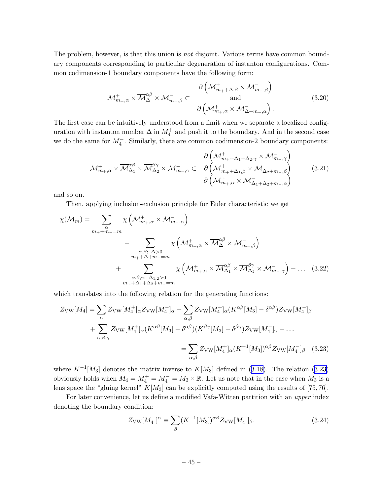The problem, however, is that this union is *not* disjoint. Various terms have common boundary components corresponding to particular degeneration of instanton configurations. Common codimension-1 boundary components have the following form:

$$
\mathcal{M}^+_{m_+,\alpha} \times \overline{\mathcal{M}}^{\alpha\beta}_{\Delta} \times \mathcal{M}^-_{m_-,\beta} \subset \begin{array}{c} \partial \left( \mathcal{M}^+_{m_+ + \Delta,\beta} \times \mathcal{M}^-_{m_-,\beta} \right) \\ \text{and} \\ \partial \left( \mathcal{M}^+_{m_+,\alpha} \times \mathcal{M}^-_{\Delta+m_-,\alpha} \right). \end{array} \tag{3.20}
$$

The first case can be intuitively understood from a limit when we separate a localized configuration with instanton number  $\Delta$  in  $M_4^+$  and push it to the boundary. And in the second case we do the same for  $M_4^-$ . Similarly, there are common codimension-2 boundary components:

$$
\mathcal{M}^{+}_{m_{+},\alpha} \times \overline{\mathcal{M}}^{\alpha\beta}_{\Delta_{1}} \times \overline{\mathcal{M}}^{\beta\gamma}_{\Delta_{2}} \times \mathcal{M}^{-}_{m_{-},\gamma} \subset \partial \left( \mathcal{M}^{+}_{m_{+}+\Delta_{1},\beta} \times \mathcal{M}^{-}_{\Delta_{2}+m_{-},\beta} \right) \qquad (3.21)
$$
\n
$$
\partial \left( \mathcal{M}^{+}_{m_{+},\alpha} \times \mathcal{M}^{-}_{\Delta_{1}+\Delta_{2}+m_{-},\alpha} \right)
$$

and so on.

Then, applying inclusion-exclusion principle for Euler characteristic we get

$$
\chi(\mathcal{M}_m) = \sum_{m_+ + m_- = m} \chi\left(\mathcal{M}^+_{m_+, \alpha} \times \mathcal{M}^-_{m_-, \alpha}\right)
$$
  
 
$$
- \sum_{\substack{\alpha, \beta; \Delta > 0 \\ m_+ + \Delta + m_- = m}} \chi\left(\mathcal{M}^+_{m_+, \alpha} \times \overline{\mathcal{M}}^{\alpha\beta}_{\Delta} \times \mathcal{M}^-_{m_-, \beta}\right)
$$
  
 
$$
+ \sum_{\substack{\alpha, \beta, \gamma; \Delta_1, \beta > 0 \\ m_+ + \Delta_1 + \Delta_2 + m_- = m}} \chi\left(\mathcal{M}^+_{m_+, \alpha} \times \overline{\mathcal{M}}^{\alpha\beta}_{\Delta_1} \times \overline{\mathcal{M}}^{\beta\gamma}_{\Delta_2} \times \mathcal{M}^-_{m_-, \gamma}\right) - \dots (3.22)
$$

which translates into the following relation for the generating functions:

$$
Z_{\rm VW}[M_4] = \sum_{\alpha} Z_{\rm VW}[M_4^+]_{\alpha} Z_{\rm VW}[M_4^-]_{\alpha} - \sum_{\alpha,\beta} Z_{\rm VW}[M_4^+]_{\alpha} (K^{\alpha\beta}[M_3] - \delta^{\alpha\beta}) Z_{\rm VW}[M_4^-]_{\beta}
$$
  
+ 
$$
\sum_{\alpha,\beta,\gamma} Z_{\rm VW}[M_4^+]_{\alpha} (K^{\alpha\beta}[M_3] - \delta^{\alpha\beta}) (K^{\beta\gamma}[M_3] - \delta^{\beta\gamma}) Z_{\rm VW}[M_4^-]_{\gamma} - \dots
$$
  
= 
$$
\sum_{\alpha,\beta} Z_{\rm VW}[M_4^+]_{\alpha} (K^{-1}[M_3])^{\alpha\beta} Z_{\rm VW}[M_4^-]_{\beta} \quad (3.23)
$$

where $K^{-1}[M_3]$  denotes the matrix inverse to  $K[M_3]$  defined in ([3.18\)](#page-44-0). The relation (3.23) obviously holds when  $M_4 = M_4^+ = M_4^- = M_3 \times \mathbb{R}$ . Let us note that in the case when  $M_3$  is a lens space the "gluing kernel"  $K[M_3]$  can be explicitly computed using the results of [75,76].

For later convenience, let us define a modified Vafa-Witten partition with an upper index denoting the boundary condition:

$$
Z_{\rm VW}[M_4^-]^{\alpha} \equiv \sum_{\beta} (K^{-1}[M_3])^{\alpha\beta} Z_{\rm VW}[M_4^-]_{\beta}.
$$
 (3.24)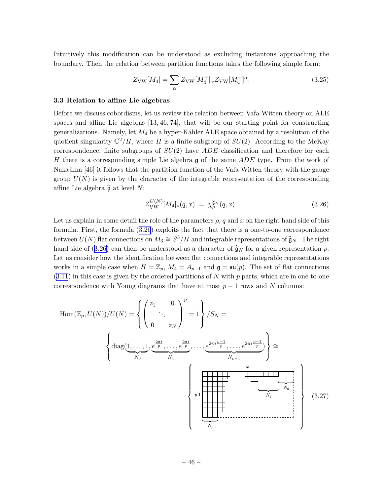<span id="page-46-0"></span>Intuitively this modification can be understood as excluding instantons approaching the boundary. Then the relation between partition functions takes the following simple form:

$$
Z_{\rm VW}[M_4] = \sum_{\alpha} Z_{\rm VW}[M_4^+]_{\alpha} Z_{\rm VW}[M_4^-]^{\alpha}.
$$
 (3.25)

#### 3.3 Relation to affine Lie algebras

Before we discuss cobordisms, let us review the relation between Vafa-Witten theory on ALE spaces and affine Lie algebras [13, 46, 74], that will be our starting point for constructing generalizations. Namely, let  $M_4$  be a hyper-Kähler ALE space obtained by a resolution of the quotient singularity  $\mathbb{C}^2/H$ , where H is a finite subgroup of  $SU(2)$ . According to the McKay correspondence, finite subgroups of  $SU(2)$  have  $ADE$  classification and therefore for each H there is a corresponding simple Lie algebra  $\mathfrak g$  of the same ADE type. From the work of Nakajima [46] it follows that the partition function of the Vafa-Witten theory with the gauge group  $U(N)$  is given by the character of the integrable representation of the corresponding affine Lie algebra  $\widehat{\mathfrak{g}}$  at level N:

$$
Z_{\text{VW}}^{U(N)}[M_4]_{\rho}(q,x) = \chi_{\rho}^{\widehat{\mathfrak{g}}_N}(q,x). \tag{3.26}
$$

Let us explain in some detail the role of the parameters  $\rho$ , q and x on the right hand side of this formula. First, the formula (3.26) exploits the fact that there is a one-to-one correspondence between  $U(N)$  flat connections on  $M_3 \cong S^3/H$  and integrable representations of  $\hat{\mathfrak{g}}_N$ . The right hand side of (3.26) can then be understood as a character of  $\hat{g}_N$  for a given representation  $\rho$ . Let us consider how the identification between flat connections and integrable representations works in a simple case when  $H = \mathbb{Z}_p$ ,  $M_4 = A_{p-1}$  and  $\mathfrak{g} = \mathfrak{su}(p)$ . The set of flat connections  $(3.11)$  $(3.11)$  $(3.11)$  in this case is given by the ordered partitions of N with p parts, which are in one-to-one correspondence with Young diagrams that have at most  $p-1$  rows and N columns:

$$
\text{Hom}(\mathbb{Z}_p, U(N))/U(N) = \left\{ \begin{pmatrix} z_1 & 0 \\ 0 & z_N \end{pmatrix}^p = 1 \right\} / S_N = \left\{ \text{diag}(\underbrace{1, \dots, 1}_{N_0}, \underbrace{e^{\frac{2\pi i}{p}}, \dots, e^{\frac{2\pi i}{p}}, \dots, e^{\frac{2\pi i \frac{p-1}{p}}{p}}, \dots, e^{\frac{2\pi i \frac{p-1}{p}}{N_{p-1}}} \right\} \cong \left\{ \text{diag}(\underbrace{1, \dots, 1}_{N_1}, \underbrace{e^{\frac{2\pi i}{p}}, \dots, e^{\frac{2\pi i \frac{p-1}{p}}{N_{p-1}}}}_{N_1}) \right\}
$$
(3.27)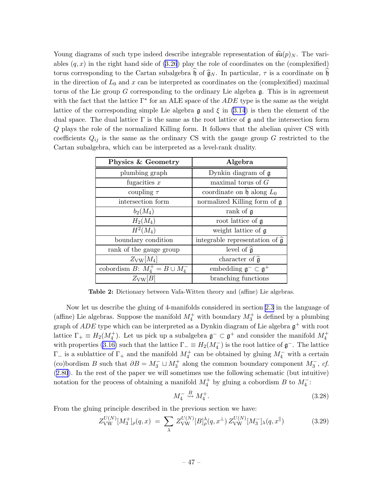<span id="page-47-0"></span>Young diagrams of such type indeed describe integrable representation of  $\widehat{\mathfrak{su}}(p)_N$ . The variables  $(q, x)$  in the right hand side of  $(3.26)$  play the role of coordinates on the (complexified) torus corresponding to the Cartan subalgebra  $\widehat{\mathfrak{h}}$  of  $\widehat{\mathfrak{g}}_N$ . In particular,  $\tau$  is a coordinate on  $\widehat{\mathfrak{h}}$ in the direction of  $L_0$  and  $x$  can be interpreted as coordinates on the (complexified) maximal torus of the Lie group  $G$  corresponding to the ordinary Lie algebra  $\mathfrak{g}$ . This is in agreement with the fact that the lattice  $\Gamma^*$  for an ALE space of the  $ADE$  type is the same as the weight lattice of the corresponding simple Lie algebra  $\mathfrak g$  and  $\xi$  in [\(3.14](#page-43-0)) is then the element of the dual space. The dual lattice  $\Gamma$  is the same as the root lattice of  $\mathfrak g$  and the intersection form Q plays the role of the normalized Killing form. It follows that the abelian quiver CS with coefficients  $Q_{ij}$  is the same as the ordinary CS with the gauge group G restricted to the Cartan subalgebra, which can be interpreted as a level-rank duality.

| Physics & Geometry                  | Algebra                                           |
|-------------------------------------|---------------------------------------------------|
| plumbing graph                      | Dynkin diagram of $\mathfrak g$                   |
| fugacities $x$                      | maximal torus of $G$                              |
| coupling $\tau$                     | coordinate on $\mathfrak h$ along $L_0$           |
| intersection form                   | normalized Killing form of g                      |
| $b_2(M_4)$                          | rank of g                                         |
| $H_2(M_4)$                          | root lattice of $\mathfrak g$                     |
| $H^2(M_4)$                          | weight lattice of g                               |
| boundary condition                  | integrable representation of $\hat{\mathfrak{g}}$ |
| rank of the gauge group             | level of $\hat{\mathfrak{g}}$                     |
| $Z_{\rm VW}[M_4]$                   | character of $\hat{\mathfrak{g}}$                 |
| cobordism $B: M_4^+ = B \cup M_4^-$ | embedding $\mathfrak{g}^- \subset \mathfrak{g}^+$ |
| $Z_{\text{VW}} B$                   | branching functions                               |

Table 2: Dictionary between Vafa-Witten theory and (affine) Lie algebras.

Now let us describe the gluing of 4-manifolds considered in section [2.3](#page-25-0) in the language of (affine) Lie algebras. Suppose the manifold  $M_4^+$  with boundary  $M_3^+$  is defined by a plumbing graph of  $ADE$  type which can be interpreted as a Dynkin diagram of Lie algebra  $\mathfrak{g}^+$  with root lattice  $\Gamma_+ \equiv H_2(M_4^+)$ . Let us pick up a subalgebra  $\mathfrak{g}^- \subset \mathfrak{g}^+$  and consider the manifold  $M_4^+$ with properties [\(3.16\)](#page-43-0) such that the lattice  $\Gamma_-\equiv H_2(M_4^-)$  is the root lattice of  $\mathfrak{g}^-$ . The lattice  $\Gamma_-\$  is a sublattice of  $\Gamma_+$  and the manifold  $M_4^+$  can be obtained by gluing  $M_4^-$  with a certain (co)bordism B such that  $\partial B = M_3^- \sqcup M_3^+$  along the common boundary component  $M_3^-$ , cf. ([2.80](#page-37-0)). In the rest of the paper we will sometimes use the following schematic (but intuitive) notation for the process of obtaining a manifold  $M_4^+$  by gluing a cobordism B to  $M_4^-$ :

$$
M_4^- \stackrel{B}{\rightsquigarrow} M_4^+.\tag{3.28}
$$

From the gluing principle described in the previous section we have:

$$
Z_{\text{VW}}^{U(N)}[M_3^+]_{\rho}(q,x) = \sum_{\lambda} Z_{\text{VW}}^{U(N)}[B]_{\rho}^{\lambda}(q,x^{\perp}) Z_{\text{VW}}^{U(N)}[M_3^-]_{\lambda}(q,x^{\parallel}) \tag{3.29}
$$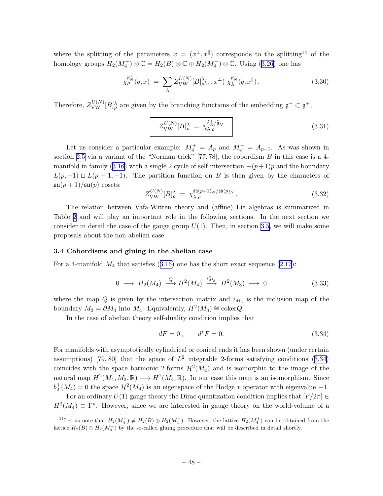<span id="page-48-0"></span>where the splitting of the parameters  $x = (x^{\perp}, x^{\parallel})$  corresponds to the splitting<sup>14</sup> of the homologygroups  $H_2(M_4^+) \otimes \mathbb{C} = H_2(B) \otimes \mathbb{C} \oplus H_2(M_4^-) \otimes \mathbb{C}$ . Using ([3.26](#page-46-0)) one has

$$
\chi^{\widehat{\mathfrak{g}}^+_{\mathcal{P}}}(q,x) \; = \; \sum_{\lambda} Z_{\text{VW}}^{U(N)} [B]_{\rho}^{\lambda}(\tau, x^{\perp}) \; \chi^{\widehat{\mathfrak{g}}^-_{\mathcal{N}}}(q,x^{\parallel}) \,. \tag{3.30}
$$

Therefore,  $Z_{\text{VW}}^{U(N)}[B]_{\rho}^{\lambda}$  are given by the branching functions of the embedding  $\mathfrak{g}^- \subset \mathfrak{g}^+$ ,

$$
Z_{\text{VW}}^{U(N)}[B]_{\rho}^{\lambda} = \chi_{\lambda,\rho}^{\widehat{\mathfrak{g}}_{N}^{+}/\widehat{\mathfrak{g}}_{N}} \tag{3.31}
$$

Let us consider a particular example:  $M_4^+ = A_p$  and  $M_4^- = A_{p-1}$ . As was shown in section [2.5](#page-35-0) via a variant of the "Norman trick"  $[77, 78]$ , the cobordism B in this case is a 4-manifoldin family ([3.16\)](#page-43-0) with a single 2-cycle of self-intersection  $-(p+1)p$  and the boundary  $L(p, -1) \sqcup L(p + 1, -1)$ . The partition function on B is then given by the characters of  $\mathfrak{su}(p+1)/\mathfrak{su}(p)$  cosets:

$$
Z_{\text{VW}}^{U(N)}[B]_{\rho}^{\lambda} = \chi_{\lambda,\rho}^{\widehat{\mathfrak{su}}(p+1)_N/\widehat{\mathfrak{su}}(p)_N}.
$$
 (3.32)

The relation between Vafa-Witten theory and (affine) Lie algebras is summarized in Table [2](#page-47-0) and will play an important role in the following sections. In the next section we consider in detail the case of the gauge group  $U(1)$ . Then, in section [3.5,](#page-59-0) we will make some proposals about the non-abelian case.

### 3.4 Cobordisms and gluing in the abelian case

Fora 4-manifold  $M_4$  that satisfies  $(3.16)$  $(3.16)$  one has the short exact sequence  $(2.17)$ :

$$
0 \longrightarrow H_2(M_4) \stackrel{Q}{\longrightarrow} H^2(M_4) \stackrel{i_{M_3}^*}{\longrightarrow} H^2(M_3) \longrightarrow 0 \tag{3.33}
$$

where the map  $Q$  is given by the intersection matrix and  $i_{M_3}$  is the inclusion map of the boundary  $M_3 = \partial M_4$  into  $M_4$ . Equivalently,  $H^2(M_3) \cong \text{coker}Q$ .

In the case of abelian theory self-duality condition implies that

$$
dF = 0, \t d^*F = 0. \t (3.34)
$$

For manifolds with asymptotically cylindrical or conical ends it has been shown (under certain assumptions) [79, 80] that the space of  $L^2$  integrable 2-forms satisfying conditions (3.34) coincides with the space harmonic 2-forms  $\mathcal{H}^2(M_4)$  and is isomorphic to the image of the natural map  $H^2(M_4, M_3, \mathbb{R}) \longrightarrow H^2(M_4, \mathbb{R})$ . In our case this map is an isomorphism. Since  $b_2^+(M_4) = 0$  the space  $\mathcal{H}^2(M_4)$  is an eigenspace of the Hodge  $*$  operator with eigenvalue -1.

For an ordinary  $U(1)$  gauge theory the Dirac quantization condition implies that  $[F/2\pi] \in$  $H^2(M_4) \equiv \Gamma^*$ . However, since we are interested in gauge theory on the world-volume of a

<sup>&</sup>lt;sup>14</sup>Let us note that  $H_2(M_4^+) \neq H_2(B) \oplus H_2(M_4^-)$ . However, the lattice  $H_2(M_4^+)$  can be obtained from the lattice  $H_2(B) \oplus H_2(M_4^-)$  by the so-called gluing procedure that will be described in detail shortly.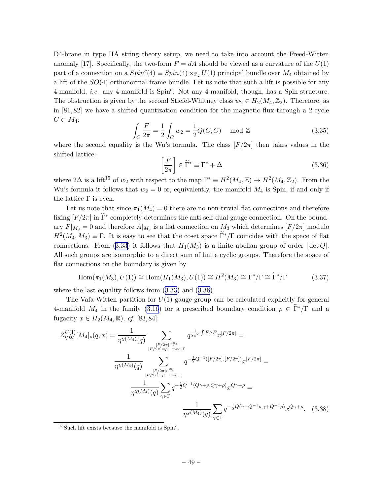<span id="page-49-0"></span>D4-brane in type IIA string theory setup, we need to take into account the Freed-Witten anomaly [17]. Specifically, the two-form  $F = dA$  should be viewed as a curvature of the  $U(1)$ part of a connection on a  $Spin^c(4) \equiv Spin(4) \times_{\mathbb{Z}_2} U(1)$  principal bundle over  $M_4$  obtained by a lift of the  $SO(4)$  orthonormal frame bundle. Let us note that such a lift is possible for any 4-manifold, *i.e.* any 4-manifold is  $Spin<sup>c</sup>$ . Not any 4-manifold, though, has a Spin structure. The obstruction is given by the second Stiefel-Whitney class  $w_2 \in H_2(M_4, \mathbb{Z}_2)$ . Therefore, as in [81, 82] we have a shifted quantization condition for the magnetic flux through a 2-cycle  $C \subset M_4$ :

$$
\int_C \frac{F}{2\pi} = \frac{1}{2} \int_C w_2 = \frac{1}{2} Q(C, C) \mod \mathbb{Z}
$$
\n(3.35)

where the second equality is the Wu's formula. The class  $[F/2\pi]$  then takes values in the shifted lattice:

$$
\left[\frac{F}{2\pi}\right] \in \widetilde{\Gamma}^* \equiv \Gamma^* + \Delta \tag{3.36}
$$

where  $2\Delta$  is a lift<sup>15</sup> of  $w_2$  with respect to the map  $\Gamma^* \equiv H^2(M_4, \mathbb{Z}) \to H^2(M_4, \mathbb{Z}_2)$ . From the Wu's formula it follows that  $w_2 = 0$  or, equivalently, the manifold  $M_4$  is Spin, if and only if the lattice  $Γ$  is even.

Let us note that since  $\pi_1(M_4) = 0$  there are no non-trivial flat connections and therefore fixing  $[F/2\pi]$  in  $\Gamma^*$  completely determines the anti-self-dual gauge connection. On the bound- $\arg F|_{M_3} = 0$  and therefore  $A|_{M_3}$  is a flat connection on  $M_3$  which determines  $[F/2\pi]$  modulo  $H^2(M_4, M_3) \equiv \Gamma$ . It is easy to see that the coset space  $\tilde{\Gamma}^*/\Gamma$  coincides with the space of flat connections.From ([3.33\)](#page-48-0) it follows that  $H_1(M_3)$  is a finite abelian group of order  $|\det Q|$ . All such groups are isomorphic to a direct sum of finite cyclic groups. Therefore the space of flat connections on the boundary is given by

$$
\text{Hom}(\pi_1(M_3), U(1)) \cong \text{Hom}(H_1(M_3), U(1)) \cong H^2(M_3) \cong \Gamma^*/\Gamma \cong \widetilde{\Gamma}^*/\Gamma \tag{3.37}
$$

where the last equality follows from  $(3.33)$  and  $(3.36)$ .

The Vafa-Witten partition for  $U(1)$  gauge group can be calculated explicitly for general 4-manifold $M_4$  in the family ([3.16](#page-43-0)) for a prescribed boundary condition  $\rho \in \tilde{\Gamma}^*/\Gamma$  and a fugacity  $x \in H_2(M_4, \mathbb{R})$ , cf. [83,84]:

$$
Z_{\text{VW}}^{U(1)}[M_4]_{\rho}(q,x) = \frac{1}{\eta^{\chi(M_4)}(q)} \sum_{\substack{[F/2\pi] \in \widetilde{\Gamma}^* \ [F/2\pi] = \rho \mod \Gamma}} q^{\frac{1}{8\pi^2} \int F \wedge F} x^{[F/2\pi]} =
$$
  

$$
\frac{1}{\eta^{\chi(M_4)}(q)} \sum_{\substack{[F/2\pi] \in \widetilde{\Gamma}^* \ [F/2\pi] = \rho \mod \Gamma}} q^{-\frac{1}{2}Q^{-1}([F/2\pi],[F/2\pi])} x^{[F/2\pi]} =
$$
  

$$
\frac{1}{\eta^{\chi(M_4)}(q)} \sum_{\gamma \in \Gamma} q^{-\frac{1}{2}Q^{-1}(Q\gamma + \rho, Q\gamma + \rho)} x^{Q\gamma + \rho} =
$$
  

$$
\frac{1}{\eta^{\chi(M_4)}(q)} \sum_{\gamma \in \Gamma} q^{-\frac{1}{2}Q^{-1}(Q\gamma + \rho, Q\gamma + \rho)} x^{Q\gamma + \rho} =
$$
  

$$
\frac{1}{\eta^{\chi(M_4)}(q)} \sum_{\gamma \in \Gamma} q^{-\frac{1}{2}Q(\gamma + Q^{-1}\rho, \gamma + Q^{-1}\rho)} x^{Q\gamma + \rho}.
$$
 (3.38)

<sup>&</sup>lt;sup>15</sup>Such lift exists because the manifold is  $Spin<sup>c</sup>$ .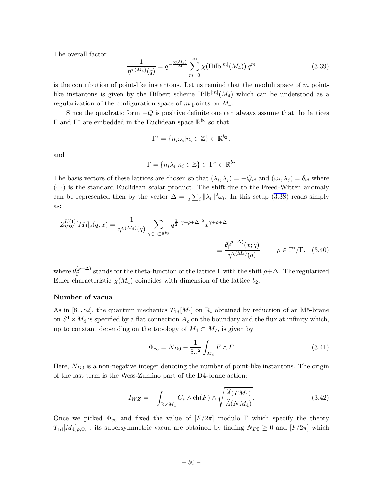<span id="page-50-0"></span>The overall factor

$$
\frac{1}{\eta \chi(M_4)(q)} = q^{-\frac{\chi(M_4)}{24}} \sum_{m=0}^{\infty} \chi(\text{Hilb}^{[m]}(M_4)) q^m
$$
\n(3.39)

is the contribution of point-like instantons. Let us remind that the moduli space of  $m$  pointlike instantons is given by the Hilbert scheme  $\text{Hilb}^{[m]}(M_4)$  which can be understood as a regularization of the configuration space of  $m$  points on  $M_4$ .

Since the quadratic form  $-Q$  is positive definite one can always assume that the lattices  $\Gamma$  and  $\Gamma^*$  are embedded in the Euclidean space  $\mathbb{R}^{b_2}$  so that

$$
\Gamma^* = \{n_i \omega_i | n_i \in \mathbb{Z}\} \subset \mathbb{R}^{b_2}.
$$

and

$$
\Gamma = \{n_i \lambda_i | n_i \in \mathbb{Z}\} \subset \Gamma^* \subset \mathbb{R}^{b_2}
$$

The basis vectors of these lattices are chosen so that  $(\lambda_i, \lambda_j) = -Q_{ij}$  and  $(\omega_i, \lambda_j) = \delta_{ij}$  where  $(\cdot, \cdot)$  is the standard Euclidean scalar product. The shift due to the Freed-Witten anomaly can be represented then by the vector  $\Delta = \frac{1}{2} \sum_i ||\lambda_i||^2 \omega_i$ . In this setup [\(3.38](#page-49-0)) reads simply as:

$$
Z_{\text{VW}}^{U(1)}[M_4]_{\rho}(q,x) = \frac{1}{\eta^{\chi(M_4)}(q)} \sum_{\gamma \in \Gamma \subset \mathbb{R}^{b_2}} q^{\frac{1}{2} ||\gamma + \rho + \Delta||^2} x^{\gamma + \rho + \Delta}
$$
  

$$
\equiv \frac{\theta_{\Gamma}^{(\rho + \Delta)}(x;q)}{\eta^{\chi(M_4)}(q)}, \qquad \rho \in \Gamma^*/\Gamma. \tag{3.40}
$$

where  $\theta_{\Gamma}^{(\rho+\Delta)}$  $\Gamma^{(\rho+\Delta)}$  stands for the theta-function of the lattice  $\Gamma$  with the shift  $\rho+\Delta$ . The regularized Euler characteristic  $\chi(M_4)$  coincides with dimension of the lattice  $b_2$ .

#### Number of vacua

As in [81, 82], the quantum mechanics  $T_{1d}[M_4]$  on  $\mathbb{R}_t$  obtained by reduction of an M5-brane on  $S^1 \times M_4$  is specified by a flat connection  $A_\rho$  on the boundary and the flux at infinity which, up to constant depending on the topology of  $M_4 \subset M_7$ , is given by

$$
\Phi_{\infty} = N_{D0} - \frac{1}{8\pi^2} \int_{M_4} F \wedge F \tag{3.41}
$$

Here,  $N_{D0}$  is a non-negative integer denoting the number of point-like instantons. The origin of the last term is the Wess-Zumino part of the D4-brane action:

$$
I_{WZ} = -\int_{\mathbb{R} \times M_4} C_* \wedge \text{ch}(F) \wedge \sqrt{\frac{\widehat{A}(TM_4)}{\widehat{A}(NM_4)}}.
$$
 (3.42)

Once we picked  $\Phi_{\infty}$  and fixed the value of  $[F/2\pi]$  modulo  $\Gamma$  which specify the theory  $T_{1d}[M_4]_{\rho, \Phi_{\infty}}$ , its supersymmetric vacua are obtained by finding  $N_{D0} \geq 0$  and  $[F/2\pi]$  which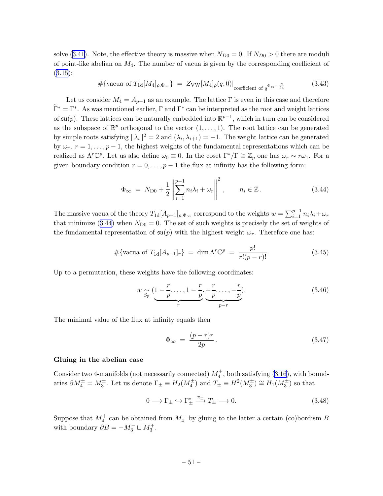solve([3.41](#page-50-0)). Note, the effective theory is massive when  $N_{D0} = 0$ . If  $N_{D0} > 0$  there are moduli of point-like abelian on  $M_4$ . The number of vacua is given by the corresponding coefficient of  $(3.15):$  $(3.15):$  $(3.15):$ 

$$
\#\{\text{vacua of }T_{1d}[M_4]_{\rho,\Phi_\infty}\} = Z_{\text{VW}}[M_4]_{\rho}(q,0)|_{\text{coefficient of }q^{\Phi_\infty-\frac{c}{24}}} \tag{3.43}
$$

Let us consider  $M_4 = A_{p-1}$  as an example. The lattice  $\Gamma$  is even in this case and therefore  $\Gamma^* = \Gamma^*$ . As was mentioned earlier, Γ and  $\Gamma^*$  can be interpreted as the root and weight lattices of  $\mathfrak{su}(p)$ . These lattices can be naturally embedded into  $\mathbb{R}^{p-1}$ , which in turn can be considered as the subspace of  $\mathbb{R}^p$  orthogonal to the vector  $(1,\ldots,1)$ . The root lattice can be generated by simple roots satisfying  $\|\lambda_i\|^2 = 2$  and  $(\lambda_i, \lambda_{i+1}) = -1$ . The weight lattice can be generated by  $\omega_r$ ,  $r = 1, \ldots, p-1$ , the highest weights of the fundamental representations which can be realized as  $\Lambda^r\mathbb{C}^p$ . Let us also define  $\omega_0 \equiv 0$ . In the coset  $\Gamma^*/\Gamma \cong \mathbb{Z}_p$  one has  $\omega_r \sim r\omega_1$ . For a given boundary condition  $r = 0, \ldots, p - 1$  the flux at infinity has the following form:

$$
\Phi_{\infty} = N_{\text{D}0} + \frac{1}{2} \left\| \sum_{i=1}^{p-1} n_i \lambda_i + \omega_r \right\|^2, \qquad n_i \in \mathbb{Z} \,.
$$
 (3.44)

The massive vacua of the theory  $T_{1d}[A_{p-1}]_{\rho,\Phi_{\infty}}$  correspond to the weights  $w = \sum_{i=1}^{p-1} n_i \lambda_i + \omega_r$ that minimize (3.44) when  $N_{\text{D}0} = 0$ . The set of such weights is precisely the set of weights of the fundamental representation of  $\mathfrak{su}(p)$  with the highest weight  $\omega_r$ . Therefore one has:

$$
\#\{\text{vacua of }T_{1d}[A_{p-1}]_r\} = \dim \Lambda^r \mathbb{C}^p = \frac{p!}{r!(p-r)!}.
$$
 (3.45)

Up to a permutation, these weights have the following coordinates:

$$
w \underset{S_p}{\sim} \underbrace{(1-\frac{r}{p},\ldots,1-\frac{r}{p},\frac{r}{p},\ldots,-\frac{r}{p})}_{r}.
$$
 (3.46)

The minimal value of the flux at infinity equals then

$$
\Phi_{\infty} = \frac{(p-r)r}{2p}.
$$
\n(3.47)

#### Gluing in the abelian case

Consider two 4-manifolds (not necessarily connected)  $M_4^{\pm}$ , both satisfying [\(3.16](#page-43-0)), with boundaries  $\partial M_4^{\pm} = M_3^{\pm}$ . Let us denote  $\Gamma_{\pm} \equiv H_2(M_4^{\pm})$  and  $T_{\pm} \equiv H^2(M_3^{\pm}) \cong H_1(M_3^{\pm})$  so that

$$
0 \longrightarrow \Gamma_{\pm} \hookrightarrow \Gamma_{\pm}^* \xrightarrow{\pi_{\pm}} T_{\pm} \longrightarrow 0. \tag{3.48}
$$

Suppose that  $M_4^+$  can be obtained from  $M_4^-$  by gluing to the latter a certain (co)bordism B with boundary  $\partial B = -M_3^- \sqcup M_3^+$ .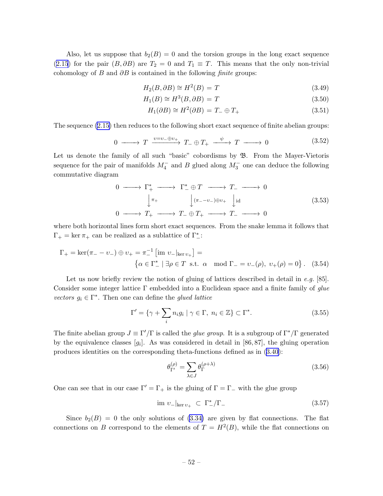<span id="page-52-0"></span>Also, let us suppose that  $b_2(B) = 0$  and the torsion groups in the long exact sequence ([2.15](#page-14-0)) for the pair  $(B, \partial B)$  are  $T_2 = 0$  and  $T_1 \equiv T$ . This means that the only non-trivial cohomology of B and  $\partial B$  is contained in the following finite groups:

$$
H_2(B, \partial B) \cong H^2(B) = T \tag{3.49}
$$

$$
H_1(B) \cong H^3(B, \partial B) = T \tag{3.50}
$$

$$
H_1(\partial B) \cong H^2(\partial B) = T_- \oplus T_+ \tag{3.51}
$$

The sequence [\(2.15\)](#page-14-0) then reduces to the following short exact sequence of finite abelian groups:

$$
0 \longrightarrow T \xrightarrow{v=v_-\oplus v_+} T_- \oplus T_+ \xrightarrow{\psi} T \longrightarrow 0 \qquad (3.52)
$$

Let us denote the family of all such "basic" cobordisms by  $\mathfrak{B}$ . From the Mayer-Vietoris sequence for the pair of manifolds  $M_4^-$  and B glued along  $M_3^-$  one can deduce the following commutative diagram

$$
\begin{array}{ccccccc}\n0 & \longrightarrow & \Gamma_{+}^{*} & \longrightarrow & \Gamma_{-}^{*} \oplus T & \longrightarrow & T_{-} & \longrightarrow & 0 \\
& & & & & & & \\
\downarrow & & & & & & & \\
0 & \longrightarrow & T_{+} & \longrightarrow & T_{-} \oplus T_{+} & \longrightarrow & T_{-} & \longrightarrow & \\
0 & \longrightarrow & T_{+} & \longrightarrow & T_{-} \oplus T_{+} & \longrightarrow & T_{-} & \longrightarrow & 0\n\end{array}
$$
\n
$$
(3.53)
$$

where both horizontal lines form short exact sequences. From the snake lemma it follows that  $\Gamma_+ = \ker \pi_+$  can be realized as a sublattice of  $\Gamma^*_-$ :

$$
\Gamma_{+} = \ker(\pi_{-} - v_{-}) \oplus v_{+} = \pi_{-}^{-1} \left[ \text{im } v_{-} |_{\ker v_{+}} \right] =
$$
  

$$
\left\{ \alpha \in \Gamma_{-}^{*} \mid \exists \rho \in T \text{ s.t. } \alpha \mod \Gamma_{-} = v_{-}(\rho), v_{+}(\rho) = 0 \right\}. (3.54)
$$

Let us now briefly review the notion of gluing of lattices described in detail in  $e.g.$  [85]. Consider some integer lattice  $\Gamma$  embedded into a Euclidean space and a finite family of glue vectors  $g_i \in \Gamma^*$ . Then one can define the glued lattice

$$
\Gamma' = \{ \gamma + \sum_{i} n_i g_i \mid \gamma \in \Gamma, \ n_i \in \mathbb{Z} \} \subset \Gamma^*.
$$
 (3.55)

The finite abelian group  $J \equiv \Gamma'/\Gamma$  is called the *glue group*. It is a subgroup of  $\Gamma^*/\Gamma$  generated by the equivalence classes  $[g_i]$ . As was considered in detail in [86,87], the gluing operation produces identities on the corresponding theta-functions defined as in [\(3.40](#page-50-0)):

$$
\theta_{\Gamma'}^{(\rho)} = \sum_{\lambda \in J} \theta_{\Gamma}^{(\rho + \lambda)} \tag{3.56}
$$

One can see that in our case  $\Gamma' = \Gamma_+$  is the gluing of  $\Gamma = \Gamma_-$  with the glue group

$$
\text{im } v_-|_{\ker v_+} \subset \Gamma_-^* / \Gamma_- \tag{3.57}
$$

Since  $b_2(B) = 0$  the only solutions of [\(3.34\)](#page-48-0) are given by flat connections. The flat connections on B correspond to the elements of  $T = H^2(B)$ , while the flat connections on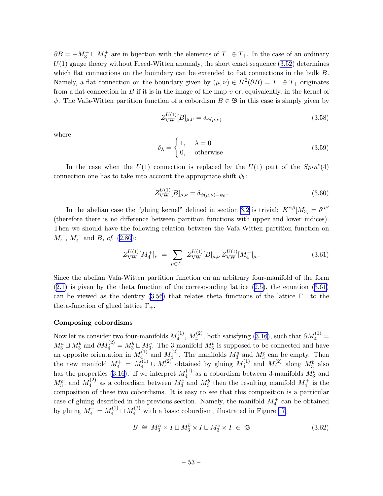<span id="page-53-0"></span> $\partial B = -M_3^- \sqcup M_3^+$  are in bijection with the elements of  $T_-\oplus T_+$ . In the case of an ordinary  $U(1)$  gauge theory without Freed-Witten anomaly, the short exact sequence  $(3.52)$  determines which flat connections on the boundary can be extended to flat connections in the bulk B. Namely, a flat connection on the boundary given by  $(\mu, \nu) \in H^2(\partial B) = T_- \oplus T_+$  originates from a flat connection in B if it is in the image of the map  $v$  or, equivalently, in the kernel of  $\psi$ . The Vafa-Witten partition function of a cobordism  $B \in \mathfrak{B}$  in this case is simply given by

$$
Z_{\text{VW}}^{U(1)}[B]_{\mu,\nu} = \delta_{\psi(\mu,\nu)}\tag{3.58}
$$

where

$$
\delta_{\lambda} = \begin{cases} 1, & \lambda = 0 \\ 0, & \text{otherwise} \end{cases}
$$
 (3.59)

In the case when the  $U(1)$  connection is replaced by the  $U(1)$  part of the  $Spin<sup>c</sup>(4)$ connection one has to take into account the appropriate shift  $\psi_0$ :

$$
Z_{\text{VW}}^{U(1)}[B]_{\mu,\nu} = \delta_{\psi(\mu,\nu) - \psi_0}.
$$
\n(3.60)

In the abelian case the "gluing kernel" defined in section [3.2](#page-44-0) is trivial:  $K^{\alpha\beta}[M_3] = \delta^{\alpha\beta}$ (therefore there is no difference between partition functions with upper and lower indices). Then we should have the following relation between the Vafa-Witten partition function on  $M_4^+$ ,  $M_4^-$  and B, cf. [\(2.80](#page-37-0)):

$$
Z_{\text{VW}}^{U(1)}[M_4^+]_{\nu} = \sum_{\mu \in T_-} Z_{\text{VW}}^{U(1)}[B]_{\mu,\nu} Z_{\text{VW}}^{U(1)}[M_4^-]_{\mu}.
$$
 (3.61)

Since the abelian Vafa-Witten partition function on an arbitrary four-manifold of the form ([2.1\)](#page-8-0) is given by the theta function of the corresponding lattice([2.5\)](#page-10-0), the equation (3.61) can be viewed as the identity [\(3.56](#page-52-0)) that relates theta functions of the lattice  $\Gamma_{-}$  to the theta-function of glued lattice  $\Gamma_{+}$ .

#### Composing cobordisms

Now let us consider two four-manifolds  $M_4^{(1)}$  $M_4^{(1)}$ ,  $M_4^{(2)}$ , both satisfying [\(3.16\)](#page-43-0), such that  $\partial M_4^{(1)} =$  $M_3^a \sqcup M_3^b$  and  $\partial M_4^{(2)} = M_3^b \sqcup M_3^c$ . The 3-manifold  $M_3^b$  is supposed to be connected and have an opposite orientation in  $M_4^{(1)}$  $\frac{1}{4}$  and  $M_4^{(2)}$  $\mathcal{M}_4^c$ . The manifolds  $M_3^a$  and  $M_3^c$  can be empty. Then the new manifold  $M_4^+ = M_4^{(1)} \cup M_4^{(2)}$  $\mu_4^{(2)}$  obtained by gluing  $M_4^{(1)}$  $_4^{(1)}$  and  $M_4^{(2)}$  $\Lambda_4^{(2)}$  along  $M_3^b$  also has the properties [\(3.16](#page-43-0)). If we interpret  $M_4^{(1)}$  $\mathcal{M}_4^{(1)}$  as a cobordism between 3-manifolds  $\mathcal{M}_3^b$  and  $M_3^a$ , and  $M_4^{(2)}$  $\mathcal{M}_4^c$  as a cobordism between  $\mathcal{M}_3^c$  and  $\mathcal{M}_3^b$  then the resulting manifold  $\mathcal{M}_4^+$  is the composition of these two cobordisms. It is easy to see that this composition is a particular case of gluing described in the previous section. Namely, the manifold  $M_4^+$  can be obtained by gluing  $M_4^- = M_4^{(1)} \sqcup M_4^{(2)}$  with a basic cobordism, illustrated in Figure [17,](#page-54-0)

$$
B \cong M_3^a \times I \sqcup M_3^b \times I \sqcup M_3^c \times I \in \mathfrak{B} \tag{3.62}
$$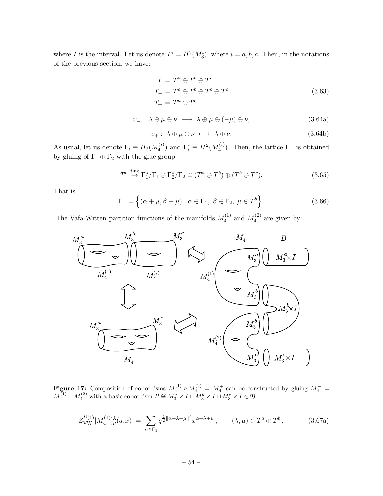<span id="page-54-0"></span>where I is the interval. Let us denote  $T^i = H^2(M_3^i)$ , where  $i = a, b, c$ . Then, in the notations of the previous section, we have:

$$
T = T^a \oplus T^b \oplus T^c
$$
  
\n
$$
T_{-} = T^a \oplus T^b \oplus T^b \oplus T^c
$$
  
\n
$$
T_{+} = T^a \oplus T^c
$$
\n(3.63)

$$
\upsilon_{-}:\ \lambda\oplus\mu\oplus\nu\ \longmapsto\ \lambda\oplus\mu\oplus(-\mu)\oplus\nu,\tag{3.64a}
$$

$$
v_{+}: \lambda \oplus \mu \oplus \nu \ \longmapsto \ \lambda \oplus \nu. \tag{3.64b}
$$

As usual, let us denote  $\Gamma_i \equiv H_2(M_4^{(i)})$  $\Gamma_i^{(i)}$ ) and  $\Gamma_i^* \equiv H^2(M_4^{(i)})$  $\binom{v}{4}$ . Then, the lattice  $\Gamma_+$  is obtained by gluing of  $\Gamma_1\oplus\Gamma_2$  with the glue group

$$
T^b \stackrel{\text{diag}}{\hookrightarrow} \Gamma_1^* / \Gamma_1 \oplus \Gamma_2^* / \Gamma_2 \cong (T^a \oplus T^b) \oplus (T^b \oplus T^c). \tag{3.65}
$$

That is

$$
\Gamma^{+} = \left\{ (\alpha + \mu, \beta - \mu) \mid \alpha \in \Gamma_1, \ \beta \in \Gamma_2, \ \mu \in T^b \right\}.
$$
 (3.66)

The Vafa-Witten partition functions of the manifolds  $M_4^{(1)}$  $_4^{(1)}$  and  $M_4^{(2)}$  $4^{(2)}$  are given by:



Figure 17: Composition of cobordisms  $M_4^{(1)} \circ M_4^{(2)} = M_4^+$  can be constructed by gluing  $M_4^- =$  $M_4^{(1)} \sqcup M_4^{(2)}$  with a basic cobordism  $B \cong M_3^a \times I \sqcup M_3^b \times I \sqcup M_3^c \times I \in \mathfrak{B}$ .

$$
Z_{\text{VW}}^{U(1)}[M_4^{(1)}]_\mu^\lambda(q,x) \ = \ \sum_{\alpha \in \Gamma_1} q^{\frac{1}{2} \|\alpha + \lambda + \mu\|^2} x^{\alpha + \lambda + \mu} \,, \qquad (\lambda, \mu) \in T^a \oplus T^b \,, \tag{3.67a}
$$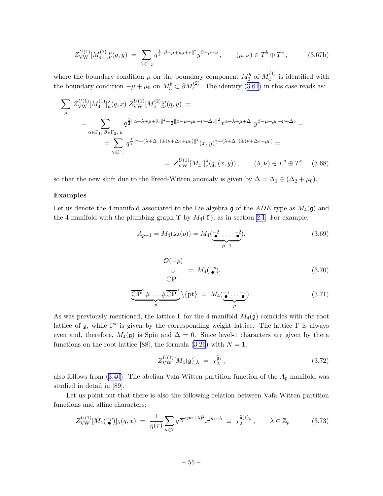<span id="page-55-0"></span>
$$
Z_{\text{VW}}^{U(1)}[M_4^{(2)}]_{\nu}^{\mu}(q,y) = \sum_{\beta \in \Gamma_2} q^{\frac{1}{2} ||\beta - \mu + \mu_0 + \nu||^2} y^{\beta + \mu + \nu}, \qquad (\mu, \nu) \in T^b \oplus T^c, \qquad (3.67b)
$$

where the boundary condition  $\mu$  on the boundary component  $M_3^b$  of  $M_4^{(1)}$  $\binom{1}{4}$  is identified with theboundary condition  $-\mu + \mu_0$  on  $M_3^b \subset \partial M_4^{(2)}$ . The identity ([3.61\)](#page-53-0) in this case reads as:

$$
\sum_{\mu} Z_{\text{VW}}^{U(1)} [M_4^{(1)}]_{\mu}^{\lambda}(q, x) Z_{\text{VW}}^{U(1)} [M_4^{(2)}]_{\nu}^{\mu}(q, y) =
$$
\n
$$
= \sum_{\alpha \in \Gamma_1, \beta \in \Gamma_2, \mu} q^{\frac{1}{2} ||\alpha + \lambda + \mu + \delta_1||^2 + \frac{1}{2} ||\beta - \mu + \mu_0 + \nu + \Delta_2||^2} x^{\alpha + \lambda + \mu + \Delta_1} y^{\beta - \mu + \mu_0 + \nu + \Delta_2} =
$$
\n
$$
= \sum_{\gamma \in \Gamma_+} q^{\frac{1}{2} ||\gamma + (\lambda + \Delta_1)\oplus(\nu + \Delta_2 + \mu_0)||^2} (x, y)^{\gamma + (\lambda + \Delta_1)\oplus(\nu + \Delta_2 + \mu_0)} =
$$
\n
$$
= Z_{\text{VW}}^{U(1)} [M_4^+]_{\nu}^{\lambda}(q, (x, y)), \qquad (\lambda, \nu) \in T^a \oplus T^c. \quad (3.68)
$$

so that the new shift due to the Freed-Witten anomaly is given by  $\Delta = \Delta_1 \oplus (\Delta_2 + \mu_0)$ .

## Examples

Let us denote the 4-manifold associated to the Lie algebra g of the  $ADE$  type as  $M_4(\mathfrak{g})$  and the 4-manifold with the plumbing graph  $\Upsilon$  by  $M_4(\Upsilon)$ , as in section [2.1](#page-7-0). For example,

$$
A_{p-1} = M_4(\mathfrak{su}(p)) = M_4(\underbrace{\bullet^2 \dots \bullet^2}_{p-1}),\tag{3.69}
$$

$$
\begin{array}{rcl}\n\mathcal{O}(-p) \\
\downarrow & = M_4(\overline{\bullet}^p), \\
\mathbb{C}\mathbf{P}^1\n\end{array} \n\tag{3.70}
$$

$$
\underbrace{\overline{\mathbb{CP}}^2 \# \dots \# \overline{\mathbb{CP}}^2}_{p} \setminus \{ \text{pt} \} = M_4(\underbrace{\bullet \bullet \dots \bullet}_{p}). \tag{3.71}
$$

As was previously mentioned, the lattice  $\Gamma$  for the 4-manifold  $M_4(\mathfrak{g})$  coincides with the root lattice of  $\mathfrak g$ , while  $\Gamma^*$  is given by the corresponding weight lattice. The lattice  $\Gamma$  is always even and, therefore,  $M_4(\mathfrak{g})$  is Spin and  $\Delta = 0$ . Since level-1 characters are given by theta functionson the root lattice [88], the formula ([3.26](#page-46-0)) with  $N = 1$ ,

$$
Z_{\text{VW}}^{U(1)}[M_4(\mathfrak{g})]_{\lambda} = \chi_{\lambda}^{\widehat{\mathfrak{g}}_1},\tag{3.72}
$$

also follows from [\(3.40\)](#page-50-0). The abelian Vafa-Witten partition function of the  $A_p$  manifold was studied in detail in [89].

Let us point out that there is also the following relation between Vafa-Witten partition functions and affine characters:

$$
Z_{\text{VW}}^{U(1)}[M_4(\tilde{\bullet})]_{\lambda}(q,x) = \frac{1}{\eta(\tau)} \sum_{n \in \mathbb{Z}} q^{\frac{1}{2p}(pn+\lambda)^2} x^{pn+\lambda} \equiv \chi_{\lambda}^{\hat{\mathfrak{u}}(1)_p}, \qquad \lambda \in \mathbb{Z}_p \tag{3.73}
$$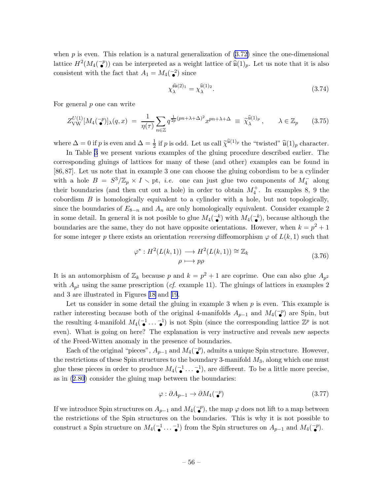<span id="page-56-0"></span>when  $p$  is even. This relation is a natural generalization of  $(3.72)$  since the one-dimensional lattice  $H^2(M_4(\mathbb{Z}))$  can be interpreted as a weight lattice of  $\widehat{\mathfrak{u}}(1)_p$ . Let us note that it is also • consistent with the fact that  $A_1 = M_4(\begin{array}{c} 2 \\ 2 \end{array})$  $\bullet$ <sup>2</sup>) since

$$
\chi_{\lambda}^{\widehat{\mathfrak{su}}(2)_1} = \chi_{\lambda}^{\widehat{\mathfrak{u}}(1)_2}.
$$
\n(3.74)

For general p one can write

$$
Z_{\text{VW}}^{U(1)}[M_4(\vec{\bullet})]_{\lambda}(q,x) = \frac{1}{\eta(\tau)} \sum_{n \in \mathbb{Z}} q^{\frac{1}{2p}(pn+\lambda+\Delta)^2} x^{pn+\lambda+\Delta} \equiv \tilde{\chi}_{\lambda}^{\tilde{u}(1)_p}, \qquad \lambda \in \mathbb{Z}_p \qquad (3.75)
$$

where  $\Delta = 0$  if p is even and  $\Delta = \frac{1}{2}$  if p is odd. Let us call  $\tilde{\chi}^{\hat{\mathfrak{u}}(1)_p}$  the "twisted"  $\hat{\mathfrak{u}}(1)_p$  character.

In Table [3](#page-57-0) we present various examples of the gluing procedure described earlier. The corresponding gluings of lattices for many of these (and other) examples can be found in [86, 87]. Let us note that in example 3 one can choose the gluing cobordism to be a cylinder with a hole  $B = S^3/\mathbb{Z}_p \times I \setminus$  pt, *i.e.* one can just glue two components of  $M_4^-$  along their boundaries (and then cut out a hole) in order to obtain  $M_4^+$ . In examples 8, 9 the cobordism  $B$  is homologically equivalent to a cylinder with a hole, but not topologically, since the boundaries of  $E_{8-n}$  and  $A_n$  are only homologically equivalent. Consider example 2 in some detail. In general it is not posible to glue  $M_4(\frac{-k}{\bullet})$  with  $M_4(\frac{-k}{\bullet})$ , because although the  $\bullet$  / with  $m_4$   $\bullet$ boundaries are the same, they do not have opposite orientations. However, when  $k = p^2 + 1$ for some integer p there exists an orientation reversing diffeomorphism  $\varphi$  of  $L(k, 1)$  such that

$$
\varphi^* : H^2(L(k,1)) \longrightarrow H^2(L(k,1)) \cong \mathbb{Z}_k
$$
  
\n
$$
\rho \longmapsto p\rho
$$
\n(3.76)

It is an automorphism of  $\mathbb{Z}_k$  because p and  $k = p^2 + 1$  are coprime. One can also glue  $A_{p^2}$ with  $A_{p^2}$  using the same prescription (*cf.* example 11). The gluings of lattices in examples 2 and 3 are illustrated in Figures [18](#page-58-0) and [19](#page-58-0).

Let us consider in some detail the gluing in example 3 when  $p$  is even. This example is rather interesting because both of the original 4-manifolds  $A_{p-1}$  and  $M_4(\bullet$  $\binom{-p}{\bullet}$  are Spin, but the resulting 4-manifold  $M_4(\begin{array}{c} -1 \\ -1 \end{array})$  $\begin{array}{ccc} -1 & -1 \\ \bullet & \cdots & \bullet \end{array}$  $\begin{bmatrix} -1 \\ 1 \end{bmatrix}$  is not Spin (since the corresponding lattice  $\mathbb{Z}^p$  is not even). What is going on here? The explanation is very instructive and reveals new aspects of the Freed-Witten anomaly in the presence of boundaries.

Each of the original "pieces",  $A_{p-1}$  and  $M_4(\mathcal{I}_{\bullet}^{-p})$  $\begin{bmatrix} -p \\ \bullet \end{bmatrix}$ , admits a unique Spin structure. However, the restrictions of these Spin structures to the boundary 3-manifold  $M_3$ , along which one must glue these pieces in order to produce  $M_4(\begin{matrix} -1 \end{matrix})$  $\bullet$   $\cdots$   $\bullet$   $\bullet$  $\bullet$ <sup>-1</sup>), are different. To be a little more precise, as in [\(2.80](#page-37-0)) consider the gluing map between the boundaries:

$$
\varphi: \partial A_{p-1} \to \partial M_4(\bar{\bullet}) \tag{3.77}
$$

If we introduce Spin structures on  $A_{p-1}$  and  $M_4(\mathcal{I}_{\bullet}^-)$  $\sigma$ ), the map  $\varphi$  does not lift to a map between the restrictions of the Spin structures on the boundaries. This is why it is not possible to construct a Spin structure on  $M_4(\begin{array}{c} -1 \end{array})$  $\bullet$   $\cdots$   $\bullet$ <sup>-1</sup></sub>) from the Spin structures on  $A_{p-1}$  and  $M_4(\mathbf{^-}\mathbf{^-}$  $\bullet^-p$ ).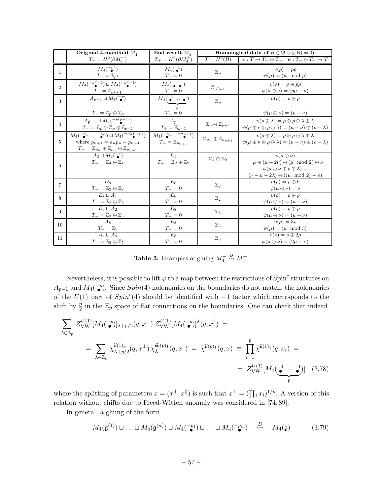<span id="page-57-0"></span>

|                | Original 4-manifold $M_4^-$                                                                                                                                              | End result $M_4^+$                                                                                       |                                              | <b>Homological data of</b> $B \in \mathfrak{B}$ $(b_2(B) = 0)$                                                                                                                   |
|----------------|--------------------------------------------------------------------------------------------------------------------------------------------------------------------------|----------------------------------------------------------------------------------------------------------|----------------------------------------------|----------------------------------------------------------------------------------------------------------------------------------------------------------------------------------|
|                | $T_{-}=H^{2}(\partial M_{4}^{-})$                                                                                                                                        | $T_+ = H^2(\partial M_4^+)$                                                                              | $T = H^2(B)$                                 | $v: T \to T_- \oplus T_+$ , $\psi: T_- \oplus T_+ \to T$                                                                                                                         |
| $\mathbf{1}$   | $M_4(-p^2)$<br>$T_{-}=\mathbb{Z}_{p^2}$                                                                                                                                  | $M_4(\mathbf{a}^1)$<br>$T_{+}=0$                                                                         | $\mathbb{Z}_p$                               | $v(\rho) = p\rho$<br>$\psi(\mu) = (\mu \mod p)$                                                                                                                                  |
| $\overline{2}$ | $M_4\left(\frac{-p^2-1}{2}\right) \sqcup M_4\left(\frac{-p^2-1}{2}\right)$<br>$T_{-}=\mathbb{Z}_{p^2+1}$                                                                 | $M_4(\mathbf{a}^{-1}-1)$<br>$T_{+}=0$                                                                    | $\mathbb{Z}_{p^2+1}$                         | $v(\rho) = \rho \oplus p\rho$<br>$\psi(\mu \oplus \nu) = (p\mu - \nu)$                                                                                                           |
| 3              | $A_{p-1} \sqcup M_4(\mathcal{P})$                                                                                                                                        | $M_4(\mathbf{I} \bullet \cdots \bullet)$<br>$\mathcal{D}$                                                | $\mathbb{Z}_p$                               | $v(\rho) = \rho \oplus \rho$                                                                                                                                                     |
|                | $T_{-}=\mathbb{Z}_p\oplus \mathbb{Z}_p$                                                                                                                                  | $T_{+} = 0$                                                                                              |                                              | $\psi(\mu \oplus \nu) = (\mu - \nu)$                                                                                                                                             |
| $\overline{4}$ | $A_{p-1} \sqcup M_4(^{-p(p+1)})$<br>$T_{-}=\mathbb{Z}_{p}\oplus\mathbb{Z}_{p}\oplus\mathbb{Z}_{p+1}$                                                                     | $A_n$<br>$T_+=\mathbb{Z}_{p+1}$                                                                          | $\mathbb{Z}_p\oplus \mathbb{Z}_{p+1}$        | $v(\rho \oplus \lambda) = \rho \oplus \rho \oplus \lambda \oplus \lambda$<br>$\psi(\mu \oplus \nu \oplus \rho \oplus \lambda) = (\mu - \nu) \oplus (\rho - \lambda)$             |
| 5              | $M_4(\frac{-a_1}{\bullet} \dots \frac{-a_n}{\bullet}) \sqcup M_4(\frac{-p_n p_{n+1}}{\bullet})$<br>where $p_{n+1} = a_n p_n - p_{n-1}$                                   | $M_4\begin{pmatrix} -a_1 & -a_{n+1} \\ a_1 & \cdots & a_n \end{pmatrix}$<br>$T_+ = \mathbb{Z}_{p_{n+1}}$ | $\mathbb{Z}_{p_n}\oplus\mathbb{Z}_{p_{n+1}}$ | $v(\rho \oplus \lambda) = \rho \oplus \rho \oplus \lambda \oplus \lambda$<br>$\psi(\mu \oplus \nu \oplus \rho \oplus \lambda) = (\mu - \nu) \oplus (\rho - \lambda)$             |
| 6              | $\frac{T_{-} = \mathbb{Z}_{p_n} \oplus \mathbb{Z}_{p_n} \oplus \mathbb{Z}_{p_{n+1}}}{A_3 \sqcup M_4(\frac{-4}{\epsilon})}$<br>$T_{-}=\mathbb{Z}_{4}\oplus\mathbb{Z}_{4}$ | $D_4$<br>$T_+ = \mathbb{Z}_2 \oplus \mathbb{Z}_2$                                                        | $\mathbb{Z}_4\oplus\mathbb{Z}_2$             | $v(\mu \oplus \nu)$<br>$=\mu\oplus(\mu+2\nu)\oplus(\mu\mod 2)\oplus\nu$<br>$\psi(\mu \oplus \nu \oplus \rho \oplus \lambda) =$<br>$(\nu-\mu-2\lambda)\oplus((\mu\!\mod 2)-\rho)$ |
| 7              | $D_8$<br>$T_{-}=\mathbb{Z}_2\oplus\mathbb{Z}_2$                                                                                                                          | $E_8$<br>$T_+=0\,$                                                                                       | $\mathbb{Z}_2$                               | $v(\rho) = \rho \oplus 0$<br>$\psi(\mu \oplus \nu) = \nu$                                                                                                                        |
| 8              | $E_7 \sqcup A_1$<br>$T_{-}=\mathbb{Z}_2\oplus\mathbb{Z}_2$                                                                                                               | $E_8$<br>$T_{+}=0$                                                                                       | $\mathbb{Z}_2$                               | $v(\rho) = \rho \oplus \rho$<br>$\psi(\mu \oplus \nu) = (\mu - \nu)$                                                                                                             |
| 9              | $E_6 \sqcup A_2$<br>$T_{-}=\mathbb{Z}_3\oplus\mathbb{Z}_3$                                                                                                               | $E_8$<br>$T_{+} = 0$                                                                                     | $\mathbb{Z}_3$                               | $v(\rho) = \rho \oplus \rho$<br>$\psi(\mu \oplus \nu) = (\mu - \nu)$                                                                                                             |
| 10             | $A_{8}$<br>$T_{-}=\mathbb{Z}_9$                                                                                                                                          | $E_8$<br>$T_+=0$                                                                                         | $\mathbb{Z}_3$                               | $v(\rho) = 3\rho$<br>$\psi(\mu) = (\mu \mod 3)$                                                                                                                                  |
| 11             | $A_4 \sqcup A_4$<br>$T_{-}=\mathbb{Z}_5\oplus\mathbb{Z}_5$                                                                                                               | $E_8$<br>$T_{+}=0$                                                                                       | $\mathbb{Z}_5$                               | $v(\rho) = \rho \oplus 2\rho$<br>$\psi(\mu \oplus \nu) = (2\mu - \nu)$                                                                                                           |

**Table 3:** Examples of gluing  $M_4^- \stackrel{B}{\rightsquigarrow} M_4^+$ .

Nevertheless, it is possible to lift  $\varphi$  to a map between the restrictions of Spin<sup>c</sup> structures on  $A_{p-1}$  and  $M_4(\mathcal{p})$ . Since  $Spin(4)$  holonomies on the boundaries do not match, the holonomies of the  $U(1)$  part of  $Spin<sup>c</sup>(4)$  should be identified with  $-1$  factor which corresponds to the shift by  $\frac{p}{2}$  in the  $\mathbb{Z}_p$  space of flat connections on the boundaries. One can check that indeed

$$
\sum_{\lambda \in \mathbb{Z}_p} Z_{\text{VW}}^{U(1)} [M_4(\tilde{\bullet})]_{\lambda+p/2}(q, x^{\perp}) Z_{\text{VW}}^{U(1)} [M_4(\tilde{\bullet})]^{\lambda}(q, x^{\parallel}) =
$$
\n
$$
= \sum_{\lambda \in \mathbb{Z}_p} \chi_{\lambda+p/2}^{\hat{\mathfrak{u}}(1)_p}(q, x^{\perp}) \chi_{\lambda}^{\hat{\mathfrak{u}}(p)_1}(q, x^{\parallel}) = \tilde{\chi}^{\hat{\mathfrak{u}}(p)_1}(q, x) \equiv \prod_{i=1}^p \tilde{\chi}^{\hat{\mathfrak{u}}(1)_1}(q, x_i) =
$$
\n
$$
= Z_{\text{VW}}^{U(1)} [M_4(\tilde{\bullet} \cdots \tilde{\bullet})] \quad (3.78)
$$

where the splitting of parameters  $x = (x^{\perp}, x^{\parallel})$  is such that  $x^{\perp} = (\prod_i x_i)^{1/p}$ . A version of this relation without shifts due to Freed-Witten anomaly was considered in [74, 89].

In general, a gluing of the form

$$
M_4(\mathfrak{g}^{(1)}) \sqcup \ldots \sqcup M_4(\mathfrak{g}^{(n)}) \sqcup M_4(\mathbb{T}^{p_1}) \sqcup \ldots \sqcup M_4(\mathbb{T}^{p_m}) \stackrel{B}{\leadsto} M_4(\mathfrak{g}) \tag{3.79}
$$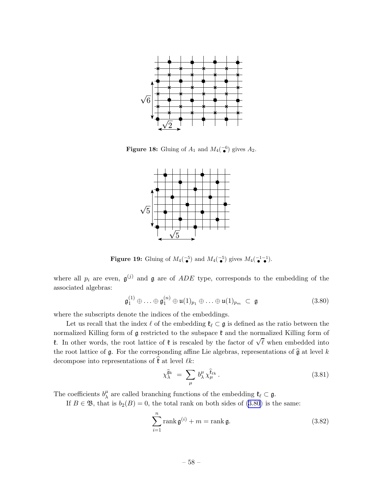<span id="page-58-0"></span>

**Figure 18:** Gluing of  $A_1$  and  $M_4(\begin{matrix} -6 \\ 1 \end{matrix})$  $\bullet$ <sup>-6</sup>) gives  $A_2$ .



**Figure 19:** Gluing of  $M_4(\frac{-5}{2})$  $\bullet$ <sup>5</sup>) and  $M_4(\bullet$ <sup>5</sup>  $\bullet$ <sup>5</sup>) gives  $M_4(\bullet$ <sup>1</sup> • −1  $\bullet$ <sup>1</sup>).

where all  $p_i$  are even,  $\mathfrak{g}^{(j)}$  and  $\mathfrak g$  are of  $ADE$  type, corresponds to the embedding of the associated algebras:

$$
\mathfrak{g}_1^{(1)} \oplus \ldots \oplus \mathfrak{g}_1^{(n)} \oplus \mathfrak{u}(1)_{p_1} \oplus \ldots \oplus \mathfrak{u}(1)_{p_m} \subset \mathfrak{g}
$$
 (3.80)

where the subscripts denote the indices of the embeddings.

Let us recall that the index  $\ell$  of the embedding  $\mathfrak{k}_{\ell} \subset \mathfrak{g}$  is defined as the ratio between the normalized Killing form of  $\mathfrak g$  restricted to the subspace  $\mathfrak k$  and the normalized Killing form of **t**. In other words, the root lattice of **t** is rescaled by the factor of  $\sqrt{\ell}$  when embedded into the root lattice of  $\mathfrak g$ . For the corresponding affine Lie algebras, representations of  $\widehat{\mathfrak g}$  at level k decompose into representations of  $\hat{\mathfrak{k}}$  at level  $\ell k$ :

$$
\chi_{\lambda}^{\hat{\mathfrak{g}}_k} = \sum_{\mu} b_{\lambda}^{\mu} \chi_{\mu}^{\hat{\mathfrak{k}}_{\ell k}}.
$$
\n(3.81)

The coefficients  $b^{\mu}_{\lambda}$  $\mu_{\lambda}^{\mu}$  are called branching functions of the embedding  $\mathfrak{k}_{\ell} \subset \mathfrak{g}$ .

If  $B \in \mathfrak{B}$ , that is  $b_2(B) = 0$ , the total rank on both sides of (3.80) is the same:

$$
\sum_{i=1}^{n} \text{rank } \mathfrak{g}^{(i)} + m = \text{rank } \mathfrak{g}.
$$
 (3.82)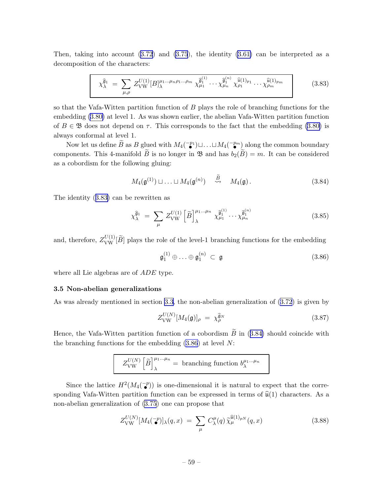<span id="page-59-0"></span>Then,taking into account  $(3.72)$  $(3.72)$  $(3.72)$  and  $(3.75)$ , the identity  $(3.61)$  can be interpreted as a decomposition of the characters:

$$
\chi_{\lambda}^{\hat{\mathfrak{g}}_{1}} = \sum_{\mu,\rho} Z_{\text{VW}}^{U(1)} [B]_{\lambda}^{\mu_{1}...\mu_{n}\rho_{1}...\rho_{m}} \chi_{\mu_{1}}^{\hat{\mathfrak{g}}_{1}^{(1)}} \cdots \chi_{\mu_{n}}^{\hat{\mathfrak{g}}_{1}^{(n)}} \chi_{\rho_{1}}^{\hat{\mathfrak{u}}(1)_{p_{1}}} \cdots \chi_{\rho_{m}}^{\hat{\mathfrak{u}}(1)_{p_{m}}} \qquad (3.83)
$$

so that the Vafa-Witten partition function of B plays the role of branching functions for the embedding [\(3.80\)](#page-58-0) at level 1. As was shown earlier, the abelian Vafa-Witten partition function of  $B \in \mathfrak{B}$  does not depend on  $\tau$ . This corresponds to the fact that the embedding [\(3.80\)](#page-58-0) is always conformal at level 1.

Now let us define  $\widetilde{B}$  as B glued with  $M_4(\mathbb{Z})^n$  $\begin{bmatrix} \mathbb{P}^1 \\ \bullet \\ \bullet \end{bmatrix} \sqcup \ldots \sqcup M_4 \begin{bmatrix} -p_m \ \bullet \\ \bullet \\ \bullet \end{bmatrix}$  $\binom{p_m}{\widetilde{\mathbf{p}}}$  along the common boundary components. This 4-manifold B is no longer in  $\mathfrak{B}$  and has  $b_2(B) = m$ . It can be considered as a cobordism for the following gluing:

$$
M_4(\mathfrak{g}^{(1)}) \sqcup \ldots \sqcup M_4(\mathfrak{g}^{(n)}) \quad \stackrel{\widetilde{B}}{\rightsquigarrow} \quad M_4(\mathfrak{g})\,.
$$
 (3.84)

The identity (3.83) can be rewritten as

$$
\chi_{\lambda}^{\widehat{\mathfrak{g}}_1} = \sum_{\mu} Z_{\text{VW}}^{U(1)} \left[ \widetilde{B} \right]_{\lambda}^{\mu_1 \dots \mu_n} \chi_{\mu_1}^{\widehat{\mathfrak{g}}_1^{(1)}} \dots \chi_{\mu_n}^{\widehat{\mathfrak{g}}_1^{(n)}} \tag{3.85}
$$

and, therefore,  $Z_{\text{VW}}^{U(1)}[\widetilde{B}]$  plays the role of the level-1 branching functions for the embedding

$$
\mathfrak{g}_1^{(1)} \oplus \ldots \oplus \mathfrak{g}_1^{(n)} \subset \mathfrak{g} \tag{3.86}
$$

where all Lie algebras are of *ADE* type.

## 3.5 Non-abelian generalizations

As was already mentioned in section [3.3](#page-46-0), the non-abelian generalization of [\(3.72](#page-55-0)) is given by

$$
Z_{\text{VW}}^{U(N)}[M_4(\mathfrak{g})]_{\rho} = \chi_{\rho}^{\widehat{\mathfrak{g}}_N} \tag{3.87}
$$

Hence, the Vafa-Witten partition function of a cobordism  $\widetilde{B}$  in (3.84) should coincide with the branching functions for the embedding  $(3.86)$  at level N:

$$
Z_{\text{VW}}^{U(N)}\left[\widetilde{B}\right]_{\lambda}^{\mu_1...\mu_n} = \text{ branching function } b_{\lambda}^{\mu_1...\mu_n}
$$

Since the lattice  $H^2(M_4(\mathbb{Z})^n)$  $(\mathcal{L}^p)$  is one-dimensional it is natural to expect that the corresponding Vafa-Witten partition function can be expressed in terms of  $\hat{u}(1)$  characters. As a non-abelian generalization of [\(3.75](#page-56-0)) one can propose that

$$
Z_{\text{VW}}^{U(N)}[M_4(\bar{\bullet}^p)]_{\lambda}(q,x) = \sum_{\mu} C_{\lambda}^{\mu}(q) \tilde{\chi}_{\mu}^{\hat{\mathfrak{u}}(1)_{pN}}(q,x)
$$
(3.88)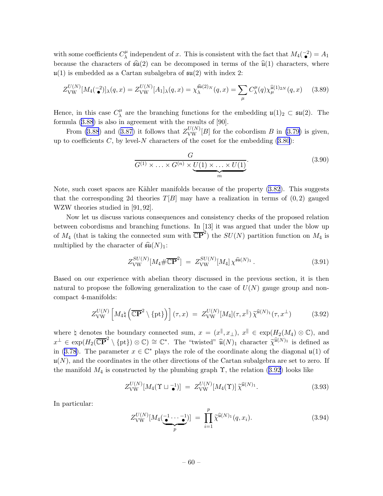<span id="page-60-0"></span>with some coefficients  $C^{\mu}_{\lambda}$  $\mu$ <sup> $\mu$ </sup> independent of x. This is consistent with the fact that  $M_4(\bullet^2)$  $\binom{-2}{\bullet} = A_1$ because the characters of  $\widehat{\mathfrak{su}}(2)$  can be decomposed in terms of the  $\widehat{\mathfrak{u}}(1)$  characters, where  $\mathfrak{u}(1)$  is embedded as a Cartan subalgebra of  $\mathfrak{su}(2)$  with index 2:

$$
Z_{\text{VW}}^{U(N)}[M_4(\frac{-2}{\bullet})]_{\lambda}(q,x) = Z_{\text{VW}}^{U(N)}[A_1]_{\lambda}(q,x) = \chi_{\lambda}^{\hat{\mathfrak{su}}(2)_N}(q,x) = \sum_{\mu} C_{\lambda}^{\mu}(q) \chi_{\mu}^{\hat{\mathfrak{u}}(1)_{2N}}(q,x) \tag{3.89}
$$

Hence, in this case  $C^{\mu}_{\lambda}$  $\mu$  are the branching functions for the embedding  $\mathfrak{u}(1)_2 \subset \mathfrak{su}(2)$ . The formula([3.88](#page-59-0)) is also in agreement with the results of [90].

From [\(3.88](#page-59-0))and ([3.87\)](#page-59-0) it follows that  $Z_{\text{VW}}^{U(N)}[B]$  for the cobordism B in [\(3.79\)](#page-57-0) is given, up to coefficients  $C$ , by level-N characters of the coset for the embedding  $(3.80)$ :

$$
\frac{G}{G^{(1)} \times \ldots \times G^{(n)} \times \underbrace{U(1) \times \ldots \times U(1)}}_{m}.
$$
\n(3.90)

Note, such coset spaces are Kähler manifolds because of the property  $(3.82)$ . This suggests that the corresponding 2d theories  $T[B]$  may have a realization in terms of  $(0, 2)$  gauged WZW theories studied in [91,92].

Now let us discuss various consequences and consistency checks of the proposed relation between cobordisms and branching functions. In [13] it was argued that under the blow up of  $M_4$  (that is taking the connected sum with  $\overline{\mathbb{CP}}^2$ ) the  $SU(N)$  partition function on  $M_4$  is multiplied by the character of  $\widehat{\mathfrak{su}}(N)_1$ :

$$
Z_{\text{VW}}^{SU(N)}[M_4 \# \overline{\mathbb{CP}}^2] = Z_{\text{VW}}^{SU(N)}[M_4] \chi^{\hat{\mathfrak{su}}(N)_1} . \tag{3.91}
$$

Based on our experience with abelian theory discussed in the previous section, it is then natural to propose the following generalization to the case of  $U(N)$  gauge group and noncompact 4-manifolds:

$$
Z_{\text{VW}}^{U(N)}\left[M_4\natural\left(\overline{\mathbb{CP}}^2\setminus\{\text{pt}\}\right)\right](\tau,x) = Z_{\text{VW}}^{U(N)}[M_4](\tau,x^{\parallel})\widetilde{\chi}^{\widehat{\mathfrak{u}}(N)_1}(\tau,x^{\perp}) \tag{3.92}
$$

where  $\sharp$  denotes the boundary connected sum,  $x = (x^{\parallel}, x_{\perp}), x^{\parallel} \in \exp(H_2(M_4) \otimes \mathbb{C}),$  and  $x^{\perp} \in \exp(H_2(\overline{\mathbb{CP}}^2 \setminus {\{\text{pt}\}}) \otimes \mathbb{C}) \cong \mathbb{C}^*$ . The "twisted"  $\widehat{\mathfrak{u}}(N)_1$  character  $\widetilde{\chi}^{\widehat{\mathfrak{u}}(N)_1}$  is defined as in([3.78](#page-57-0)). The parameter  $x \in \mathbb{C}^*$  plays the role of the coordinate along the diagonal  $\mathfrak{u}(1)$  of  $\mathfrak{u}(N)$ , and the coordinates in the other directions of the Cartan subalgebra are set to zero. If the manifold  $M_4$  is constructed by the plumbing graph  $\Upsilon$ , the relation (3.92) looks like

$$
Z_{\text{VW}}^{U(N)}[M_4(\Upsilon \sqcup \mathbf{I})] = Z_{\text{VW}}^{U(N)}[M_4(\Upsilon)] \widetilde{\chi}^{\widehat{\mathfrak{u}}(N)_1}.
$$
 (3.93)

In particular:

$$
Z_{\text{VW}}^{U(N)}[M_4(\underbrace{\bullet \bullet \cdots \bullet}_{p})] = \prod_{i=1}^{p} \widetilde{\chi}^{\widehat{\mathfrak{u}}(N)_1}(q, x_i). \tag{3.94}
$$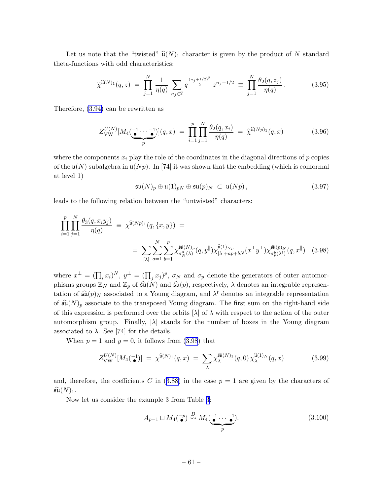<span id="page-61-0"></span>Let us note that the "twisted"  $\widehat{\mathfrak{u}}(N)_1$  character is given by the product of N standard theta-functions with odd characteristics:

$$
\widetilde{\chi}^{\widehat{\mathfrak{u}}(N)_1}(q,z) \ = \ \prod_{j=1}^N \frac{1}{\eta(q)} \sum_{n_j \in \mathbb{Z}} q^{\frac{(n_j+1/2)^2}{2}} z^{n_j+1/2} \ \equiv \ \prod_{j=1}^N \frac{\theta_2(q,z_j)}{\eta(q)} \,. \tag{3.95}
$$

Therefore, [\(3.94\)](#page-60-0) can be rewritten as

$$
Z_{\text{VW}}^{U(N)}[M_4(\underbrace{\bullet \cdots \bullet}_{p})](q,x) = \prod_{i=1}^{p} \prod_{j=1}^{N} \frac{\theta_2(q,x_i)}{\eta(q)} = \tilde{\chi}^{\hat{\mathfrak{u}}(Np)_1}(q,x) \qquad (3.96)
$$

where the components  $x_i$  play the role of the coordinates in the diagonal directions of p copies of the  $\mathfrak{u}(N)$  subalgebra in  $\mathfrak{u}(N p)$ . In [74] it was shown that the embedding (which is conformal at level 1)

$$
\mathfrak{su}(N)_p \oplus \mathfrak{u}(1)_{pN} \oplus \mathfrak{su}(p)_N \subset \mathfrak{u}(Np)\,,\tag{3.97}
$$

leads to the following relation between the "untwisted" characters:

$$
\prod_{i=1}^{p} \prod_{j=1}^{N} \frac{\theta_3(q, x_i y_j)}{\eta(q)} \equiv \chi^{\widehat{\mathfrak{u}}(Np)_1}(q, \{x, y\}) =
$$
\n
$$
= \sum_{[\lambda]} \sum_{a=1}^{N} \sum_{b=1}^{p} \chi^{\widehat{\mathfrak{su}}(N)_p}_{\sigma_N^a(\lambda)}(q, y^{\parallel}) \chi^{\widehat{\mathfrak{u}}(1)_{N_p}}_{|\lambda|+ap+bN}(x^{\perp}y^{\perp}) \chi^{\widehat{\mathfrak{su}}(p)_N}_{\sigma_p^b(\lambda^t)}(q, x^{\parallel}) \quad (3.98)
$$

where  $x^{\perp} = (\prod_i x_i)^N$ ,  $y^{\perp} = (\prod_j x_j)^p$ ,  $\sigma_N$  and  $\sigma_p$  denote the generators of outer automorphisms groups  $\mathbb{Z}_N$  and  $\mathbb{Z}_p$  of  $\widehat{\mathfrak{su}}(N)$  and  $\widehat{\mathfrak{su}}(p)$ , respectively,  $\lambda$  denotes an integrable representation of  $\widehat{\mathfrak{su}}(p)_N$  associated to a Young diagram, and  $\lambda^t$  denotes an integrable representation of  $\widehat{\mathfrak{su}}(N)_p$  associate to the transposed Young diagram. The first sum on the right-hand side of this expression is performed over the orbits  $[\lambda]$  of  $\lambda$  with respect to the action of the outer automorphism group. Finally,  $|\lambda|$  stands for the number of boxes in the Young diagram associated to  $\lambda$ . See [74] for the details.

When  $p = 1$  and  $y = 0$ , it follows from (3.98) that

$$
Z_{\text{VW}}^{U(N)}[M_4(\vec{\bullet})] = \chi^{\widehat{\mathfrak{u}}(N)_1}(q,x) = \sum_{\lambda} \chi^{\widehat{\mathfrak{su}}(N)_1}_{\lambda}(q,0) \chi^{\widehat{\mathfrak{u}}(1)_N}_{\lambda}(q,x) \tag{3.99}
$$

and,therefore, the coefficients C in  $(3.88)$  $(3.88)$  $(3.88)$  in the case  $p = 1$  are given by the characters of  $\widehat{\mathfrak{su}}(N)_1$ .

Now let us consider the example 3 from Table [3:](#page-57-0)

$$
A_{p-1} \sqcup M_4(\mathbf{P}) \stackrel{B}{\leadsto} M_4(\underbrace{\mathbf{P} \cdots \mathbf{P}}_{p}).
$$
\n(3.100)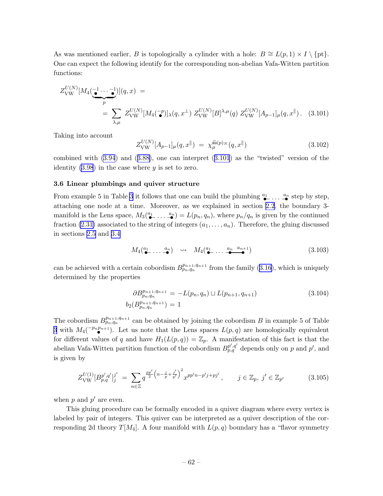<span id="page-62-0"></span>As was mentioned earlier, B is topologically a cylinder with a hole:  $B \cong L(p, 1) \times I \setminus \{pt\}.$ One can expect the following identify for the corresponding non-abelian Vafa-Witten partition functions:

$$
Z_{\text{VW}}^{U(N)}[M_4(\underbrace{\bullet \cdots \bullet}_{p})](q,x) =
$$
  
=  $\sum_{\lambda,\mu} Z_{\text{VW}}^{U(N)}[M_4(\underbrace{\bullet}_{p})]_{\lambda}(q,x^{\perp}) Z_{\text{VW}}^{U(N)}[B]^{\lambda,\mu}(q) Z_{\text{VW}}^{U(N)}[A_{p-1}]_{\mu}(q,x^{\parallel}).$  (3.101)

Taking into account

$$
Z_{\text{VW}}^{U(N)}[A_{p-1}]_{\mu}(q,x^{\parallel}) = \chi_{\mu}^{\widehat{\mathfrak{su}}(p)_N}(q,x^{\parallel})
$$
\n(3.102)

combined with [\(3.94](#page-60-0)) and([3.88\)](#page-59-0), one can interpret (3.101) as the "twisted" version of the identity  $(3.98)$  in the case where y is set to zero.

### 3.6 Linear plumbings and quiver structure

From example 5 in Table [3](#page-57-0) it follows that one can build the plumbing  $\overset{a_1}{\bullet} \ldots \overset{a_n}{\bullet}$  step by step, •− · · · − • attaching one node at a time. Moreover, as we explained in section [2.2](#page-12-0), the boundary 3 manifold is the Lens space,  $M_3(\frac{a_1}{\bullet}$ •− · · · − an  $\mathcal{L}_{\bullet}^{(n)} = L(p_n, q_n),$  where  $p_n/q_n$  is given by the continued fraction [\(2.31\)](#page-19-0) associated to the string of integers  $(a_1, \ldots, a_n)$ . Therefore, the gluing discussed in sections [2.5](#page-35-0) and [3.4](#page-48-0)

$$
M_4(\underbrace{a_1}_{\bullet} \ldots \underbrace{a_n}_{\bullet}) \quad \leadsto \quad M_4(\underbrace{a_1}_{\bullet} \ldots \underbrace{a_n}_{\bullet} \underbrace{a_{n+1}}_{\bullet}) \tag{3.103}
$$

canbe achieved with a certain cobordism  $B_{p_n,q_n}^{p_{n+1},q_{n+1}}$  from the family ([3.16](#page-43-0)), which is uniquely determined by the properties

$$
\partial B_{p_n, q_n}^{p_{n+1}, q_{n+1}} = -L(p_n, q_n) \sqcup L(p_{n+1}, q_{n+1})
$$
\n
$$
b_2(B_{p_n, q_n}^{p_{n+1}, q_{n+1}}) = 1
$$
\n(3.104)

The cobordism  $B_{p_n,q_n}^{p_{n+1},q_{n+1}}$  can be obtained by joining the cobordism B in example 5 of Table [3](#page-57-0) with  $M_4(\mathbb{P}^{n}P^{n+1})$ . Let us note that the Lens spaces  $L(p,q)$  are homologically equivalent for different values of q and have  $H_1(L(p,q)) = \mathbb{Z}_p$ . A manifestation of this fact is that the abelian Vafa-Witten partition function of the cobordism  $B_{p,q}^{p',q'}$  depends only on p and p', and is given by

$$
Z_{\text{VW}}^{U(1)}[B_{p,q}^{p',q'}]_j^{j'} = \sum_{n \in \mathbb{Z}} q^{\frac{pp'}{2}\left(n - \frac{j}{p} + \frac{j'}{p'}\right)^2} x^{pp'n - p'j + pj'}, \qquad j \in \mathbb{Z}_p, \ j' \in \mathbb{Z}_{p'}
$$
(3.105)

when  $p$  and  $p'$  are even.

This gluing procedure can be formally encoded in a quiver diagram where every vertex is labeled by pair of integers. This quiver can be interpreted as a quiver description of the corresponding 2d theory  $T[M_4]$ . A four manifold with  $L(p,q)$  boundary has a "flavor symmetry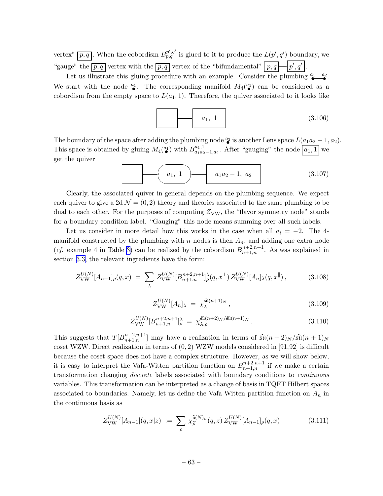<span id="page-63-0"></span>vertex"  $\overline{p,q}$ . When the cobordism  $B_{p,q}^{p',q'}$  is glued to it to produce the  $L(p',q')$  boundary, we "gauge" the  $\overline{p,q}$  vertex with the  $\overline{p,q}$  vertex of the "bifundamental"  $\overline{p,q}$   $\rightarrow$   $\overline{p',q'}$ .

Let us illustrate this gluing procedure with an example. Consider the plumbing  $\overset{a_1}{\bullet}$  $a_2$  $\bullet$ . We start with the node  $\frac{a_1}{\bullet}$ . The corresponding manifold  $M_4(\frac{a_1}{\bullet})$  can be considered as a  $\bullet$  . The corresponding mannon  $m_4$ cobordism from the empty space to  $L(a_1, 1)$ . Therefore, the quiver associated to it looks like

a1, 1 (3.106)

The boundary of the space after adding the plumbing node  $\frac{a_2}{\bullet}$  is another Lens space  $L(\underline{a_1a_2-1},\underline{a_2}).$ • This space is obtained by gluing  $M_4(\frac{a_1}{\bullet}$  $\binom{a_1}{a_1}$  with  $B_{a_1 a_2}^{a_1,1}$  $a_{1,1}^{a_{1,1}}$  a<sub>1a2</sub>. After "gauging" the node  $a_{1,1}$  we get the quiver

$$
(3.107)
$$

Clearly, the associated quiver in general depends on the plumbing sequence. We expect each quiver to give a 2d  $\mathcal{N} = (0, 2)$  theory and theories associated to the same plumbing to be dual to each other. For the purposes of computing  $Z_{\rm VW}$ , the "flavor symmetry node" stands for a boundary condition label. "Gauging" this node means summing over all such labels.

Let us consider in more detail how this works in the case when all  $a_i = -2$ . The 4manifold constructed by the plumbing with n nodes is then  $A_n$ , and adding one extra node (*cf.* example 4 in Table [3\)](#page-57-0) can be realized by the cobordism  $B_{n+1,n}^{n+2,n+1}$ . As was explained in section [3.3,](#page-46-0) the relevant ingredients have the form:

$$
Z_{\text{VW}}^{U(N)}[A_{n+1}]_{\rho}(q,x) = \sum_{\lambda} Z_{\text{VW}}^{U(N)}[B_{n+1,n}^{n+2,n+1}]_{\rho}^{\lambda}(q,x^{\perp}) Z_{\text{VW}}^{U(N)}[A_n]_{\lambda}(q,x^{\parallel}), \tag{3.108}
$$

$$
Z_{\text{VW}}^{U(N)}[A_n]_\lambda = \chi_\lambda^{\widehat{\mathfrak{su}}(n+1)_N},\tag{3.109}
$$

$$
Z_{\text{VW}}^{U(N)} [B_{n+1,n}^{n+2,n+1}]_{\rho}^{\lambda} = \chi_{\lambda,\rho}^{\hat{\mathfrak{su}}(n+2)_N/\hat{\mathfrak{su}}(n+1)_N}.
$$
 (3.110)

This suggests that  $T[B_{n+1,n}^{n+2,n+1}]$  may have a realization in terms of  $\widehat{\mathfrak{su}}(n+2)_N/\widehat{\mathfrak{su}}(n+1)_N$ coset WZW. Direct realization in terms of  $(0, 2)$  WZW models considered in [91,92] is difficult because the coset space does not have a complex structure. However, as we will show below, it is easy to interpret the Vafa-Witten partition function on  $B_{n+1,n}^{n+2,n+1}$  if we make a certain transformation changing *discrete* labels associated with boundary conditions to *continuous* variables. This transformation can be interpreted as a change of basis in TQFT Hilbert spaces associated to boundaries. Namely, let us define the Vafa-Witten partition function on  $A_n$  in the continuous basis as

$$
Z_{\text{VW}}^{U(N)}[A_{n-1}](q,x|z) := \sum_{\rho} \chi_{\widetilde{\rho}}^{\widehat{\mathfrak{u}}(N)_n}(q,z) \, Z_{\text{VW}}^{U(N)}[A_{n-1}]_{\rho}(q,x) \tag{3.111}
$$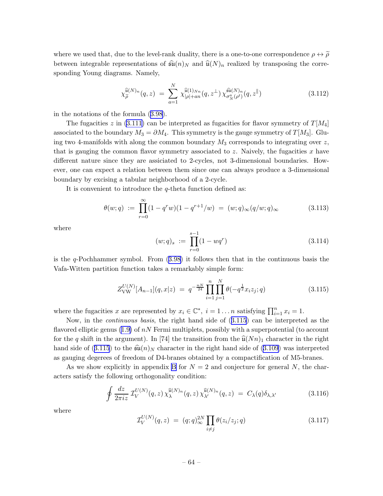where we used that, due to the level-rank duality, there is a one-to-one correspondence  $\rho \leftrightarrow \tilde{\rho}$ between integrable representations of  $\widehat{\mathfrak{su}}(n)_N$  and  $\widehat{\mathfrak{u}}(N)_n$  realized by transposing the corresponding Young diagrams. Namely,

$$
\chi_{\widetilde{\rho}}^{\widehat{\mathfrak{u}}(N)_n}(q,z) \ = \ \sum_{a=1}^{N} \chi_{|\rho|+an}^{\widehat{\mathfrak{u}}(1)_{N_n}}(q,z^{\perp}) \, \chi_{\sigma_N^a(\rho^t)}^{\widehat{\mathfrak{su}}(N)_n}(q,z^{\parallel}) \tag{3.112}
$$

in the notations of the formula([3.98\)](#page-61-0).

The fugacities z in [\(3.111](#page-63-0)) can be interpreted as fugacities for flavor symmetry of  $T[M_4]$ associated to the boundary  $M_3 = \partial M_4$ . This symmetry is the gauge symmetry of  $T[M_3]$ . Gluing two 4-manifolds with along the common boundary  $M_3$  corresponds to integrating over z, that is gauging the common flavor symmetry associated to z. Naively, the fugacities x have different nature since they are assiciated to 2-cycles, not 3-dimensional boundaries. However, one can expect a relation between them since one can always produce a 3-dimensional boundary by excising a tabular neighborhood of a 2-cycle.

It is convenient to introduce the  $q$ -theta function defined as:

$$
\theta(w;q) := \prod_{r=0}^{\infty} (1 - q^r w)(1 - q^{r+1}/w) = (w;q)_{\infty} (q/w;q)_{\infty}
$$
\n(3.113)

where

$$
(w;q)_s := \prod_{r=0}^{s-1} (1 - wq^r)
$$
\n(3.114)

isthe  $q$ -Pochhammer symbol. From  $(3.98)$  $(3.98)$  it follows then that in the continuous basis the Vafa-Witten partition function takes a remarkably simple form:

$$
Z_{\text{VW}}^{U(N)}[A_{n-1}](q,x|z) = q^{-\frac{nN}{24}} \prod_{i=1}^{n} \prod_{j=1}^{N} \theta(-q^{\frac{1}{2}} x_i z_j; q)
$$
(3.115)

where the fugacities x are represented by  $x_i \in \mathbb{C}^*$ ,  $i = 1...n$  satisfying  $\prod_{i=1}^n x_i = 1$ .

Now, in the continuous basis, the right hand side of (3.115) can be interpreted as the flavoredelliptic genus  $(1.9)$  $(1.9)$  of nN Fermi multiplets, possibly with a superpotential (to account for the q shift in the argument). In [74] the transition from the  $\hat{u}(Nn)$ <sub>1</sub> character in the right handside of (3.115) to the  $\widehat{\mathfrak{su}}(n)_N$  character in the right hand side of ([3.109](#page-63-0)) was interpreted as gauging degerees of freedom of D4-branes obtained by a compactification of M5-branes.

As we show explicitly in appendix [B](#page-78-0) for  $N = 2$  and conjecture for general N, the characters satisfy the following orthogonality condition:

$$
\oint \frac{dz}{2\pi i z} \mathcal{I}_V^{U(N)}(q, z) \chi_{\lambda}^{\widehat{\mathfrak{u}}(N)_n}(q, z) \chi_{\lambda'}^{\widehat{\mathfrak{u}}(N)_n}(q, z) = C_{\lambda}(q) \delta_{\lambda, \lambda'} \tag{3.116}
$$

where

$$
\mathcal{I}_V^{U(N)}(q,z) = (q;q)_{\infty}^{2N} \prod_{i \neq j} \theta(z_i/z_j;q)
$$
\n(3.117)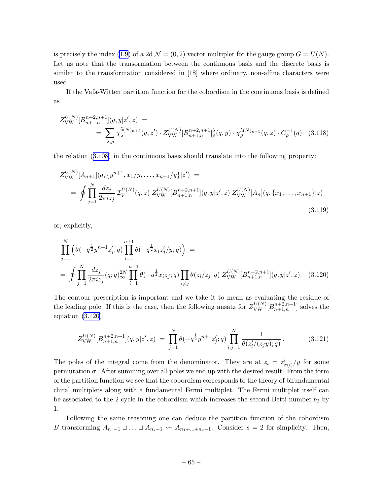is precisely the index [\(1.9](#page-5-0)) of a 2d  $\mathcal{N} = (0, 2)$  vector multiplet for the gauge group  $G = U(N)$ . Let us note that the transormation between the continuous basis and the discrete basis is similar to the transformation considered in [18] where ordinary, non-affine characters were used.

If the Vafa-Witten partition function for the cobordism in the continuous basis is defined as

$$
Z_{\text{VW}}^{U(N)}[B_{n+1,n}^{n+2,n+1}](q,y|z',z) =
$$
  
= 
$$
\sum_{\lambda,\rho} \chi_{\lambda}^{\hat{\mathfrak{u}}(N)_{n+2}}(q,z') \cdot Z_{\text{VW}}^{U(N)}[B_{n+1,n}^{n+2,n+1}]_{\rho}^{\lambda}(q,y) \cdot \chi_{\rho}^{\hat{\mathfrak{u}}(N)_{n+1}}(q,z) \cdot C_{\rho}^{-1}(q)
$$
 (3.118)

the relation([3.108](#page-63-0)) in the continuous basis should translate into the following property:

$$
Z_{\text{VW}}^{U(N)}[A_{n+1}](q, \{y^{n+1}, x_1/y, \dots, x_{n+1}/y\}|z') =
$$
  
= 
$$
\oint \prod_{j=1}^{N} \frac{dz_j}{2\pi i z_j} \mathcal{I}_{V}^{U(N)}(q, z) Z_{\text{VW}}^{U(N)}[B_{n+1,n}^{n+2,n+1}](q, y|z', z) Z_{\text{VW}}^{U(N)}[A_n](q, \{x_1, \dots, x_{n+1}\}|z)
$$
(3.119)

or, explicitly,

$$
\prod_{j=1}^{N} \left( \theta(-q^{\frac{1}{2}} y^{n+1} z_j'; q) \prod_{i=1}^{n+1} \theta(-q^{\frac{1}{2}} x_i z_j'/y; q) \right) =
$$
\n
$$
= \oint \prod_{j=1}^{N} \frac{dz_j}{2\pi i z_j} (q; q)_{\infty}^{2N} \prod_{i=1}^{n+1} \theta(-q^{\frac{1}{2}} x_i z_j; q) \prod_{i \neq j} \theta(z_i/z_j; q) Z_{\text{VW}}^{U(N)} [B_{n+1,n}^{n+2,n+1}] (q, y | z', z). \quad (3.120)
$$

The contour prescription is important and we take it to mean as evaluating the residue of the leading pole. If this is the case, then the following ansatz for  $Z_{\text{VW}}^{U(N)}[B_{n+1,n}^{n+2,n+1}]$  solves the equation (3.120):

$$
Z_{\text{VW}}^{U(N)}[B_{n+1,n}^{n+2,n+1}](q,y|z',z) = \prod_{j=1}^{N} \theta(-q^{\frac{1}{2}}y^{n+1}z'_j;q) \prod_{i,j=1}^{N} \frac{1}{\theta(z'_i/(z_jy);q)}.
$$
(3.121)

The poles of the integral come from the denominator. They are at  $z_i = z'_{\sigma(i)}/y$  for some permutation  $\sigma$ . After summing over all poles we end up with the desired result. From the form of the partition function we see that the cobordism corresponds to the theory of bifundamental chiral multiplets along with a fundamental Fermi multiplet. The Fermi multiplet itself can be associated to the 2-cycle in the cobordism which increases the second Betti number  $b_2$  by 1.

Following the same reasoning one can deduce the partition function of the cobordism B transforming  $A_{n_1-1} \sqcup \ldots \sqcup A_{n_s-1} \leadsto A_{n_1+\ldots+n_s-1}$ . Consider  $s=2$  for simplicity. Then,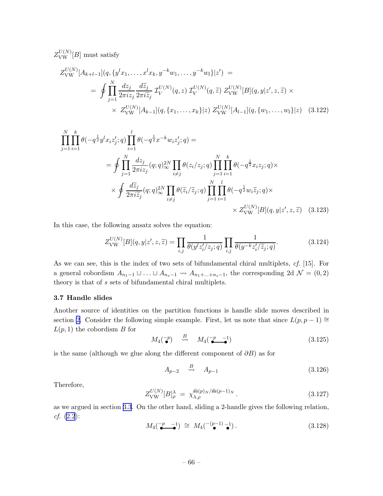$Z_{\text{VW}}^{U(N)}[B]$  must satisfy

$$
Z_{\text{VW}}^{U(N)}[A_{k+l-1}](q, \{y^l x_1, \dots, x^l x_k, y^{-k} w_1, \dots, y^{-k} w_l\}|z') =
$$
  
= 
$$
\oint \prod_{j=1}^N \frac{dz_j}{2\pi i z_j} \frac{d\tilde{z}_j}{2\pi i \tilde{z}_j} \mathcal{I}_{V}^{U(N)}(q, z) \mathcal{I}_{V}^{U(N)}(q, \tilde{z}) Z_{\text{VW}}^{U(N)}[B](q, y|z', z, \tilde{z}) \times
$$
  

$$
\times Z_{\text{VW}}^{U(N)}[A_{k-1}](q, \{x_1, \dots, x_k\}|z) Z_{\text{VW}}^{U(N)}[A_{l-1}](q, \{w_1, \dots, w_l\}|z) \quad (3.122)
$$

$$
\prod_{j=1}^{N} \prod_{i=1}^{k} \theta(-q^{\frac{1}{2}} y^{l} x_{i} z_{j}'; q) \prod_{i=1}^{l} \theta(-q^{\frac{1}{2}} x^{-k} w_{i} z_{j}'; q) =
$$
\n
$$
= \oint \prod_{j=1}^{N} \frac{dz_{j}}{2\pi i z_{j}} (q; q)_{\infty}^{2N} \prod_{i \neq j} \theta(z_{i}/z_{j}; q) \prod_{j=1}^{N} \prod_{i=1}^{k} \theta(-q^{\frac{1}{2}} x_{i} z_{j}; q) \times
$$
\n
$$
\times \oint \frac{d\tilde{z}_{j}}{2\pi i \tilde{z}_{j}} (q; q)_{\infty}^{2N} \prod_{i \neq j} \theta(\tilde{z}_{i}/\tilde{z}_{j}; q) \prod_{j=1}^{N} \prod_{i=1}^{l} \theta(-q^{\frac{1}{2}} w_{i} \tilde{z}_{j}; q) \times
$$
\n
$$
\times Z_{\text{VW}}^{U(N)}[B](q, y | z', z, \tilde{z}) \quad (3.123)
$$

In this case, the following ansatz solves the equation:

$$
Z_{\text{VW}}^{U(N)}[B](q,y|z',z,\widetilde{z}) = \prod_{i,j} \frac{1}{\theta(y^l z'_i/z_j;q)} \prod_{i,j} \frac{1}{\theta(y^{-k} z'_i/\widetilde{z}_j;q)}.\tag{3.124}
$$

As we can see, this is the index of two sets of bifundamental chiral multiplets, cf. [15]. For a general cobordism  $A_{n_1-1} \sqcup \ldots \sqcup A_{n_s-1} \rightsquigarrow A_{n_1+\ldots+n_s-1}$ , the corresponding 2d  $\mathcal{N} = (0, 2)$ theory is that of s sets of bifundamental chiral multiplets.

## 3.7 Handle slides

Another source of identities on the partition functions is handle slide moves described in section [2.](#page-7-0) Consider the following simple example. First, let us note that since  $L(p, p - 1) \cong$  $L(p, 1)$  the cobordism B for

$$
M_4(\mathbf{P}) \quad \stackrel{B}{\leadsto} \quad M_4(\mathbf{P} - 1) \tag{3.125}
$$

is the same (although we glue along the different component of  $\partial B$ ) as for

$$
A_{p-2} \quad \stackrel{B}{\leadsto} \quad A_{p-1} \tag{3.126}
$$

Therefore,

$$
Z_{\text{VW}}^{U(N)}[B]_{\rho}^{\lambda} = \chi_{\lambda,\rho}^{\widehat{\text{su}}(p)_N/\widehat{\text{su}}(p-1)_N}.
$$
 (3.127)

as we argued in section [3.3](#page-46-0). On the other hand, sliding a 2-handle gives the following relation, cf. [\(2.2](#page-8-0)):

$$
M_4(\underbrace{-p-1}_{\bullet}) \cong M_4(\underbrace{-\binom{p-1}{\bullet}-1}_{\bullet}). \tag{3.128}
$$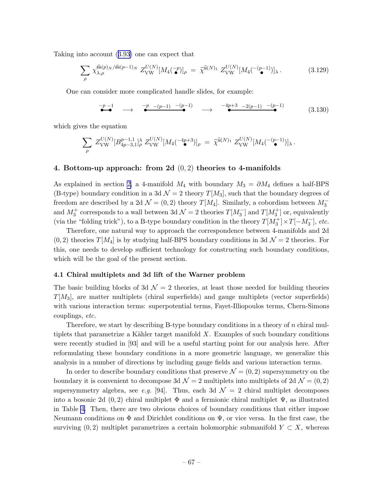Taking into account([3.93\)](#page-60-0) one can expect that

$$
\sum_{\rho} \chi_{\lambda,\rho}^{\widehat{\mathfrak{su}}(p)_N/\widehat{\mathfrak{su}}(p-1)_N} Z_{\text{VW}}^{U(N)} [M_4(\tilde{\bullet})]_{\rho} = \tilde{\chi}^{\widehat{\mathfrak{u}}(N)_1} Z_{\text{VW}}^{U(N)} [M_4(\tilde{\bullet}^{(p-1)})]_{\lambda}.
$$
 (3.129)

One can consider more complicated handle slides, for example:

$$
\begin{array}{ccccccccc}\n-p-1 & & & & -p & -(p-1) & -(p-1) & & & & & -4p+3 & -2(p-1) & -(p-1) & & & & & & \\
\hline\n\end{array} \qquad \longrightarrow \qquad \begin{array}{ccccccccc}\n-4p+3 & -2(p-1) & -(p-1) & & & & & \\
\hline\n\end{array} \tag{3.130}
$$

which gives the equation

$$
\sum_{\rho} Z_{\rm VW}^{U(N)} [B_{4p-3,1}^{p-1,1}]^{\lambda}_{\rho} Z_{\rm VW}^{U(N)} [M_4(^{-4p+3})]_{\rho} = \tilde{\chi}^{\widehat{\mathfrak{u}}(N)_1} Z_{\rm VW}^{U(N)} [M_4(^{- (p-1)})]_{\lambda}.
$$

## 4. Bottom-up approach: from 2d  $(0, 2)$  theories to 4-manifolds

As explained in section [2,](#page-7-0) a 4-manifold  $M_4$  with boundary  $M_3 = \partial M_4$  defines a half-BPS (B-type) boundary condition in a 3d  $\mathcal{N}=2$  theory  $T[M_3]$ , such that the boundary degrees of freedom are described by a 2d  $\mathcal{N} = (0, 2)$  theory  $T[M_4]$ . Similarly, a cobordism between  $M_3^$ and  $M_3^+$  corresponds to a wall between 3d  $\mathcal{N}=2$  theories  $T[M_3^-]$  and  $T[M_3^+]$  or, equivalently (via the "folding trick"), to a B-type boundary condition in the theory  $T[M_3^+] \times T[-M_3^-]$ , etc.

Therefore, one natural way to approach the correspondence between 4-manifolds and 2d  $(0, 2)$  theories  $T[M_4]$  is by studying half-BPS boundary conditions in 3d  $\mathcal{N}=2$  theories. For this, one needs to develop sufficient technology for constructing such boundary conditions, which will be the goal of the present section.

# 4.1 Chiral multiplets and 3d lift of the Warner problem

The basic building blocks of 3d  $\mathcal{N}=2$  theories, at least those needed for building theories  $T[M_3]$ , are matter multiplets (chiral superfields) and gauge multiplets (vector superfields) with various interaction terms: superpotential terms, Fayet-Illiopoulos terms, Chern-Simons couplings, etc.

Therefore, we start by describing  $B$ -type boundary conditions in a theory of n chiral multiplets that parametrize a Kähler target manifold  $X$ . Examples of such boundary conditions were recently studied in [93] and will be a useful starting point for our analysis here. After reformulating these boundary conditions in a more geometric language, we generalize this analysis in a number of directions by including gauge fields and various interaction terms.

In order to describe boundary conditions that preserve  $\mathcal{N} = (0, 2)$  supersymmetry on the boundary it is convenient to decompose 3d  $\mathcal{N}=2$  multiplets into multiplets of 2d  $\mathcal{N}=(0,2)$ supersymmetry algebra, see e.g. [94]. Thus, each 3d  $\mathcal{N}=2$  chiral multiplet decomposes into a bosonic 2d  $(0, 2)$  chiral multiplet  $\Phi$  and a fermionic chiral multiplet  $\Psi$ , as illustrated in Table [4.](#page-68-0) Then, there are two obvious choices of boundary conditions that either impose Neumann conditions on  $\Phi$  and Dirichlet conditions on  $\Psi$ , or vice versa. In the first case, the surviving  $(0, 2)$  multiplet parametrizes a certain holomorphic submanifold  $Y \subset X$ , whereas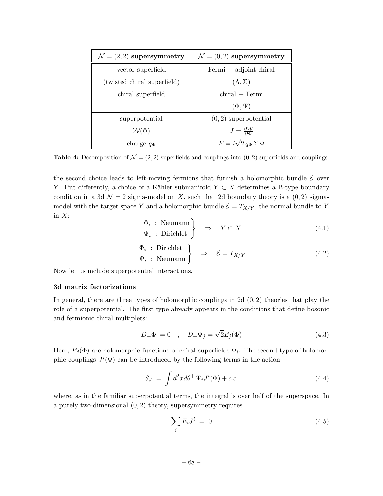<span id="page-68-0"></span>

| $\mathcal{N} = (2, 2)$ supersymmetry | $\mathcal{N} = (0, 2)$ supersymmetry           |
|--------------------------------------|------------------------------------------------|
| vector superfield                    | Fermi $+$ adjoint chiral                       |
| (twisted chiral superfield)          | $(\Lambda, \Sigma)$                            |
| chiral superfield                    | $chiral + Fermi$                               |
|                                      | $(\Phi, \Psi)$                                 |
| superpotential                       | $(0, 2)$ superpotential                        |
| $\mathcal{W}(\Phi)$                  | $J=\frac{\partial \mathcal{W}}{\partial \Phi}$ |
| charge $q_{\Phi}$                    | $E = i\sqrt{2} q_{\Phi} \Sigma \Phi$           |

**Table 4:** Decomposition of  $\mathcal{N} = (2, 2)$  superfields and couplings into  $(0, 2)$  superfields and couplings.

the second choice leads to left-moving fermions that furnish a holomorphic bundle  $\mathcal E$  over Y. Put differently, a choice of a Kähler submanifold  $Y \subset X$  determines a B-type boundary condition in a 3d  $\mathcal{N} = 2$  sigma-model on X, such that 2d boundary theory is a  $(0, 2)$  sigmamodel with the target space Y and a holomorphic bundle  $\mathcal{E} = T_{X/Y}$ , the normal bundle to Y in  $X$ :

$$
\begin{aligned}\n\Phi_i: \text{Neumann} \\
\Psi_i: \text{Dirichlet}\n\end{aligned}\n\Rightarrow Y \subset X
$$
\n(4.1)

$$
\begin{aligned}\n\Phi_i : \text{Dirichlet} \\
\Psi_i : \text{Neumann}\n\end{aligned}\n\Rightarrow \quad \mathcal{E} = T_{X/Y} \tag{4.2}
$$

Now let us include superpotential interactions.

### 3d matrix factorizations

In general, there are three types of holomorphic couplings in 2d  $(0, 2)$  theories that play the role of a superpotential. The first type already appears in the conditions that define bosonic and fermionic chiral multiplets:

$$
\overline{D}_{+}\Phi_{i}=0 \quad , \quad \overline{D}_{+}\Psi_{j}=\sqrt{2}E_{j}(\Phi) \tag{4.3}
$$

Here,  $E_j(\Phi)$  are holomorphic functions of chiral superfields  $\Phi_i$ . The second type of holomorphic couplings  $J^i(\Phi)$  can be introduced by the following terms in the action

$$
S_J = \int d^2x d\theta^+ \Psi_i J^i(\Phi) + c.c.
$$
 (4.4)

where, as in the familiar superpotential terms, the integral is over half of the superspace. In a purely two-dimensional  $(0, 2)$  theory, supersymmetry requires

$$
\sum_{i} E_i J^i = 0 \tag{4.5}
$$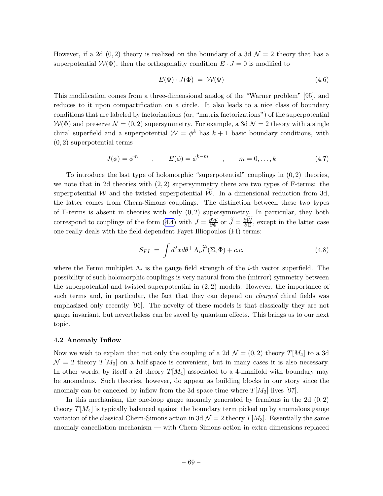<span id="page-69-0"></span>However, if a 2d  $(0, 2)$  theory is realized on the boundary of a 3d  $\mathcal{N}=2$  theory that has a superpotential  $\mathcal{W}(\Phi)$ , then the orthogonality condition  $E \cdot J = 0$  is modified to

$$
E(\Phi) \cdot J(\Phi) = \mathcal{W}(\Phi) \tag{4.6}
$$

This modification comes from a three-dimensional analog of the "Warner problem" [95], and reduces to it upon compactification on a circle. It also leads to a nice class of boundary conditions that are labeled by factorizations (or, "matrix factorizations") of the superpotential  $W(\Phi)$  and preserve  $\mathcal{N} = (0, 2)$  supersymmetry. For example, a 3d  $\mathcal{N} = 2$  theory with a single chiral superfield and a superpotential  $W = \phi^k$  has  $k + 1$  basic boundary conditions, with (0, 2) superpotential terms

$$
J(\phi) = \phi^m \qquad , \qquad E(\phi) = \phi^{k-m} \qquad , \qquad m = 0, \dots, k \tag{4.7}
$$

To introduce the last type of holomorphic "superpotential" couplings in  $(0, 2)$  theories, we note that in 2d theories with  $(2, 2)$  supersymmetry there are two types of F-terms: the superpotential W and the twisted superpotential W. In a dimensional reduction from 3d, the latter comes from Chern-Simons couplings. The distinction between these two types of F-terms is absent in theories with only  $(0, 2)$  supersymmetry. In particular, they both correspond to couplings of the form [\(4.4\)](#page-68-0) with  $J = \frac{\partial \mathcal{W}}{\partial \Phi}$  or  $\tilde{J} = \frac{\partial \mathcal{W}}{\partial \Sigma}$ , except in the latter case one really deals with the field-dependent Fayet-Illiopoulos (FI) terms:

$$
S_{FI} = \int d^2x d\theta^+ \Lambda_i \widetilde{J}^i(\Sigma, \Phi) + c.c.
$$
 (4.8)

where the Fermi multiplet  $\Lambda_i$  is the gauge field strength of the *i*-th vector superfield. The possibility of such holomorphic couplings is very natural from the (mirror) symmetry between the superpotential and twisted superpotential in (2, 2) models. However, the importance of such terms and, in particular, the fact that they can depend on *charged* chiral fields was emphasized only recently [96]. The novelty of these models is that classically they are not gauge invariant, but nevertheless can be saved by quantum effects. This brings us to our next topic.

### 4.2 Anomaly Inflow

Now we wish to explain that not only the coupling of a 2d  $\mathcal{N} = (0, 2)$  theory  $T[M_4]$  to a 3d  $\mathcal{N} = 2$  theory  $T[M_3]$  on a half-space is convenient, but in many cases it is also necessary. In other words, by itself a 2d theory  $T[M_4]$  associated to a 4-manifold with boundary may be anomalous. Such theories, however, do appear as building blocks in our story since the anomaly can be canceled by inflow from the 3d space-time where  $T[M_3]$  lives [97].

In this mechanism, the one-loop gauge anomaly generated by fermions in the  $2d(0, 2)$ theory  $T[M_4]$  is typically balanced against the boundary term picked up by anomalous gauge variation of the classical Chern-Simons action in 3d  $\mathcal{N}=2$  theory  $T[M_3]$ . Essentially the same anomaly cancellation mechanism — with Chern-Simons action in extra dimensions replaced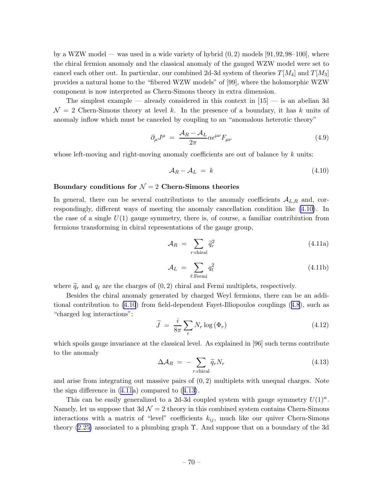<span id="page-70-0"></span>by a WZW model — was used in a wide variety of hybrid  $(0, 2)$  models [91,92,98–100], where the chiral fermion anomaly and the classical anomaly of the gauged WZW model were set to cancel each other out. In particular, our combined 2d-3d system of theories  $T[M_4]$  and  $T[M_3]$ provides a natural home to the "fibered WZW models" of [99], where the holomorphic WZW component is now interpreted as Chern-Simons theory in extra dimension.

The simplest example — already considered in this context in  $[15]$  — is an abelian 3d  $\mathcal{N}=2$  Chern-Simons theory at level k. In the presence of a boundary, it has k units of anomaly inflow which must be canceled by coupling to an "anomalous heterotic theory"

$$
\partial_{\mu}J^{\mu} = \frac{\mathcal{A}_R - \mathcal{A}_L}{2\pi} \alpha \epsilon^{\mu\nu} F_{\mu\nu}
$$
\n(4.9)

whose left-moving and right-moving anomaly coefficients are out of balance by  $k$  units:

$$
\mathcal{A}_R - \mathcal{A}_L = k \tag{4.10}
$$

## Boundary conditions for  $\mathcal{N}=2$  Chern-Simons theories

In general, there can be several contributions to the anomaly coefficients  $A_{L,R}$  and, correspondingly, different ways of meeting the anomaly cancellation condition like (4.10). In the case of a single  $U(1)$  gauge symmetry, there is, of course, a familiar contribution from fermions transforming in chiral representations of the gauge group,

$$
\mathcal{A}_R = \sum_{r:\text{chiral}} \tilde{q}_r^2 \tag{4.11a}
$$

$$
\mathcal{A}_L = \sum_{\ell: \text{Fermi}} q_\ell^2 \tag{4.11b}
$$

where  $\tilde{q}_r$  and  $q_\ell$  are the charges of  $(0, 2)$  chiral and Fermi multiplets, respectively.

Besides the chiral anomaly generated by charged Weyl fermions, there can be an additional contribution to (4.10) from field-dependent Fayet-Illiopoulos couplings([4.8](#page-69-0)), such as "charged log interactions":

$$
\widetilde{J} = \frac{i}{8\pi} \sum_{r} N_r \log \left( \Phi_r \right) \tag{4.12}
$$

which spoils gauge invariance at the classical level. As explained in [96] such terms contribute to the anomaly

$$
\Delta \mathcal{A}_R = -\sum_{r:\text{chiral}} \widetilde{q}_r N_r \tag{4.13}
$$

and arise from integrating out massive pairs of  $(0, 2)$  multiplets with unequal charges. Note the sign difference in (4.11a) compared to (4.13).

This can be easily generalized to a 2d-3d coupled system with gauge symmetry  $U(1)^n$ . Namely, let us suppose that  $3d \mathcal{N} = 2$  theory in this combined system contains Chern-Simons interactions with a matrix of "level" coefficients  $k_{ij}$ , much like our quiver Chern-Simons theory  $(2.25)$  associated to a plumbing graph  $\Upsilon$ . And suppose that on a boundary of the 3d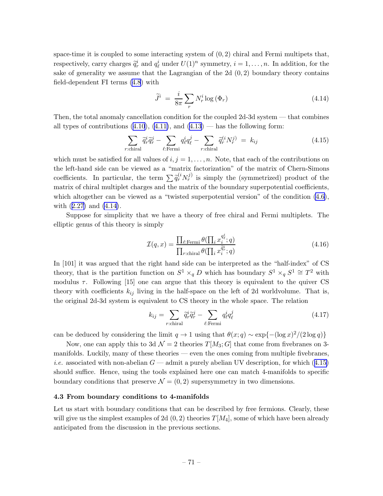space-time it is coupled to some interacting system of  $(0, 2)$  chiral and Fermi multipets that, respectively, carry charges  $\tilde{q}_r^i$  and  $q_\ell^i$  under  $U(1)^n$  symmetry,  $i = 1, ..., n$ . In addition, for the sake of generality we assume that the Lagrangian of the 2d  $(0, 2)$  boundary theory contains field-dependent FI terms [\(4.8](#page-69-0)) with

$$
\widetilde{J}^i = \frac{i}{8\pi} \sum_r N_r^i \log \left( \Phi_r \right) \tag{4.14}
$$

Then, the total anomaly cancellation condition for the coupled 2d-3d system — that combines alltypes of contributions  $(4.10)$  $(4.10)$ ,  $(4.11)$ , and  $(4.13)$  — has the following form:

$$
\sum_{r:\text{chiral}} \tilde{q}_r^i \tilde{q}_r^j - \sum_{\ell:\text{Fermi}} q_\ell^i q_\ell^j - \sum_{r:\text{chiral}} \tilde{q}_r^{(i} N_r^j) = k_{ij} \tag{4.15}
$$

which must be satisfied for all values of  $i, j = 1, \ldots, n$ . Note, that each of the contributions on the left-hand side can be viewed as a "matrix factorization" of the matrix of Chern-Simons coefficients. In particular, the term  $\sum \tilde{q}_r^{(i} N_r^{j)}$  is simply the (symmetrized) product of the matrix of chiral multiplet charges and the matrix of the boundary superpotential coefficients, which altogether can be viewed as a "twisted superpotential version" of the condition  $(4.6)$ , with([2.27\)](#page-18-0) and (4.14).

Suppose for simplicity that we have a theory of free chiral and Fermi multiplets. The elliptic genus of this theory is simply

$$
\mathcal{I}(q,x) = \frac{\prod_{\ell:\text{Fermi}} \theta(\prod_{i} x_i^{q_{\ell}^{i}}; q)}{\prod_{r:\text{chiral}} \theta(\prod_{i} x_i^{\widetilde{q}_{r}^{i}}; q)}
$$
(4.16)

In [101] it was argued that the right hand side can be interpreted as the "half-index" of CS theory, that is the partition function on  $S^1 \times_q D$  which has boundary  $S^1 \times_q S^1 \cong T^2$  with modulus  $\tau$ . Following [15] one can argue that this theory is equivalent to the quiver CS theory with coefficients  $k_{ij}$  living in the half-space on the left of 2d worldvolume. That is, the original 2d-3d system is equivalent to CS theory in the whole space. The relation

$$
k_{ij} = \sum_{r:\text{chiral}} \tilde{q}_r^i \tilde{q}_r^j - \sum_{\ell:\text{Fermi}} q_\ell^i q_\ell^j \tag{4.17}
$$

can be deduced by considering the limit  $q \to 1$  using that  $\theta(x; q) \sim \exp\{- (\log x)^2 / (2 \log q) \}$ 

Now, one can apply this to 3d  $\mathcal{N}=2$  theories  $T[M_3; G]$  that come from fivebranes on 3manifolds. Luckily, many of these theories — even the ones coming from multiple fivebranes, *i.e.* associated with non-abelian  $G$  — admit a purely abelian UV description, for which (4.15) should suffice. Hence, using the tools explained here one can match 4-manifolds to specific boundary conditions that preserve  $\mathcal{N} = (0, 2)$  supersymmetry in two dimensions.

### 4.3 From boundary conditions to 4-manifolds

Let us start with boundary conditions that can be described by free fermions. Clearly, these will give us the simplest examples of 2d  $(0, 2)$  theories  $T[M_4]$ , some of which have been already anticipated from the discussion in the previous sections.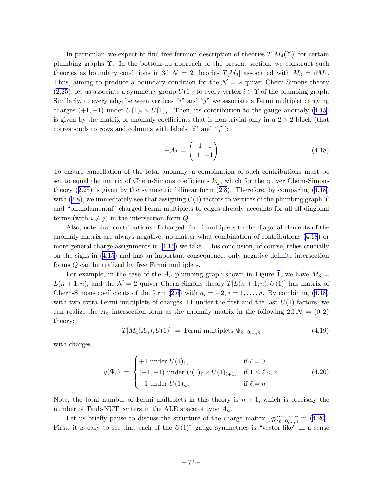<span id="page-72-0"></span>In particular, we expect to find free fermion description of theories  $T[M_4(\Upsilon)]$  for certain plumbing graphs Υ. In the bottom-up approach of the present section, we construct such theories as boundary conditions in 3d  $\mathcal{N} = 2$  theories  $T[M_3]$  associated with  $M_3 = \partial M_4$ . Thus, aiming to produce a boundary condition for the  $\mathcal{N}=2$  quiver Chern-Simons theory ([2.25](#page-17-0)), let us associate a symmetry group  $U(1)_i$  to every vertex  $i \in \Upsilon$  of the plumbing graph. Similarly, to every edge between vertices "i" and "j" we associate a Fermi multiplet carrying charges $(+1,-1)$  under  $U(1)<sub>i</sub> \times U(1)<sub>j</sub>$ . Then, its contribution to the gauge anomaly ([4.15\)](#page-71-0) is given by the matrix of anomaly coefficients that is non-trivial only in a  $2 \times 2$  block (that corresponds to rows and columns with labels " $i$ " and " $j$ "):

$$
-\mathcal{A}_L = \begin{pmatrix} -1 & 1 \\ 1 & -1 \end{pmatrix} \tag{4.18}
$$

To ensure cancellation of the total anomaly, a combination of such contributions must be set to equal the matrix of Chern-Simons coefficients  $k_{ij}$ , which for the quiver Chern-Simons theory([2.25\)](#page-17-0) is given by the symmetric bilinear form([2.8](#page-11-0)). Therefore, by comparing (4.18) with([2.8\)](#page-11-0), we immediately see that assigning  $U(1)$  factors to vertices of the plumbing graph  $\Upsilon$ and "bifundamental" charged Fermi multiplets to edges already accounts for all off-diagonal terms (with  $i \neq j$ ) in the intersection form Q.

Also, note that contributions of charged Fermi multiplets to the diagonal elements of the anomaly matrix are always negative, no matter what combination of contributions (4.18) or more general charge assignments in [\(4.15](#page-71-0)) we take. This conclusion, of course, relies crucially on the signs in([4.15\)](#page-71-0) and has an important consequence: only negative definite intersection forms Q can be realized by free Fermi multiplets.

For example, in the case of the  $A_n$  plumbing graph shown in Figure [1](#page-9-0), we have  $M_3 =$  $L(n+1,n)$ , and the  $\mathcal{N}=2$  quiver Chern-Simons theory  $T[L(n+1,n);U(1)]$  has matrix of Chern-Simons coefficients of the form  $(2.6)$  with  $a_i = -2$ ,  $i = 1, \ldots, n$ . By combining (4.18) with two extra Fermi multiplets of charges  $\pm 1$  under the first and the last  $U(1)$  factors, we can realize the  $A_n$  intersection form as the anomaly matrix in the following 2d  $\mathcal{N} = (0, 2)$ theory:

$$
T[M_4(A_n); U(1)] = \text{Fermi multiplets } \Psi_{\ell=0,\dots,n} \tag{4.19}
$$

with charges

$$
q(\Psi_{\ell}) = \begin{cases} +1 \text{ under } U(1)_1, & \text{if } \ell = 0\\ (-1, +1) \text{ under } U(1)_{\ell} \times U(1)_{\ell+1}, & \text{if } 1 \le \ell < n\\ -1 \text{ under } U(1)_n, & \text{if } \ell = n \end{cases}
$$
(4.20)

Note, the total number of Fermi multiplets in this theory is  $n + 1$ , which is precisely the number of Taub-NUT centers in the ALE space of type  $A_n$ .

Let us briefly pause to discuss the structure of the charge matrix  $(q_{\ell}^{i})_{\ell=0,\dots,n}^{i=1,\dots,n}$  $_{\ell=0,...,n}^{i=1,...,n}$  in  $(4.20)$ . First, it is easy to see that each of the  $U(1)^n$  gauge symmetries is "vector-like" in a sense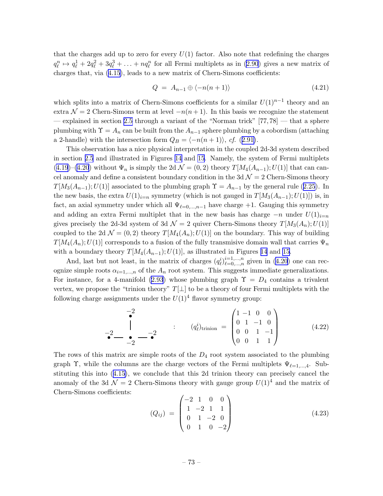that the charges add up to zero for every  $U(1)$  factor. Also note that redefining the charges  $q_{\ell}^n \mapsto q_{\ell}^1 + 2q_{\ell}^2 + 3q_{\ell}^3 + \ldots + nq_{\ell}^n$  $q_{\ell}^n \mapsto q_{\ell}^1 + 2q_{\ell}^2 + 3q_{\ell}^3 + \ldots + nq_{\ell}^n$  $q_{\ell}^n \mapsto q_{\ell}^1 + 2q_{\ell}^2 + 3q_{\ell}^3 + \ldots + nq_{\ell}^n$  for all Fermi multiplets as in ([2.90](#page-39-0)) gives a new matrix of charges that, via [\(4.15](#page-71-0)), leads to a new matrix of Chern-Simons coefficients:

$$
Q = A_{n-1} \oplus \langle -n(n+1) \rangle \tag{4.21}
$$

which splits into a matrix of Chern-Simons coefficients for a similar  $U(1)^{n-1}$  theory and an extra  $\mathcal{N} = 2$  Chern-Simons term at level  $-n(n+1)$ . In this basis we recognize the statement — explained in section [2.5](#page-35-0) through a variant of the "Norman trick"  $[77, 78]$  — that a sphere plumbing with  $\Upsilon = A_n$  can be built from the  $A_{n-1}$  sphere plumbing by a cobordism (attaching a 2-handle) with the intersection form  $Q_B = \langle -n(n + 1) \rangle$ , cf. ([2.91\)](#page-39-0).

This observation has a nice physical interpretation in the coupled 2d-3d system described in section [2.5](#page-35-0) and illustrated in Figures [14](#page-36-0) and [15](#page-37-0). Namely, the system of Fermi multiplets ([4.19](#page-72-0))–[\(4.20](#page-72-0)) without  $\Psi_n$  is simply the 2d  $\mathcal{N} = (0, 2)$  theory  $T[M_4(A_{n-1}); U(1)]$  that can cancel anomaly and define a consistent boundary condition in the 3d  $\mathcal{N}=2$  Chern-Simons theory  $T[M_3(A_{n-1});U(1)]$ associated to the plumbing graph  $\Upsilon = A_{n-1}$  by the general rule ([2.25](#page-17-0)). In the new basis, the extra  $U(1)_{i=n}$  symmetry (which is not gauged in  $T[M_3(A_{n-1});U(1)])$  is, in fact, an axial symmetry under which all  $\Psi_{\ell=0,\dots,n-1}$  have charge +1. Gauging this symmetry and adding an extra Fermi multiplet that in the new basis has charge  $-n$  under  $U(1)_{i=n}$ gives precisely the 2d-3d system of 3d  $\mathcal{N}=2$  quiver Chern-Simons theory  $T[M_3(A_n);U(1)]$ coupled to the 2d  $\mathcal{N} = (0, 2)$  theory  $T[M_4(A_n); U(1)]$  on the boundary. This way of building  $T[M_4(A_n);U(1)]$  corresponds to a fusion of the fully transmisive domain wall that carries  $\Psi_n$ with a boundary theory  $T[M_4(A_{n-1});U(1)]$ , as illustrated in Figures [14](#page-36-0) and [15](#page-37-0).

And, last but not least, in the matrix of charges  $(q_{\ell}^{i})_{\ell=0,\dots,n}^{i=1,\dots,n}$  $\sum_{\ell=0,\ldots,n}^{n=1,\ldots,n}$ given in  $(4.20)$  $(4.20)$  one can recognize simple roots  $\alpha_{i=1,\dots,n}$  of the  $A_n$  root system. This suggests immediate generalizations. Forinstance, for a 4-manifold ([2.93](#page-39-0)) whose plumbing graph  $\Upsilon = D_4$  contains a trivalent vertex, we propose the "trinion theory"  $T[\perp]$  to be a theory of four Fermi multiplets with the following charge assignments under the  $U(1)^4$  flavor symmetry group:

$$
-2 \qquad \qquad \begin{array}{c} -2 \\ \bullet \\ -2 \end{array} \qquad \qquad : \qquad (q_{\ell}^{i})_{\text{trinion}} = \begin{pmatrix} 1 & -1 & 0 & 0 \\ 0 & 1 & -1 & 0 \\ 0 & 0 & 1 & -1 \\ 0 & 0 & 1 & 1 \end{pmatrix} \tag{4.22}
$$

The rows of this matrix are simple roots of the  $D_4$  root system associated to the plumbing graph  $\Upsilon$ , while the columns are the charge vectors of the Fermi multiplets  $\Psi_{\ell=1,\dots,4}$ . Substituting this into([4.15\)](#page-71-0), we conclude that this 2d trinion theory can precisely cancel the anomaly of the 3d  $\mathcal{N}=2$  Chern-Simons theory with gauge group  $U(1)^4$  and the matrix of Chern-Simons coefficients:

$$
(Q_{ij}) = \begin{pmatrix} -2 & 1 & 0 & 0 \\ 1 & -2 & 1 & 1 \\ 0 & 1 & -2 & 0 \\ 0 & 1 & 0 & -2 \end{pmatrix}
$$
 (4.23)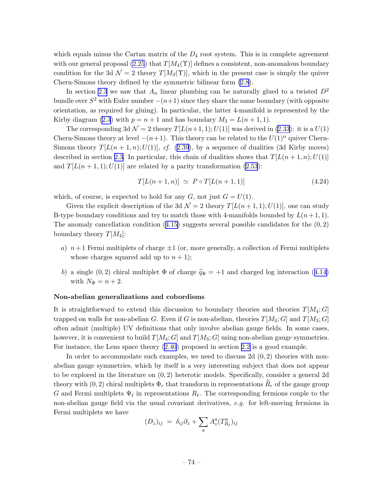which equals minus the Cartan matrix of the  $D_4$  root system. This is in complete agreement with our general proposal [\(2.25](#page-17-0)) that  $T[M_4(\Upsilon)]$  defines a consistent, non-anomalous boundary condition for the 3d  $\mathcal{N} = 2$  theory  $T[M_3(\Upsilon)]$ , which in the present case is simply the quiver Chern-Simons theory defined by the symmetric bilinear form [\(2.8](#page-11-0)).

In section [2.3](#page-25-0) we saw that  $A_n$  linear plumbing can be naturally glued to a twisted  $D^2$ bundle over  $S^2$  with Euler number  $-(n+1)$  since they share the same boundary (with opposite orientation, as required for gluing). In particular, the latter 4-manifold is represented by the Kirby diagram [\(2.3](#page-9-0)) with  $p = n + 1$  and has boundary  $M_3 = L(n + 1, 1)$ .

The corresponding 3d  $\mathcal{N} = 2$  theory  $T[L(n+1,1);U(1)]$  was derived in [\(2.33](#page-19-0)): it is a  $U(1)$ Chern-Simons theory at level  $-(n+1)$ . This theory can be related to the  $U(1)^n$  quiver Chern-Simons theory  $T[L(n+1,n);U(1)],$  cf. ([2.39](#page-22-0)), by a sequence of dualities (3d Kirby moves) described in section [2.3.](#page-25-0) In particular, this chain of dualities shows that  $T[L(n+1,n);U(1)]$ and  $T[L(n+1,1);U(1)]$  are related by a parity transformation [\(2.53](#page-26-0)):

$$
T[L(n+1,n)] \simeq P \circ T[L(n+1,1)] \tag{4.24}
$$

which, of course, is expected to hold for any  $G$ , not just  $G = U(1)$ .

Given the explicit description of the 3d  $\mathcal{N} = 2$  theory  $T[L(n+1,1);U(1)]$ , one can study B-type boundary conditions and try to match those with 4-manifolds bounded by  $L(n+1, 1)$ . Theanomaly cancellation condition  $(4.15)$  $(4.15)$  suggests several possible candidates for the  $(0, 2)$ boundary theory  $T[M_4]$ :

- a)  $n+1$  Fermi multiplets of charge  $\pm 1$  (or, more generally, a collection of Fermi multiplets whose charges squared add up to  $n + 1$ ;
- b)a single (0, 2) chiral multiplet  $\Phi$  of charge  $\tilde{q}_{\Phi} = +1$  and charged log interaction ([4.14\)](#page-71-0) with  $N_{\Phi} = n + 2$ .

#### Non-abelian generalizations and cobordisms

It is straightforward to extend this discussion to boundary theories and theories  $T[M_4; G]$ trapped on walls for non-abelian G. Even if G is non-abelian, theories  $T[M_4; G]$  and  $T[M_3; G]$ often admit (multiple) UV definitions that only involve abelian gauge fields. In some cases, however, it is convenient to build  $T[M_4; G]$  and  $T[M_3; G]$  using non-abelian gauge symmetries. For instance, the Lens space theory [\(2.40](#page-22-0)) proposed in section [2.2](#page-12-0) is a good example.

In order to accommodate such examples, we need to discuss 2d  $(0, 2)$  theories with nonabelian gauge symmetries, which by itself is a very interesting subject that does not appear to be explored in the literature on (0, 2) heterotic models. Specifically, consider a general 2d theory with  $(0, 2)$  chiral multiplets  $\Phi_r$  that transform in representations  $R_r$  of the gauge group G and Fermi multiplets  $\Psi_{\ell}$  in representations  $R_{\ell}$ . The corresponding fermions couple to the non-abelian gauge field via the usual covariant derivatives, e.g. for left-moving fermions in Fermi multiplets we have

$$
(D_z)_{ij} = \delta_{ij}\partial_z + \sum_a A^a_z (T^a_{R_\ell})_{ij}
$$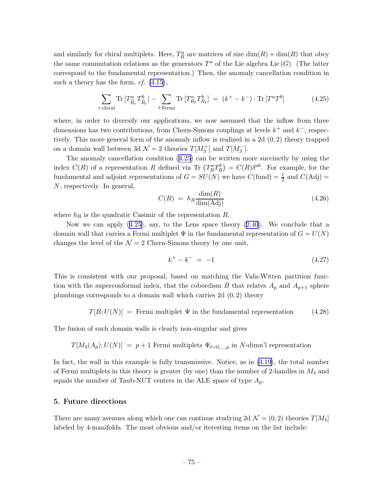and similarly for chiral multiplets. Here,  $T_R^a$  are matrices of size  $\dim(R) \times \dim(R)$  that obey the same commutation relations as the generators  $T^a$  of the Lie algebra Lie  $(G)$ . (The latter correspond to the fundamental representation.) Then, the anomaly cancellation condition in such a theory has the form,  $cf.$   $(4.15)$ ,

$$
\sum_{r:\text{chiral}} \text{Tr}\left[T^a_{\tilde{R}_r} T^b_{\tilde{R}_r}\right] - \sum_{\ell:\text{Fermi}} \text{Tr}\left[T^a_{R_\ell} T^b_{R_\ell}\right] = (k^+ - k^-) \cdot \text{Tr}\left[T^a T^b\right] \tag{4.25}
$$

where, in order to diversify our applications, we now assumed that the inflow from three dimensions has two contributions, from Chern-Simons couplings at levels  $k^+$  and  $k^-$ , respectively. This more general form of the anomaly inflow is realized in a 2d (0, 2) theory trapped on a domain wall between 3d  $\mathcal{N}=2$  theories  $T[M_3^+]$  and  $T[M_3^-]$ .

The anomaly cancellation condition (4.25) can be written more succinctly by using the index  $C(R)$  of a representation R defined via Tr  $(T_R^a T_R^b) = C(R) \delta^{ab}$ . For example, for the fundamental and adjoint representations of  $G = SU(N)$  we have  $C(\text{fund}) = \frac{1}{2}$  and  $C(\text{Adj}) =$ N, respectively. In general,

$$
C(R) = h_R \frac{\dim(R)}{\dim(\text{Adj})}
$$
\n(4.26)

where  $h_R$  is the quadratic Casimir of the representation R.

Nowwe can apply  $(4.25)$ , say, to the Lens space theory  $(2.40)$  $(2.40)$  $(2.40)$ . We conclude that a domain wall that carries a Fermi multiplet  $\Psi$  in the fundamental representation of  $G = U(N)$ changes the level of the  $\mathcal{N} = 2$  Chern-Simons theory by one unit,

$$
k^+ - k^- = -1 \tag{4.27}
$$

This is consistent with our proposal, based on matching the Vafa-Witten partition function with the superconformal index, that the cobordism B that relates  $A_p$  and  $A_{p+1}$  sphere plumbings corresponds to a domain wall which carries 2d (0, 2) theory

$$
T[B; U(N)] = \text{Fermi multiplet } \Psi \text{ in the fundamental representation} \tag{4.28}
$$

The fusion of such domain walls is clearly non-singular and gives

$$
T[M_4(A_p); U(N)] = p+1
$$
 Fermi multiplets  $\Psi_{\ell=0,...,p}$  in N-dimn'l representation

In fact, the wall in this example is fully transmissive. Notice, as in [\(4.19\)](#page-72-0), the total number of Fermi multiplets in this theory is greater (by one) than the number of 2-handles in  $M_4$  and equals the number of Taub-NUT centers in the ALE space of type  $A_p$ .

# 5. Future directions

There are many avenues along which one can continue studying 2d  $\mathcal{N} = (0, 2)$  theories  $T[M_4]$ labeled by 4-manifolds. The most obvious and/or iteresting items on the list include: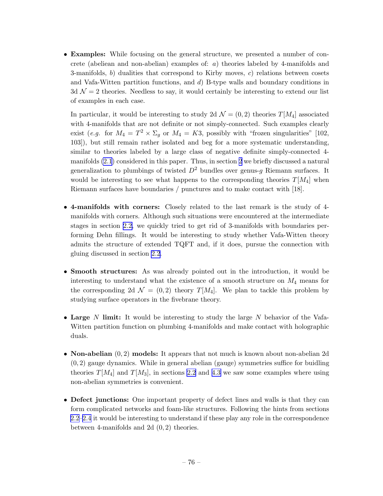• Examples: While focusing on the general structure, we presented a number of concrete (abeliean and non-abelian) examples of: a) theories labeled by 4-manifolds and 3-manifolds, b) dualities that correspond to Kirby moves, c) relations between cosets and Vafa-Witten partition functions, and d) B-type walls and boundary conditions in  $3d \mathcal{N} = 2$  theories. Needless to say, it would certainly be interesting to extend our list of examples in each case.

In particular, it would be interesting to study 2d  $\mathcal{N} = (0, 2)$  theories  $T[M_4]$  associated with 4-manifolds that are not definite or not simply-connected. Such examples clearly exist (*e.g.* for  $M_4 = T^2 \times \Sigma_g$  or  $M_4 = K3$ , possibly with "frozen singularities" [102, 103]), but still remain rather isolated and beg for a more systematic understanding, similar to theories labeled by a large class of negative definite simply-connected 4 manifolds [\(2.1](#page-8-0)) considered in this paper. Thus, in section [2](#page-7-0) we briefly discussed a natural generalization to plumbings of twisted  $D^2$  bundles over genus-q Riemann surfaces. It would be interesting to see what happens to the corresponding theories  $T[M_4]$  when Riemann surfaces have boundaries / punctures and to make contact with [18].

- 4-manifolds with corners: Closely related to the last remark is the study of 4 manifolds with corners. Although such situations were encountered at the intermediate stages in section [2.2,](#page-12-0) we quickly tried to get rid of 3-manifolds with boundaries performing Dehn fillings. It would be interesting to study whether Vafa-Witten theory admits the structure of extended TQFT and, if it does, pursue the connection with gluing discussed in section [2.2](#page-12-0).
- Smooth structures: As was already pointed out in the introduction, it would be interesting to understand what the existence of a smooth structure on  $M_4$  means for the corresponding 2d  $\mathcal{N} = (0, 2)$  theory  $T[M_4]$ . We plan to tackle this problem by studying surface operators in the fivebrane theory.
- Large N limit: It would be interesting to study the large N behavior of the Vafa-Witten partition function on plumbing 4-manifolds and make contact with holographic duals.
- **Non-abelian**  $(0, 2)$  **models:** It appears that not much is known about non-abelian 2d  $(0, 2)$  gauge dynamics. While in general abelian (gauge) symmetries suffice for buidling theories  $T[M_4]$  and  $T[M_3]$ , in sections [2.2](#page-12-0) and [4.3](#page-71-0) we saw some examples where using non-abelian symmetries is convenient.
- Defect junctions: One important property of defect lines and walls is that they can form complicated networks and foam-like structures. Following the hints from sections [2.2–](#page-12-0)[2.4](#page-32-0) it would be interesting to understand if these play any role in the correspondence between 4-manifolds and 2d (0, 2) theories.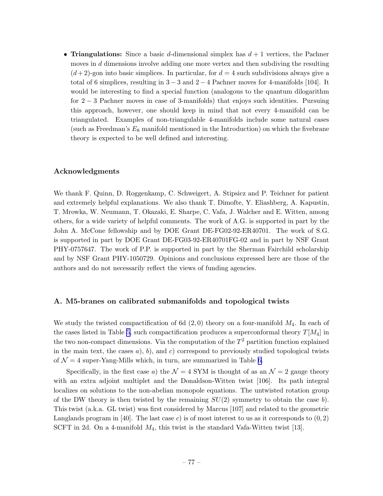• Triangulations: Since a basic d-dimensional simplex has  $d+1$  vertices, the Pachner moves in d dimensions involve adding one more vertex and then subdiving the resulting  $(d+2)$ -gon into basic simplices. In particular, for  $d=4$  such subdivisions always give a total of 6 simplices, resulting in  $3-3$  and  $2-4$  Pachner moves for 4-manifolds [104]. It would be interesting to find a special function (analogous to the quantum dilogarithm for 2 − 3 Pachner moves in case of 3-manifolds) that enjoys such identities. Pursuing this approach, however, one should keep in mind that not every 4-manifold can be triangulated. Examples of non-triangulable 4-manifolds include some natural cases (such as Freedman's  $E_8$  manifold mentioned in the Introduction) on which the fivebrane theory is expected to be well defined and interesting.

# Acknowledgments

We thank F. Quinn, D. Roggenkamp, C. Schweigert, A. Stipsicz and P. Teichner for patient and extremely helpful explanations. We also thank T. Dimofte, Y. Eliashberg, A. Kapustin, T. Mrowka, W. Neumann, T. Okazaki, E. Sharpe, C. Vafa, J. Walcher and E. Witten, among others, for a wide variety of helpful comments. The work of A.G. is supported in part by the John A. McCone fellowship and by DOE Grant DE-FG02-92-ER40701. The work of S.G. is supported in part by DOE Grant DE-FG03-92-ER40701FG-02 and in part by NSF Grant PHY-0757647. The work of P.P. is supported in part by the Sherman Fairchild scholarship and by NSF Grant PHY-1050729. Opinions and conclusions expressed here are those of the authors and do not necessarily reflect the views of funding agencies.

### A. M5-branes on calibrated submanifolds and topological twists

We study the twisted compactification of 6d  $(2,0)$  theory on a four-manifold  $M_4$ . In each of the cases listed in Table [5,](#page-78-0) such compactification produces a superconformal theory  $T[M_4]$  in the two non-compact dimensions. Via the computation of the  $T^2$  partition function explained in the main text, the cases  $a$ ,  $b$ , and  $c$ ) correspond to previously studied topological twists of  $\mathcal{N} = 4$  super-Yang-Mills which, in turn, are summarized in Table [6.](#page-78-0)

Specifically, in the first case a) the  $\mathcal{N} = 4$  SYM is thought of as an  $\mathcal{N} = 2$  gauge theory with an extra adjoint multiplet and the Donaldson-Witten twist [106]. Its path integral localizes on solutions to the non-abelian monopole equations. The untwisted rotation group of the DW theory is then twisted by the remaining  $SU(2)$  symmetry to obtain the case b). This twist (a.k.a. GL twist) was first considered by Marcus [107] and related to the geometric Langlands program in [40]. The last case c) is of most interest to us as it corresponds to  $(0, 2)$ SCFT in 2d. On a 4-manifold  $M_4$ , this twist is the standard Vafa-Witten twist [13].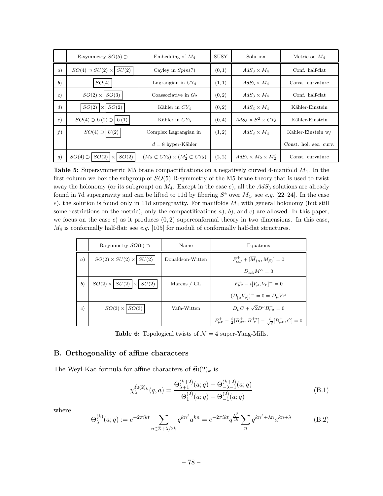<span id="page-78-0"></span>

|                   | R-symmetry $SO(5)$ $\supset$          | Embedding of $M_4$                           | <b>SUSY</b> | Solution                       | Metric on $M_4$        |
|-------------------|---------------------------------------|----------------------------------------------|-------------|--------------------------------|------------------------|
| (a)               | $SO(4) \supset SU(2) \times$<br>SU(2) | Cayley in $Spin(7)$                          | (0, 1)      | $AdS_3 \times M_4$             | Conf. half-flat        |
| (b)               | SO(4)                                 | Lagrangian in $CY_4$                         | (1, 1)      | $AdS_3 \times M_4$             | Const. curvature       |
| $\epsilon$        | $SO(2)$ $\times$<br>SO(3)             | Coassociative in $G_2$                       | (0, 2)      | $AdS_3 \times M_4$             | Conf. half-flat        |
| $\left( d\right)$ | SO(2)<br>SO(2)<br>$\times$            | Kähler in $CY4$                              | (0, 2)      | $AdS_3 \times M_4$             | Kähler-Einstein        |
| $\epsilon)$       | $SO(4) \supset U(2) \supset U(1)$     | Kähler in $CY_3$                             | (0, 4)      | $AdS_3 \times S^2 \times CY_3$ | Kähler-Einstein        |
| f)                | $SO(4) \supset U(2)$                  | Complex Lagrangian in                        | (1, 2)      | $AdS_3 \times M_4$             | Kähler-Einstein w/     |
|                   |                                       | $d=8$ hyper-Kähler                           |             |                                | Const. hol. sec. curv. |
| <i>g</i> )        | SO(2)<br>$SO(2) \times$<br>SO(4)      | $(M_2\subset CY_2)\times (M'_2\subset CY_2)$ | (2, 2)      | $AdS_3 \times M_2 \times M'_2$ | Const. curvature       |

**Table 5:** Supersymmetric M5 brane compactifications on a negatively curved 4-manifold  $M_4$ . In the first column we box the subgroup of  $SO(5)$  R-symmetry of the M5 brane theory that is used to twist away the holonomy (or its subgroup) on  $M_4$ . Except in the case e), all the  $AdS_3$  solutions are already found in 7d supergravity and can be lifted to 11d by fibering  $S^4$  over  $M_4$ , see e.g. [22–24]. In the case e), the solution is found only in 11d supergravity. For manifolds  $M_4$  with general holonomy (but still some restrictions on the metric), only the compactifications  $a$ ,  $b$ , and  $c$ ) are allowed. In this paper, we focus on the case c) as it produces  $(0, 2)$  superconformal theory in two dimensions. In this case,  $M_4$  is conformally half-flat; see e.g. [105] for moduli of conformally half-flat structures.

|            | R symmetry $SO(6)$ $\supset$            | Name             | Equations                                                                                            |
|------------|-----------------------------------------|------------------|------------------------------------------------------------------------------------------------------|
| (a)        | $SO(2)\times SU(2)\times \boxed{SU(2)}$ | Donaldson-Witten | $F_{\alpha\beta}^+ + [\overline{M}_{(\alpha}, M_{\beta)}] = 0$                                       |
|            |                                         |                  | $D_{\alpha\dot{\alpha}}M^{\alpha}=0$                                                                 |
| (b)        | $SO(2) \times  SU(2)  \times  SU(2) $   | Marcus / GL      | $F_{\mu\nu}^+ - i[V_\mu, V_\nu]^+ = 0$                                                               |
|            |                                         |                  | $(D_{\mu}V_{\nu})^{-}=0=D_{\mu}V^{\mu}$                                                              |
| $\epsilon$ | $SO(3) \times SO(3)$                    | Vafa-Witten      | $D_{\mu}C + \sqrt{2}D^{\nu}B_{\nu\mu}^{+} = 0$                                                       |
|            |                                         |                  | $F^+_{\mu\nu} - \frac{i}{2} [B^+_{\mu\tau}, B^+_{\ \nu}] - \frac{i}{\sqrt{2}} [B^+_{\mu\nu}, C] = 0$ |

**Table 6:** Topological twists of  $\mathcal{N} = 4$  super-Yang-Mills.

## B. Orthogonality of affine characters

The Weyl-Kac formula for affine characters of  $\widehat{\mathfrak{su}}(2)_k$  is

$$
\chi_{\lambda}^{\widehat{\mathfrak{su}}(2)_k}(q,a) = \frac{\Theta_{\lambda+1}^{(k+2)}(a;q) - \Theta_{-\lambda-1}^{(k+2)}(a;q)}{\Theta_1^{(2)}(a;q) - \Theta_{-1}^{(2)}(a;q)} \tag{B.1}
$$

where

$$
\Theta_{\lambda}^{(k)}(a;q) := e^{-2\pi ikt} \sum_{n \in \mathbb{Z} + \lambda/2k} q^{kn^2} a^{kn} = e^{-2\pi ikt} q^{\frac{\lambda^2}{4k}} \sum_{n} q^{kn^2 + \lambda n} a^{kn + \lambda}
$$
(B.2)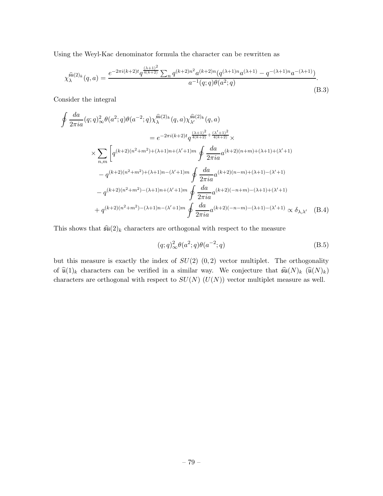Using the Weyl-Kac denominator formula the character can be rewritten as

$$
\chi_{\lambda}^{\widehat{\mathfrak{su}}(2)_k}(q,a) = \frac{e^{-2\pi i(k+2)t} q^{\frac{(\lambda+1)^2}{4(k+2)}} \sum_n q^{(k+2)n^2} a^{(k+2)n} (q^{(\lambda+1)n} a^{(\lambda+1)} - q^{-(\lambda+1)n} a^{-(\lambda+1)})}{a^{-1}(q;q)\theta(a^2;q)}.
$$
\n(B.3)

Consider the integral

$$
\oint \frac{da}{2\pi i a} (q;q)_{\infty}^{2} \theta(a^{2};q) \theta(a^{-2};q) \chi_{\lambda}^{\widehat{\mathfrak{su}}(2)_{k}}(q,a) \chi_{\lambda'}^{\widehat{\mathfrak{su}}(2)_{k}}(q,a)
$$
\n
$$
= e^{-2\pi i (k+2)t} q^{\frac{(\lambda+1)^{2}}{4(k+2)}} \times
$$
\n
$$
\times \sum_{n,m} \left[ q^{(k+2)(n^{2}+m^{2})+(\lambda+1)n+(\lambda'+1)m} \oint \frac{da}{2\pi i a} a^{(k+2)(n+m)+(\lambda+1)+(\lambda'+1)} \right. \\ \left. - q^{(k+2)(n^{2}+m^{2})+(\lambda+1)n-(\lambda'+1)m} \oint \frac{da}{2\pi i a} a^{(k+2)(n-m)+(\lambda+1)-(\lambda'+1)} \right. \\ \left. \int \frac{da}{2\pi i a} a^{(k+2)(n-m)+(\lambda+1)-(\lambda'+1)} \right. \\ \left. + q^{(k+2)(n^{2}+m^{2})-(\lambda+1)n-(\lambda'+1)m} \oint \frac{da}{2\pi i a} a^{(k+2)(n-m)-(\lambda+1)+(\lambda'+1)} \right. \\ \left. + q^{(k+2)(n^{2}+m^{2})-(\lambda+1)n-(\lambda'+1)m} \oint \frac{da}{2\pi i a} a^{(k+2)(n-m)-(\lambda+1)-(\lambda'+1)} \propto \delta_{\lambda,\lambda'} \quad \text{(B.4)}
$$

This shows that  $\widehat{\mathfrak{su}}(2)_k$  characters are orthogonal with respect to the measure

$$
(q;q)_{\infty}^2 \theta(a^2;q)\theta(a^{-2};q)
$$
 (B.5)

but this measure is exactly the index of  $SU(2)$   $(0, 2)$  vector multiplet. The orthogonality of  $\widehat{\mathfrak{u}}(1)_k$  characters can be verified in a similar way. We conjecture that  $\widehat{\mathfrak{su}}(N)_k$   $(\widehat{\mathfrak{u}}(N)_k)$ characters are orthogonal with respect to  $SU(N)$   $(U(N))$  vector multiplet measure as well.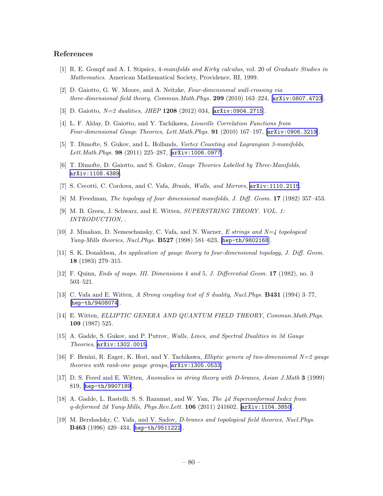### References

- [1] R. E. Gompf and A. I. Stipsicz, 4-manifolds and Kirby calculus, vol. 20 of Graduate Studies in Mathematics. American Mathematical Society, Providence, RI, 1999.
- [2] D. Gaiotto, G. W. Moore, and A. Neitzke, Four-dimensional wall-crossing via three-dimensional field theory, Commun.Math.Phys.  $299$  (2010) 163-224, [[arXiv:0807.4723](http://xxx.lanl.gov/abs/0807.4723)].
- [3] D. Gaiotto, N=2 dualities, JHEP 1208 (2012) 034, [[arXiv:0904.2715](http://xxx.lanl.gov/abs/0904.2715)].
- [4] L. F. Alday, D. Gaiotto, and Y. Tachikawa, Liouville Correlation Functions from Four-dimensional Gauge Theories, Lett.Math.Phys. 91 (2010) 167–197, [[arXiv:0906.3219](http://xxx.lanl.gov/abs/0906.3219)].
- [5] T. Dimofte, S. Gukov, and L. Hollands, Vortex Counting and Lagrangian 3-manifolds, Lett.Math.Phys. 98 (2011) 225-287, [[arXiv:1006.0977](http://xxx.lanl.gov/abs/1006.0977)].
- [6] T. Dimofte, D. Gaiotto, and S. Gukov, *Gauge Theories Labelled by Three-Manifolds*, [arXiv:1108.4389](http://xxx.lanl.gov/abs/1108.4389).
- [7] S. Cecotti, C. Cordova, and C. Vafa, Braids, Walls, and Mirrors, [arXiv:1110.2115](http://xxx.lanl.gov/abs/1110.2115).
- [8] M. Freedman, The topology of four dimensional manifolds, J. Diff. Geom. 17 (1982) 357-453.
- [9] M. B. Green, J. Schwarz, and E. Witten, SUPERSTRING THEORY. VOL. 1: INTRODUCTION, .
- [10] J. Minahan, D. Nemeschansky, C. Vafa, and N. Warner, E strings and N=4 topological Yang-Mills theories, Nucl.Phys. B527 (1998) 581–623, [[hep-th/9802168](http://xxx.lanl.gov/abs/hep-th/9802168)].
- [11] S. K. Donaldson, An application of gauge theory to four-dimensional topology, J. Diff. Geom. 18 (1983) 279–315.
- [12] F. Quinn, Ends of maps. III. Dimensions 4 and 5, J. Differential Geom. 17 (1982), no. 3 503–521.
- [13] C. Vafa and E. Witten, A Strong coupling test of S duality, Nucl.Phys. B431 (1994) 3–77, [[hep-th/9408074](http://xxx.lanl.gov/abs/hep-th/9408074)].
- [14] E. Witten, ELLIPTIC GENERA AND QUANTUM FIELD THEORY, Commun.Math.Phys. 109 (1987) 525.
- [15] A. Gadde, S. Gukov, and P. Putrov, Walls, Lines, and Spectral Dualities in 3d Gauge Theories, [arXiv:1302.0015](http://xxx.lanl.gov/abs/1302.0015).
- [16] F. Benini, R. Eager, K. Hori, and Y. Tachikawa, Elliptic genera of two-dimensional N=2 gauge theories with rank-one gauge groups, [arXiv:1305.0533](http://xxx.lanl.gov/abs/1305.0533).
- [17] D. S. Freed and E. Witten, Anomalies in string theory with D-branes, Asian J.Math 3 (1999) 819, [[hep-th/9907189](http://xxx.lanl.gov/abs/hep-th/9907189)].
- [18] A. Gadde, L. Rastelli, S. S. Razamat, and W. Yan, The 4d Superconformal Index from  $q$ -deformed 2d Yang-Mills, Phys.Rev.Lett. 106 (2011) 241602,  $[\text{arXiv}:1104.3850]$ .
- [19] M. Bershadsky, C. Vafa, and V. Sadov, D-branes and topological field theories, Nucl.Phys. B463 (1996) 420–434, [[hep-th/9511222](http://xxx.lanl.gov/abs/hep-th/9511222)].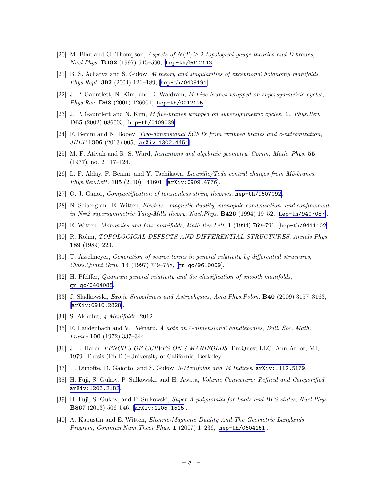- [20] M. Blau and G. Thompson, Aspects of  $N(T) \geq 2$  topological gauge theories and D-branes, Nucl.Phys. B492 (1997) 545–590, [[hep-th/9612143](http://xxx.lanl.gov/abs/hep-th/9612143)].
- [21] B. S. Acharya and S. Gukov, M theory and singularities of exceptional holonomy manifolds, Phys.Rept. 392 (2004) 121–189, [[hep-th/0409191](http://xxx.lanl.gov/abs/hep-th/0409191)].
- [22] J. P. Gauntlett, N. Kim, and D. Waldram, M Five-branes wrapped on supersymmetric cycles, Phys.Rev. D63 (2001) 126001, [[hep-th/0012195](http://xxx.lanl.gov/abs/hep-th/0012195)].
- [23] J. P. Gauntlett and N. Kim, M five-branes wrapped on supersymmetric cycles. 2., Phys.Rev. D65 (2002) 086003, [[hep-th/0109039](http://xxx.lanl.gov/abs/hep-th/0109039)].
- [24] F. Benini and N. Bobev, Two-dimensional SCFTs from wrapped branes and c-extremization, JHEP 1306 (2013) 005, [[arXiv:1302.4451](http://xxx.lanl.gov/abs/1302.4451)].
- [25] M. F. Atiyah and R. S. Ward, Instantons and algebraic geometry, Comm. Math. Phys. 55 (1977), no. 2 117–124.
- [26] L. F. Alday, F. Benini, and Y. Tachikawa, Liouville/Toda central charges from M5-branes, Phys.Rev.Lett. 105 (2010) 141601, [[arXiv:0909.4776](http://xxx.lanl.gov/abs/0909.4776)].
- [27] O. J. Ganor, Compactification of tensionless string theories, [hep-th/9607092](http://xxx.lanl.gov/abs/hep-th/9607092).
- [28] N. Seiberg and E. Witten, Electric magnetic duality, monopole condensation, and confinement in  $N=2$  supersymmetric Yang-Mills theory, Nucl. Phys. **B426** (1994) 19-52, [[hep-th/9407087](http://xxx.lanl.gov/abs/hep-th/9407087)].
- [29] E. Witten, Monopoles and four manifolds, Math.Res.Lett. 1 (1994) 769–796, [[hep-th/9411102](http://xxx.lanl.gov/abs/hep-th/9411102)].
- [30] R. Rohm, TOPOLOGICAL DEFECTS AND DIFFERENTIAL STRUCTURES, Annals Phys. 189 (1989) 223.
- [31] T. Asselmeyer, Generation of source terms in general relativity by differential structures, Class.Quant.Grav. 14 (1997) 749–758, [[gr-qc/9610009](http://xxx.lanl.gov/abs/gr-qc/9610009)].
- [32] H. Pfeiffer, Quantum general relativity and the classification of smooth manifolds, [gr-qc/0404088](http://xxx.lanl.gov/abs/gr-qc/0404088).
- [33] J. Sladkowski, Exotic Smoothness and Astrophysics, Acta Phys.Polon. B40 (2009) 3157–3163, [[arXiv:0910.2828](http://xxx.lanl.gov/abs/0910.2828)].
- [34] S. Akbulut, 4-Manifolds. 2012.
- [35] F. Laudenbach and V. Poénaru, A note on 4-dimensional handlebodies, Bull. Soc. Math. France 100 (1972) 337–344.
- [36] J. L. Harer, PENCILS OF CURVES ON 4-MANIFOLDS. ProQuest LLC, Ann Arbor, MI, 1979. Thesis (Ph.D.)–University of California, Berkeley.
- [37] T. Dimofte, D. Gaiotto, and S. Gukov, 3-Manifolds and 3d Indices,  $arXiv:1112.5179$ .
- [38] H. Fuji, S. Gukov, P. Sulkowski, and H. Awata, Volume Conjecture: Refined and Categorified, [arXiv:1203.2182](http://xxx.lanl.gov/abs/1203.2182).
- [39] H. Fuji, S. Gukov, and P. Sulkowski, Super-A-polynomial for knots and BPS states, Nucl.Phys. B867 (2013) 506–546, [[arXiv:1205.1515](http://xxx.lanl.gov/abs/1205.1515)].
- [40] A. Kapustin and E. Witten, Electric-Magnetic Duality And The Geometric Langlands Program, Commun.Num.Theor.Phys.  $1 (2007)$  1–236, [[hep-th/0604151](http://xxx.lanl.gov/abs/hep-th/0604151)].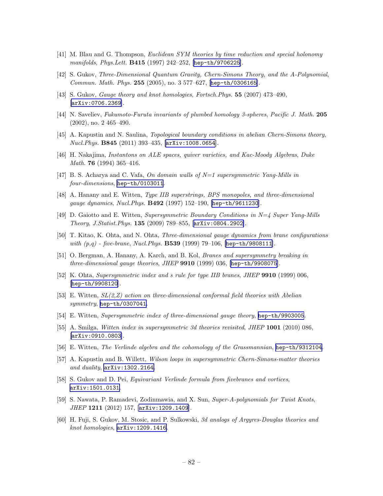- [41] M. Blau and G. Thompson, Euclidean SYM theories by time reduction and special holonomy manifolds, Phys.Lett. **B415** (1997) 242-252, [[hep-th/9706225](http://xxx.lanl.gov/abs/hep-th/9706225)].
- [42] S. Gukov, Three-Dimensional Quantum Gravity, Chern-Simons Theory, and the A-Polynomial, Commun. Math. Phys. 255 (2005), no. 3 577–627, [[hep-th/0306165](http://xxx.lanl.gov/abs/hep-th/0306165)].
- [43] S. Gukov, Gauge theory and knot homologies, Fortsch.Phys. 55 (2007) 473–490, [[arXiv:0706.2369](http://xxx.lanl.gov/abs/0706.2369)].
- [44] N. Saveliev, Fukumoto-Furuta invariants of plumbed homology 3-spheres, Pacific J. Math. 205 (2002), no. 2 465–490.
- [45] A. Kapustin and N. Saulina, Topological boundary conditions in abelian Chern-Simons theory, Nucl.Phys. B845 (2011) 393–435, [[arXiv:1008.0654](http://xxx.lanl.gov/abs/1008.0654)].
- [46] H. Nakajima, Instantons on ALE spaces, quiver varieties, and Kac-Moody Algebras, Duke *Math.* **76** (1994) 365–416.
- [47] B. S. Acharya and C. Vafa, On domain walls of  $N=1$  supersymmetric Yang-Mills in four-dimensions, [hep-th/0103011](http://xxx.lanl.gov/abs/hep-th/0103011).
- [48] A. Hanany and E. Witten, Type IIB superstrings, BPS monopoles, and three-dimensional gauge dynamics, Nucl.Phys. B492 (1997) 152–190, [[hep-th/9611230](http://xxx.lanl.gov/abs/hep-th/9611230)].
- [49] D. Gaiotto and E. Witten, Supersymmetric Boundary Conditions in  $N=4$  Super Yang-Mills Theory, J.Statist.Phys. 135 (2009) 789–855, [[arXiv:0804.2902](http://xxx.lanl.gov/abs/0804.2902)].
- [50] T. Kitao, K. Ohta, and N. Ohta, Three-dimensional gauge dynamics from brane configurations with  $(p,q)$  - five-brane, Nucl. Phys. **B539** (1999) 79-106, [[hep-th/9808111](http://xxx.lanl.gov/abs/hep-th/9808111)].
- [51] O. Bergman, A. Hanany, A. Karch, and B. Kol, Branes and supersymmetry breaking in three-dimensional gauge theories, JHEP 9910 (1999) 036, [[hep-th/9908075](http://xxx.lanl.gov/abs/hep-th/9908075)].
- [52] K. Ohta, Supersymmetric index and s rule for type IIB branes, JHEP 9910 (1999) 006, [[hep-th/9908120](http://xxx.lanl.gov/abs/hep-th/9908120)].
- [53] E. Witten, SL(2,Z) action on three-dimensional conformal field theories with Abelian symmetry, [hep-th/0307041](http://xxx.lanl.gov/abs/hep-th/0307041).
- [54] E. Witten, Supersymmetric index of three-dimensional gauge theory, [hep-th/9903005](http://xxx.lanl.gov/abs/hep-th/9903005).
- [55] A. Smilga, Witten index in supersymmetric 3d theories revisited, JHEP 1001 (2010) 086, [[arXiv:0910.0803](http://xxx.lanl.gov/abs/0910.0803)].
- [56] E. Witten, The Verlinde algebra and the cohomology of the Grassmannian, [hep-th/9312104](http://xxx.lanl.gov/abs/hep-th/9312104).
- [57] A. Kapustin and B. Willett, Wilson loops in supersymmetric Chern-Simons-matter theories and duality,  $arXiv:1302.2164$ .
- [58] S. Gukov and D. Pei, Equivariant Verlinde formula from fivebranes and vortices, [arXiv:1501.0131](http://xxx.lanl.gov/abs/1501.0131).
- [59] S. Nawata, P. Ramadevi, Zodinmawia, and X. Sun, Super-A-polynomials for Twist Knots, JHEP 1211 (2012) 157, [[arXiv:1209.1409](http://xxx.lanl.gov/abs/1209.1409)].
- [60] H. Fuji, S. Gukov, M. Stosic, and P. Sulkowski, 3d analogs of Argyres-Douglas theories and knot homologies, [arXiv:1209.1416](http://xxx.lanl.gov/abs/1209.1416).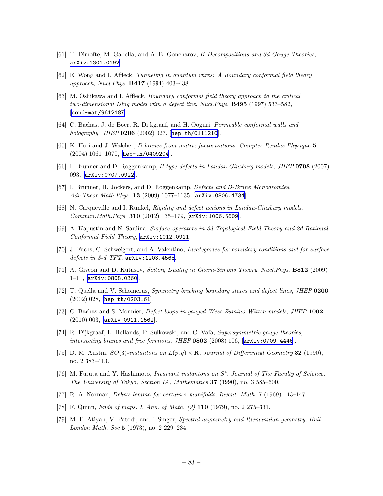- [61] T. Dimofte, M. Gabella, and A. B. Goncharov, K-Decompositions and 3d Gauge Theories, [arXiv:1301.0192](http://xxx.lanl.gov/abs/1301.0192).
- [62] E. Wong and I. Affleck, Tunneling in quantum wires: A Boundary conformal field theory approach, Nucl.Phys. B417 (1994) 403–438.
- [63] M. Oshikawa and I. Affleck, Boundary conformal field theory approach to the critical two-dimensional Ising model with a defect line, Nucl.Phys. B495 (1997) 533–582, [[cond-mat/9612187](http://xxx.lanl.gov/abs/cond-mat/9612187)].
- [64] C. Bachas, J. de Boer, R. Dijkgraaf, and H. Ooguri, Permeable conformal walls and holography, JHEP 0206 (2002) 027, [[hep-th/0111210](http://xxx.lanl.gov/abs/hep-th/0111210)].
- [65] K. Hori and J. Walcher, D-branes from matrix factorizations, Comptes Rendus Physique 5 (2004) 1061–1070, [[hep-th/0409204](http://xxx.lanl.gov/abs/hep-th/0409204)].
- [66] I. Brunner and D. Roggenkamp, B-type defects in Landau-Ginzburg models, JHEP 0708 (2007) 093, [[arXiv:0707.0922](http://xxx.lanl.gov/abs/0707.0922)].
- [67] I. Brunner, H. Jockers, and D. Roggenkamp, Defects and D-Brane Monodromies, Adv.Theor.Math.Phys. 13 (2009) 1077-1135, [[arXiv:0806.4734](http://xxx.lanl.gov/abs/0806.4734)].
- [68] N. Carqueville and I. Runkel, Rigidity and defect actions in Landau-Ginzburg models, Commun.Math.Phys. 310 (2012) 135–179, [[arXiv:1006.5609](http://xxx.lanl.gov/abs/1006.5609)].
- [69] A. Kapustin and N. Saulina, Surface operators in 3d Topological Field Theory and 2d Rational Conformal Field Theory, [arXiv:1012.0911](http://xxx.lanl.gov/abs/1012.0911).
- [70] J. Fuchs, C. Schweigert, and A. Valentino, Bicategories for boundary conditions and for surface defects in 3-d TFT, [arXiv:1203.4568](http://xxx.lanl.gov/abs/1203.4568).
- [71] A. Giveon and D. Kutasov, Seiberg Duality in Chern-Simons Theory, Nucl. Phys. **B812** (2009) 1–11, [[arXiv:0808.0360](http://xxx.lanl.gov/abs/0808.0360)].
- [72] T. Quella and V. Schomerus, Symmetry breaking boundary states and defect lines, JHEP 0206 (2002) 028, [[hep-th/0203161](http://xxx.lanl.gov/abs/hep-th/0203161)].
- [73] C. Bachas and S. Monnier, Defect loops in gauged Wess-Zumino-Witten models, JHEP 1002 (2010) 003, [[arXiv:0911.1562](http://xxx.lanl.gov/abs/0911.1562)].
- [74] R. Dijkgraaf, L. Hollands, P. Sulkowski, and C. Vafa, Supersymmetric gauge theories, intersecting branes and free fermions, JHEP 0802 (2008) 106, [[arXiv:0709.4446](http://xxx.lanl.gov/abs/0709.4446)].
- [75] D. M. Austin,  $SO(3)$ -instantons on  $L(p,q) \times \mathbf{R}$ , Journal of Differential Geometry 32 (1990), no. 2 383–413.
- [76] M. Furuta and Y. Hashimoto, *Invariant instantons on*  $S<sup>4</sup>$ , *Journal of The Faculty of Science*, The University of Tokyo, Section IA, Mathematics 37 (1990), no. 3 585–600.
- [77] R. A. Norman, Dehn's lemma for certain 4-manifolds, Invent. Math. 7 (1969) 143–147.
- [78] F. Quinn, Ends of maps. I, Ann. of Math. (2) 110 (1979), no. 2 275–331.
- [79] M. F. Atiyah, V. Patodi, and I. Singer, Spectral asymmetry and Riemannian geometry, Bull. London Math. Soc 5 (1973), no. 2 229–234.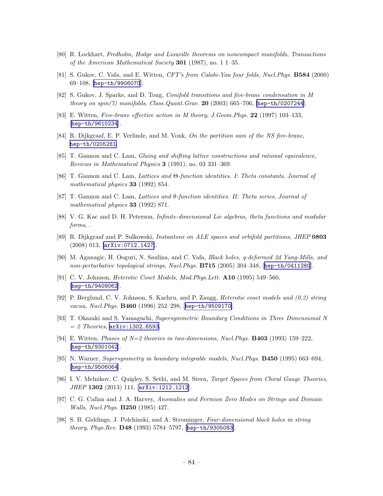- [80] R. Lockhart, Fredholm, Hodge and Liouville theorems on noncompact manifolds, Transactions of the American Mathematical Society 301 (1987), no. 1 1–35.
- [81] S. Gukov, C. Vafa, and E. Witten, CFT's from Calabi-Yau four folds, Nucl.Phys. B584 (2000) 69–108, [[hep-th/9906070](http://xxx.lanl.gov/abs/hep-th/9906070)].
- [82] S. Gukov, J. Sparks, and D. Tong, Conifold transitions and five-brane condensation in M theory on  $spin(7)$  manifolds, Class. Quant. Grav. 20 (2003) 665-706, [[hep-th/0207244](http://xxx.lanl.gov/abs/hep-th/0207244)].
- [83] E. Witten, Five-brane effective action in M theory, J.Geom.Phys. 22 (1997) 103–133, [[hep-th/9610234](http://xxx.lanl.gov/abs/hep-th/9610234)].
- [84] R. Dijkgraaf, E. P. Verlinde, and M. Vonk, On the partition sum of the NS five-brane, [hep-th/0205281](http://xxx.lanl.gov/abs/hep-th/0205281).
- [85] T. Gannon and C. Lam, Gluing and shifting lattice constructions and rational equivalence, Reviews in Mathematical Physics 3 (1991), no. 03 331–369.
- [86] T. Gannon and C. Lam, Lattices and Θ-function identities. I: Theta constants, Journal of mathematical physics 33 (1992) 854.
- [87] T. Gannon and C. Lam, Lattices and θ-function identities. II: Theta series, Journal of mathematical physics **33** (1992) 871.
- [88] V. G. Kac and D. H. Peterson, Infinite-dimensional Lie algebras, theta functions and modular forms, .
- [89] R. Dijkgraaf and P. Sulkowski, Instantons on ALE spaces and orbifold partitions, JHEP 0803 (2008) 013, [[arXiv:0712.1427](http://xxx.lanl.gov/abs/0712.1427)].
- [90] M. Aganagic, H. Ooguri, N. Saulina, and C. Vafa, Black holes, q-deformed 2d Yang-Mills, and non-perturbative topological strings, Nucl.Phys. B715 (2005) 304–348, [[hep-th/0411280](http://xxx.lanl.gov/abs/hep-th/0411280)].
- [91] C. V. Johnson, Heterotic Coset Models, Mod.Phys.Lett. A10 (1995) 549–560, [[hep-th/9409062](http://xxx.lanl.gov/abs/hep-th/9409062)].
- [92] P. Berglund, C. V. Johnson, S. Kachru, and P. Zaugg, Heterotic coset models and (0,2) string vacua, Nucl.Phys. B460 (1996) 252–298, [[hep-th/9509170](http://xxx.lanl.gov/abs/hep-th/9509170)].
- [93] T. Okazaki and S. Yamaguchi, Supersymmetric Boundary Conditions in Three Dimensional N  $= 2$  Theories,  $arXiv:1302.6593$ .
- [94] E. Witten, *Phases of N=2 theories in two-dimensions, Nucl.Phys.* **B403** (1993) 159–222, [[hep-th/9301042](http://xxx.lanl.gov/abs/hep-th/9301042)].
- [95] N. Warner, Supersymmetry in boundary integrable models, Nucl.Phys. B450 (1995) 663–694, [[hep-th/9506064](http://xxx.lanl.gov/abs/hep-th/9506064)].
- [96] I. V. Melnikov, C. Quigley, S. Sethi, and M. Stern, Target Spaces from Chiral Gauge Theories, JHEP 1302 (2013) 111, [[arXiv:1212.1212](http://xxx.lanl.gov/abs/1212.1212)].
- [97] C. G. Callan and J. A. Harvey, Anomalies and Fermion Zero Modes on Strings and Domain Walls, Nucl.Phys. B250 (1985) 427.
- [98] S. B. Giddings, J. Polchinski, and A. Strominger, Four-dimensional black holes in string *theory, Phys.Rev.*  $D48$  (1993) 5784–5797, [[hep-th/9305083](http://xxx.lanl.gov/abs/hep-th/9305083)].